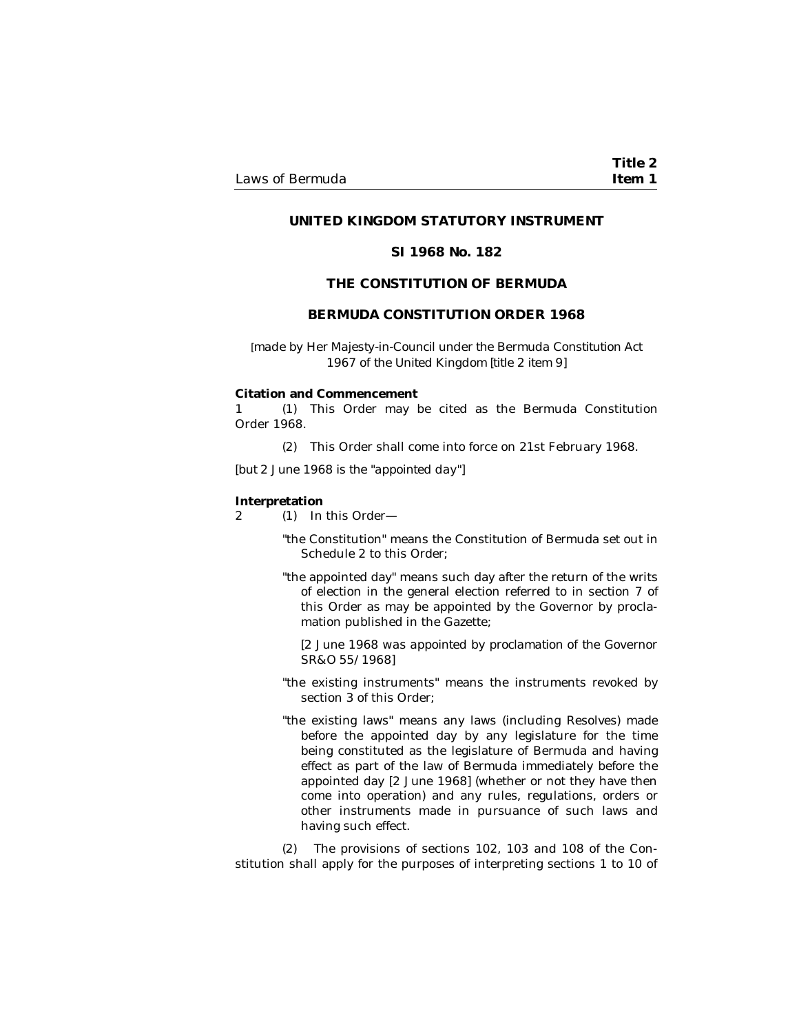### **UNITED KINGDOM STATUTORY INSTRUMENT**

### **SI 1968 No. 182**

### **THE CONSTITUTION OF BERMUDA**

#### **BERMUDA CONSTITUTION ORDER 1968**

[*made by Her Majesty-in-Council under the Bermuda Constitution Act 1967 of the United Kingdom [title 2 item 9*]

#### **Citation and Commencement**

1 (1) This Order may be cited as the Bermuda Constitution Order 1968.

(2) This Order shall come into force on 21st February 1968.

[*but 2 June 1968 is the "appointed day"*]

#### **Interpretation**

2 (1) In this Order—

- "the Constitution" means the Constitution of Bermuda set out in Schedule 2 to this Order;
- "the appointed day" means such day after the return of the writs of election in the general election referred to in section 7 of this Order as may be appointed by the Governor by proclamation published in the Gazette;

[*2 June 1968 was appointed by proclamation of the Governor SR&O 55/1968*]

- "the existing instruments" means the instruments revoked by section 3 of this Order;
- "the existing laws" means any laws (including Resolves) made before the appointed day by any legislature for the time being constituted as the legislature of Bermuda and having effect as part of the law of Bermuda immediately before the appointed day [*2 June 1968*] (whether or not they have then come into operation) and any rules, regulations, orders or other instruments made in pursuance of such laws and having such effect.

(2) The provisions of sections 102, 103 and 108 of the Constitution shall apply for the purposes of interpreting sections 1 to 10 of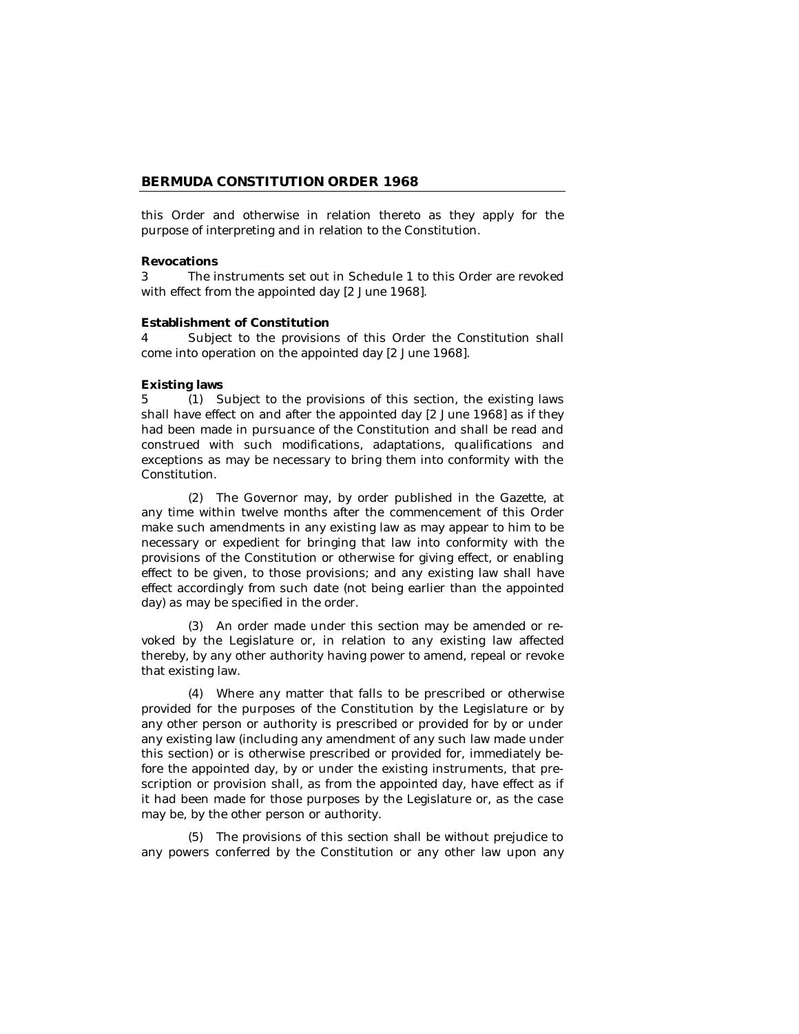this Order and otherwise in relation thereto as they apply for the purpose of interpreting and in relation to the Constitution.

#### **Revocations**

3 The instruments set out in Schedule 1 to this Order are revoked with effect from the appointed day [*2 June 1968*].

#### **Establishment of Constitution**

4 Subject to the provisions of this Order the Constitution shall come into operation on the appointed day [*2 June 1968*].

#### **Existing laws**

5 (1) Subject to the provisions of this section, the existing laws shall have effect on and after the appointed day [*2 June 1968*] as if they had been made in pursuance of the Constitution and shall be read and construed with such modifications, adaptations, qualifications and exceptions as may be necessary to bring them into conformity with the Constitution.

(2) The Governor may, by order published in the Gazette, at any time within twelve months after the commencement of this Order make such amendments in any existing law as may appear to him to be necessary or expedient for bringing that law into conformity with the provisions of the Constitution or otherwise for giving effect, or enabling effect to be given, to those provisions; and any existing law shall have effect accordingly from such date (not being earlier than the appointed day) as may be specified in the order.

(3) An order made under this section may be amended or revoked by the Legislature or, in relation to any existing law affected thereby, by any other authority having power to amend, repeal or revoke that existing law.

(4) Where any matter that falls to be prescribed or otherwise provided for the purposes of the Constitution by the Legislature or by any other person or authority is prescribed or provided for by or under any existing law (including any amendment of any such law made under this section) or is otherwise prescribed or provided for, immediately before the appointed day, by or under the existing instruments, that prescription or provision shall, as from the appointed day, have effect as if it had been made for those purposes by the Legislature or, as the case may be, by the other person or authority.

(5) The provisions of this section shall be without prejudice to any powers conferred by the Constitution or any other law upon any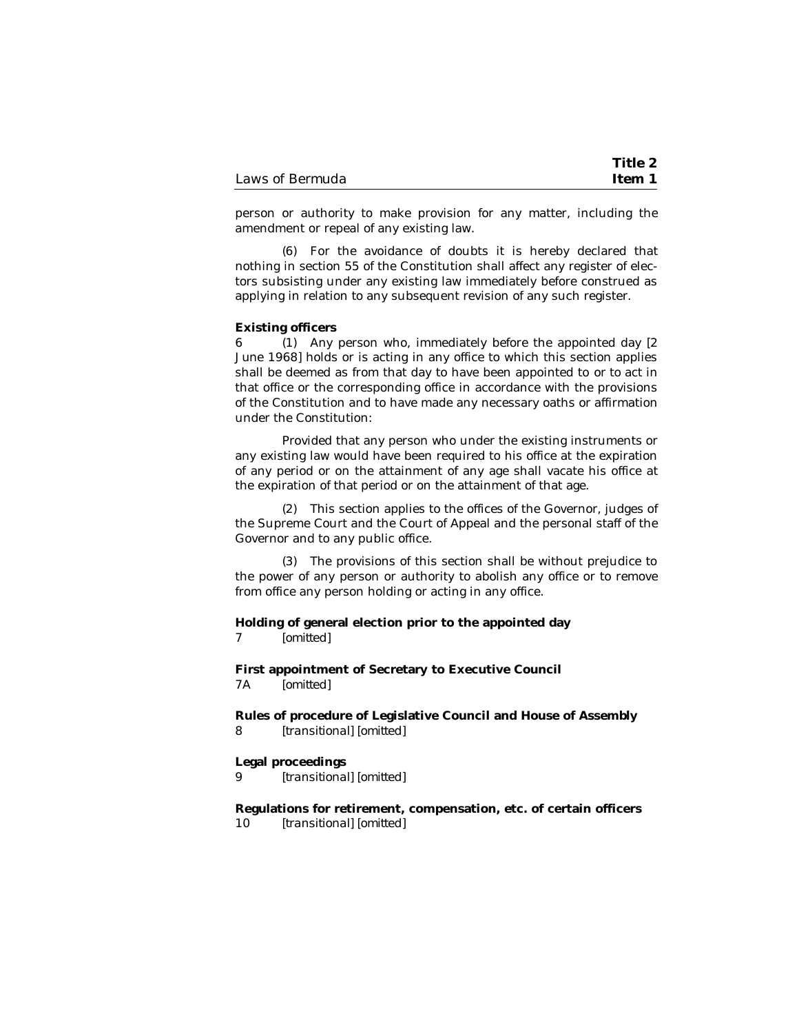person or authority to make provision for any matter, including the amendment or repeal of any existing law.

(6) For the avoidance of doubts it is hereby declared that nothing in section 55 of the Constitution shall affect any register of electors subsisting under any existing law immediately before construed as applying in relation to any subsequent revision of any such register.

#### **Existing officers**

6 (1) Any person who, immediately before the appointed day [*2 June 1968*] holds or is acting in any office to which this section applies shall be deemed as from that day to have been appointed to or to act in that office or the corresponding office in accordance with the provisions of the Constitution and to have made any necessary oaths or affirmation under the Constitution:

Provided that any person who under the existing instruments or any existing law would have been required to his office at the expiration of any period or on the attainment of any age shall vacate his office at the expiration of that period or on the attainment of that age.

(2) This section applies to the offices of the Governor, judges of the Supreme Court and the Court of Appeal and the personal staff of the Governor and to any public office.

(3) The provisions of this section shall be without prejudice to the power of any person or authority to abolish any office or to remove from office any person holding or acting in any office.

## **Holding of general election prior to the appointed day**

7 [*omitted*]

**First appointment of Secretary to Executive Council** 7A [*omitted*]

**Rules of procedure of Legislative Council and House of Assembly** 8 [*transitional*] [*omitted*]

### **Legal proceedings**

9 [*transitional*] [*omitted*]

#### **Regulations for retirement, compensation, etc. of certain officers**

10 [*transitional*] [*omitted*]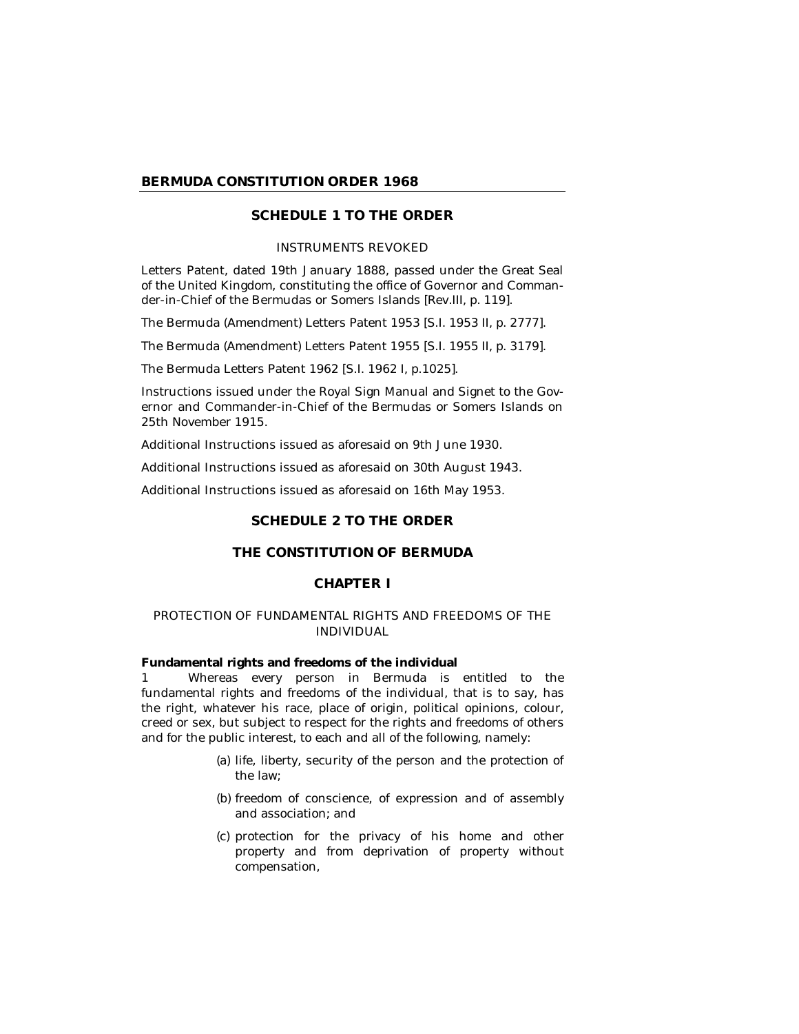# **SCHEDULE 1 TO THE ORDER**

### INSTRUMENTS REVOKED

Letters Patent, dated 19th January 1888, passed under the Great Seal of the United Kingdom, constituting the office of Governor and Commander-in-Chief of the Bermudas or Somers Islands [*Rev.III, p. 119*].

The Bermuda (Amendment) Letters Patent 1953 [*S.I. 1953 II, p. 2777*].

The Bermuda (Amendment) Letters Patent 1955 [*S.I. 1955 II, p. 3179*].

The Bermuda Letters Patent 1962 [*S.I. 1962 I, p.1025*].

Instructions issued under the Royal Sign Manual and Signet to the Governor and Commander-in-Chief of the Bermudas or Somers Islands on 25th November 1915.

Additional Instructions issued as aforesaid on 9th June 1930.

Additional Instructions issued as aforesaid on 30th August 1943.

Additional Instructions issued as aforesaid on 16th May 1953.

## **SCHEDULE 2 TO THE ORDER**

## **THE CONSTITUTION OF BERMUDA**

#### **CHAPTER I**

### PROTECTION OF FUNDAMENTAL RIGHTS AND FREEDOMS OF THE INDIVIDUAL

### **Fundamental rights and freedoms of the individual**

1 Whereas every person in Bermuda is entitled to the fundamental rights and freedoms of the individual, that is to say, has the right, whatever his race, place of origin, political opinions, colour, creed or sex, but subject to respect for the rights and freedoms of others and for the public interest, to each and all of the following, namely:

- (a) life, liberty, security of the person and the protection of the law;
- (b) freedom of conscience, of expression and of assembly and association; and
- (c) protection for the privacy of his home and other property and from deprivation of property without compensation,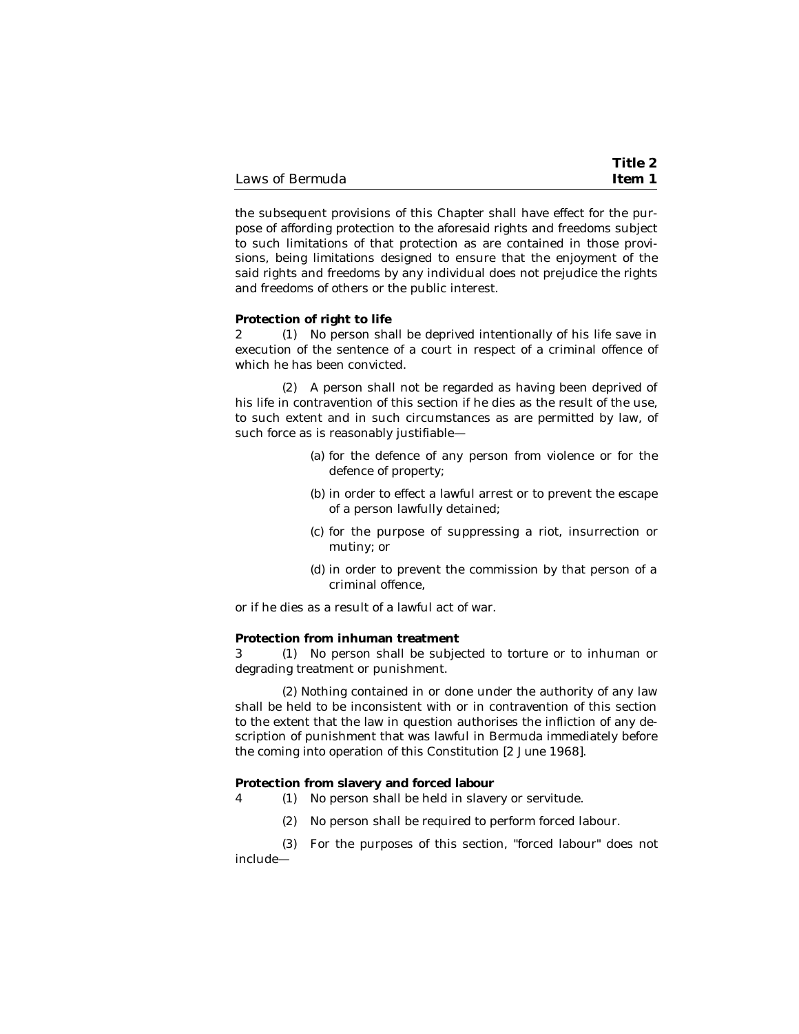| Laws of Bermuda | Item 1 |
|-----------------|--------|
|-----------------|--------|

the subsequent provisions of this Chapter shall have effect for the purpose of affording protection to the aforesaid rights and freedoms subject to such limitations of that protection as are contained in those provisions, being limitations designed to ensure that the enjoyment of the said rights and freedoms by any individual does not prejudice the rights and freedoms of others or the public interest.

#### **Protection of right to life**

2 (1) No person shall be deprived intentionally of his life save in execution of the sentence of a court in respect of a criminal offence of which he has been convicted.

(2) A person shall not be regarded as having been deprived of his life in contravention of this section if he dies as the result of the use, to such extent and in such circumstances as are permitted by law, of such force as is reasonably justifiable—

- (a) for the defence of any person from violence or for the defence of property;
- (b) in order to effect a lawful arrest or to prevent the escape of a person lawfully detained;
- (c) for the purpose of suppressing a riot, insurrection or mutiny; or
- (d) in order to prevent the commission by that person of a criminal offence,

or if he dies as a result of a lawful act of war.

## **Protection from inhuman treatment**

3 (1) No person shall be subjected to torture or to inhuman or degrading treatment or punishment.

(2) Nothing contained in or done under the authority of any law shall be held to be inconsistent with or in contravention of this section to the extent that the law in question authorises the infliction of any description of punishment that was lawful in Bermuda immediately before the coming into operation of this Constitution [*2 June 1968*].

### **Protection from slavery and forced labour**

- 4 (1) No person shall be held in slavery or servitude.
	- (2) No person shall be required to perform forced labour.

(3) For the purposes of this section, "forced labour" does not include—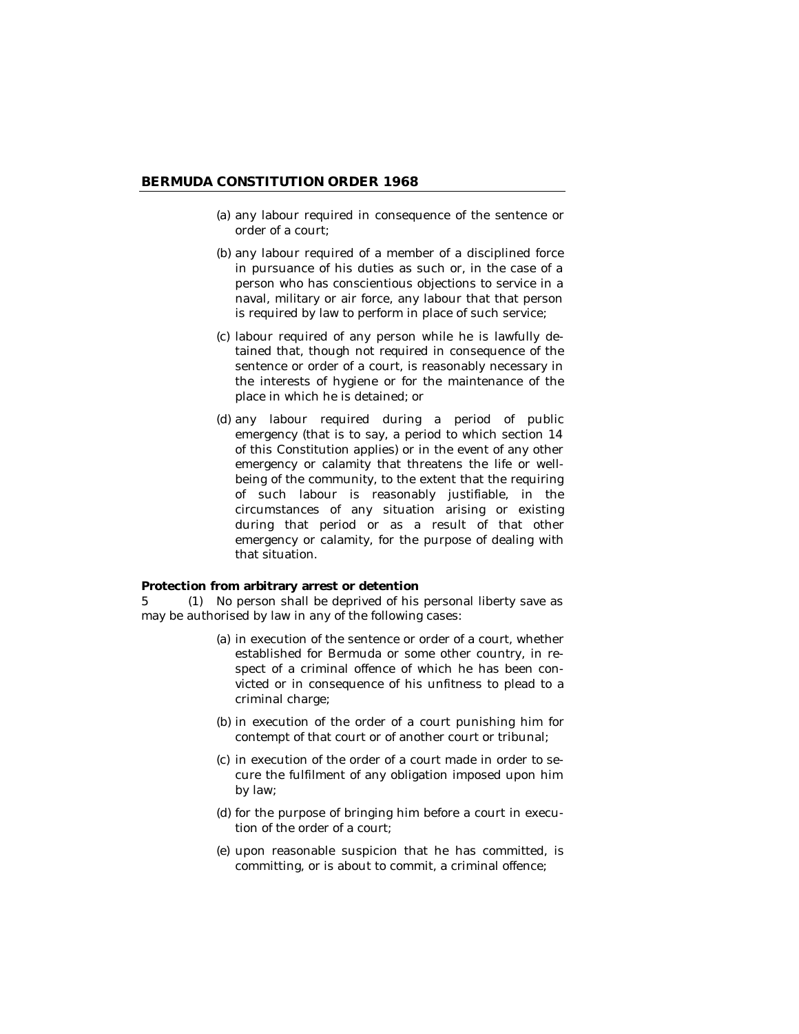- (a) any labour required in consequence of the sentence or order of a court;
- (b) any labour required of a member of a disciplined force in pursuance of his duties as such or, in the case of a person who has conscientious objections to service in a naval, military or air force, any labour that that person is required by law to perform in place of such service;
- (c) labour required of any person while he is lawfully detained that, though not required in consequence of the sentence or order of a court, is reasonably necessary in the interests of hygiene or for the maintenance of the place in which he is detained; or
- (d) any labour required during a period of public emergency (that is to say, a period to which section 14 of this Constitution applies) or in the event of any other emergency or calamity that threatens the life or wellbeing of the community, to the extent that the requiring of such labour is reasonably justifiable, in the circumstances of any situation arising or existing during that period or as a result of that other emergency or calamity, for the purpose of dealing with that situation.

#### **Protection from arbitrary arrest or detention**

5 (1) No person shall be deprived of his personal liberty save as may be authorised by law in any of the following cases:

- (a) in execution of the sentence or order of a court, whether established for Bermuda or some other country, in respect of a criminal offence of which he has been convicted or in consequence of his unfitness to plead to a criminal charge;
- (b) in execution of the order of a court punishing him for contempt of that court or of another court or tribunal;
- (c) in execution of the order of a court made in order to secure the fulfilment of any obligation imposed upon him by law;
- (d) for the purpose of bringing him before a court in execution of the order of a court;
- (e) upon reasonable suspicion that he has committed, is committing, or is about to commit, a criminal offence;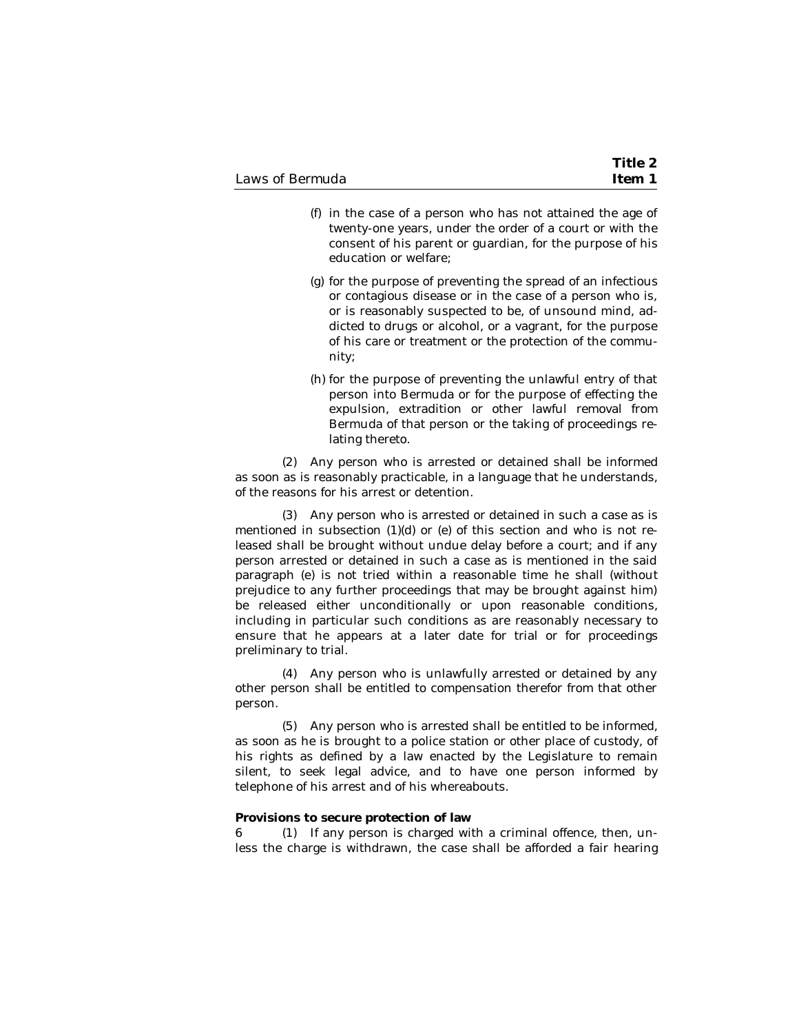- (f) in the case of a person who has not attained the age of twenty-one years, under the order of a court or with the consent of his parent or guardian, for the purpose of his education or welfare;
- (g) for the purpose of preventing the spread of an infectious or contagious disease or in the case of a person who is, or is reasonably suspected to be, of unsound mind, addicted to drugs or alcohol, or a vagrant, for the purpose of his care or treatment or the protection of the community;
- (h) for the purpose of preventing the unlawful entry of that person into Bermuda or for the purpose of effecting the expulsion, extradition or other lawful removal from Bermuda of that person or the taking of proceedings relating thereto.

(2) Any person who is arrested or detained shall be informed as soon as is reasonably practicable, in a language that he understands, of the reasons for his arrest or detention.

(3) Any person who is arrested or detained in such a case as is mentioned in subsection (1)(d) or (e) of this section and who is not released shall be brought without undue delay before a court; and if any person arrested or detained in such a case as is mentioned in the said paragraph (e) is not tried within a reasonable time he shall (without prejudice to any further proceedings that may be brought against him) be released either unconditionally or upon reasonable conditions, including in particular such conditions as are reasonably necessary to ensure that he appears at a later date for trial or for proceedings preliminary to trial.

(4) Any person who is unlawfully arrested or detained by any other person shall be entitled to compensation therefor from that other person.

(5) Any person who is arrested shall be entitled to be informed, as soon as he is brought to a police station or other place of custody, of his rights as defined by a law enacted by the Legislature to remain silent, to seek legal advice, and to have one person informed by telephone of his arrest and of his whereabouts.

## **Provisions to secure protection of law**

6 (1) If any person is charged with a criminal offence, then, unless the charge is withdrawn, the case shall be afforded a fair hearing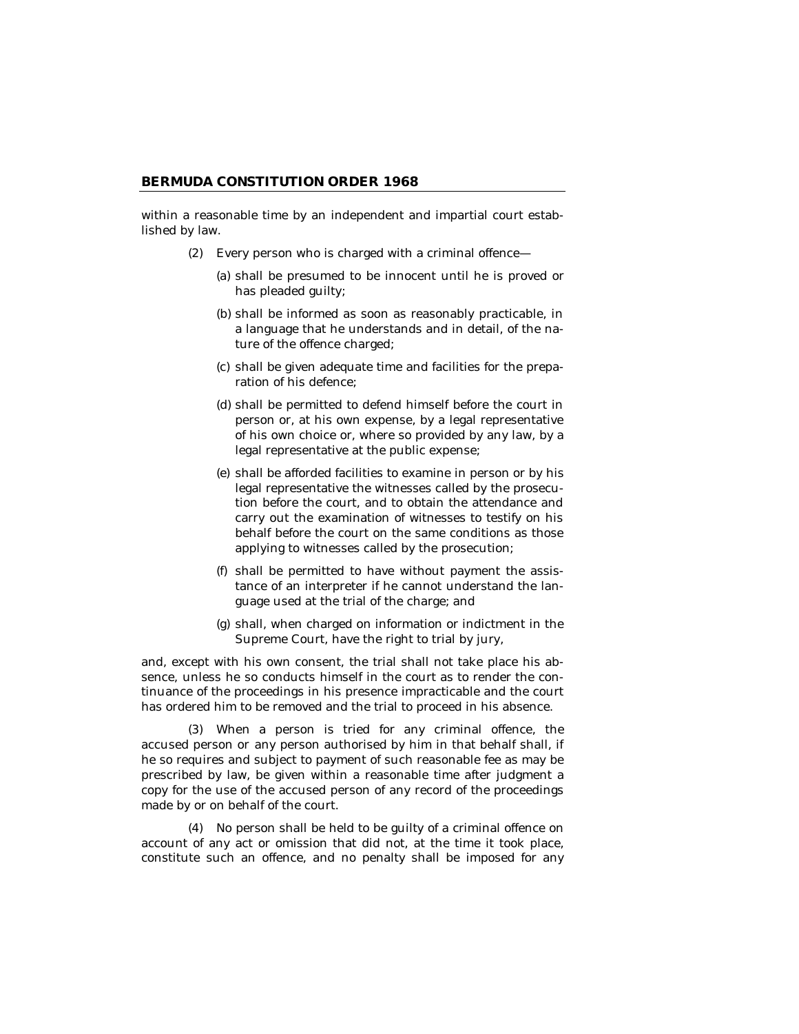within a reasonable time by an independent and impartial court established by law.

- (2) Every person who is charged with a criminal offence—
	- (a) shall be presumed to be innocent until he is proved or has pleaded guilty;
	- (b) shall be informed as soon as reasonably practicable, in a language that he understands and in detail, of the nature of the offence charged;
	- (c) shall be given adequate time and facilities for the preparation of his defence;
	- (d) shall be permitted to defend himself before the court in person or, at his own expense, by a legal representative of his own choice or, where so provided by any law, by a legal representative at the public expense;
	- (e) shall be afforded facilities to examine in person or by his legal representative the witnesses called by the prosecution before the court, and to obtain the attendance and carry out the examination of witnesses to testify on his behalf before the court on the same conditions as those applying to witnesses called by the prosecution;
	- (f) shall be permitted to have without payment the assistance of an interpreter if he cannot understand the language used at the trial of the charge; and
	- (g) shall, when charged on information or indictment in the Supreme Court, have the right to trial by jury,

and, except with his own consent, the trial shall not take place his absence, unless he so conducts himself in the court as to render the continuance of the proceedings in his presence impracticable and the court has ordered him to be removed and the trial to proceed in his absence.

(3) When a person is tried for any criminal offence, the accused person or any person authorised by him in that behalf shall, if he so requires and subject to payment of such reasonable fee as may be prescribed by law, be given within a reasonable time after judgment a copy for the use of the accused person of any record of the proceedings made by or on behalf of the court.

(4) No person shall be held to be guilty of a criminal offence on account of any act or omission that did not, at the time it took place, constitute such an offence, and no penalty shall be imposed for any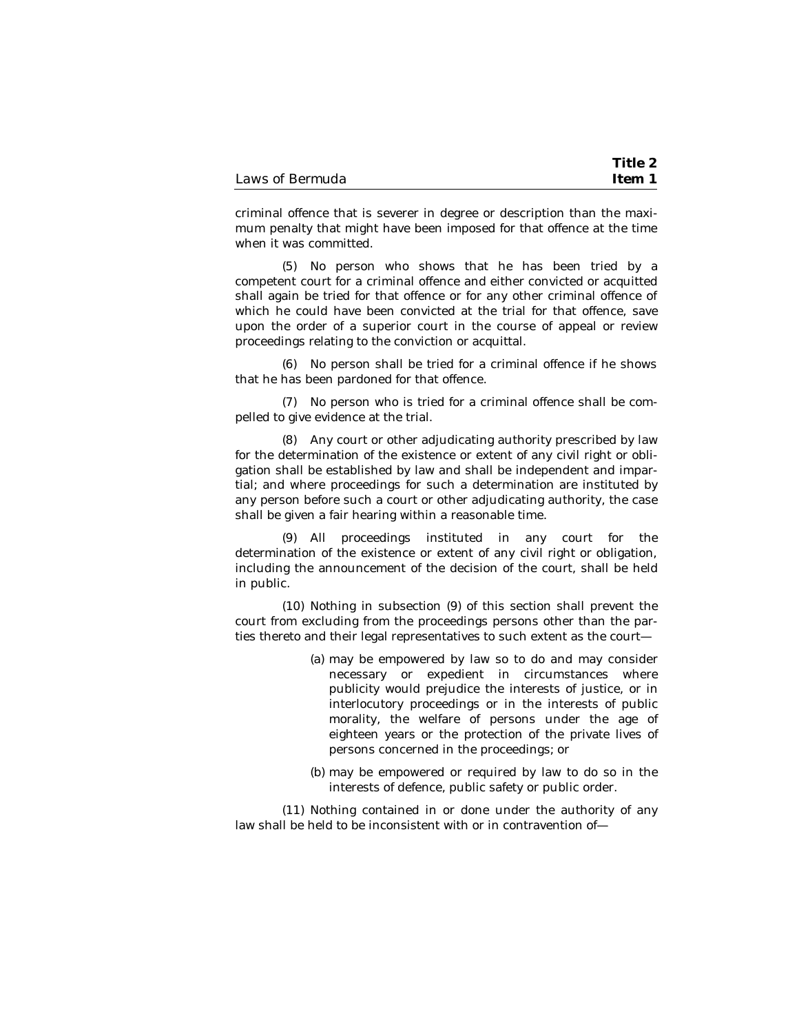criminal offence that is severer in degree or description than the maximum penalty that might have been imposed for that offence at the time when it was committed.

(5) No person who shows that he has been tried by a competent court for a criminal offence and either convicted or acquitted shall again be tried for that offence or for any other criminal offence of which he could have been convicted at the trial for that offence, save upon the order of a superior court in the course of appeal or review proceedings relating to the conviction or acquittal.

(6) No person shall be tried for a criminal offence if he shows that he has been pardoned for that offence.

(7) No person who is tried for a criminal offence shall be compelled to give evidence at the trial.

(8) Any court or other adjudicating authority prescribed by law for the determination of the existence or extent of any civil right or obligation shall be established by law and shall be independent and impartial; and where proceedings for such a determination are instituted by any person before such a court or other adjudicating authority, the case shall be given a fair hearing within a reasonable time.

(9) All proceedings instituted in any court for the determination of the existence or extent of any civil right or obligation, including the announcement of the decision of the court, shall be held in public.

(10) Nothing in subsection (9) of this section shall prevent the court from excluding from the proceedings persons other than the parties thereto and their legal representatives to such extent as the court—

- (a) may be empowered by law so to do and may consider necessary or expedient in circumstances where publicity would prejudice the interests of justice, or in interlocutory proceedings or in the interests of public morality, the welfare of persons under the age of eighteen years or the protection of the private lives of persons concerned in the proceedings; or
- (b) may be empowered or required by law to do so in the interests of defence, public safety or public order.

(11) Nothing contained in or done under the authority of any law shall be held to be inconsistent with or in contravention of—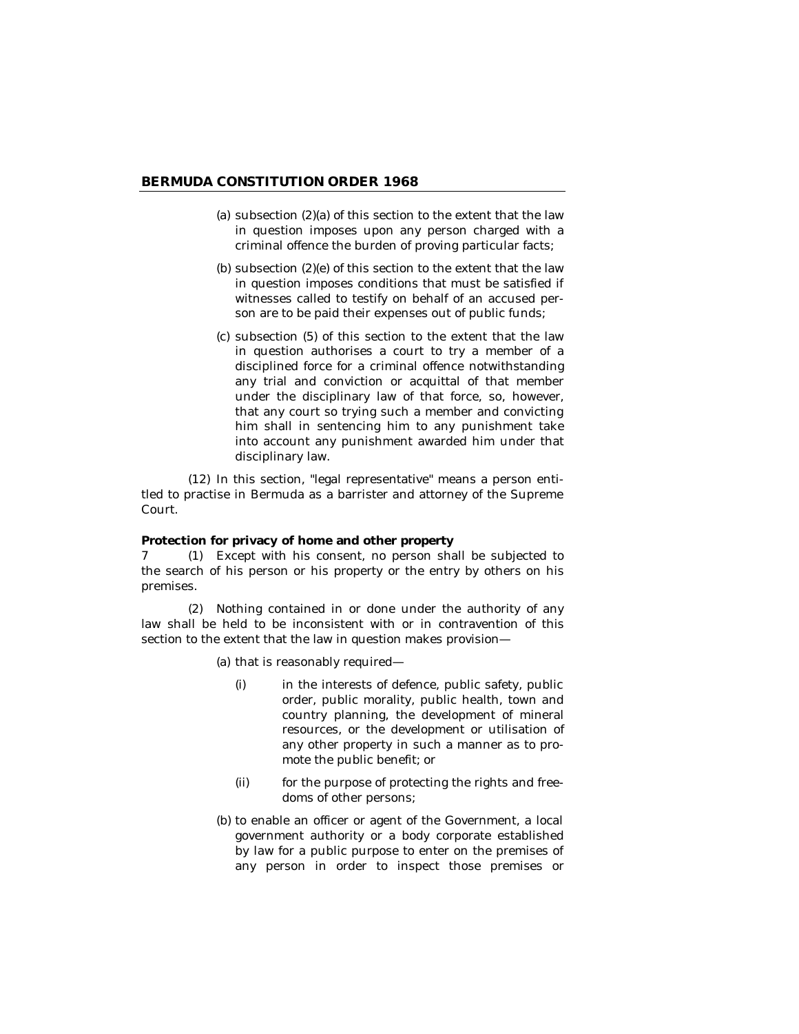- (a) subsection (2)(a) of this section to the extent that the law in question imposes upon any person charged with a criminal offence the burden of proving particular facts;
- (b) subsection (2)(e) of this section to the extent that the law in question imposes conditions that must be satisfied if witnesses called to testify on behalf of an accused person are to be paid their expenses out of public funds;
- (c) subsection (5) of this section to the extent that the law in question authorises a court to try a member of a disciplined force for a criminal offence notwithstanding any trial and conviction or acquittal of that member under the disciplinary law of that force, so, however, that any court so trying such a member and convicting him shall in sentencing him to any punishment take into account any punishment awarded him under that disciplinary law.

(12) In this section, "legal representative" means a person entitled to practise in Bermuda as a barrister and attorney of the Supreme Court.

#### **Protection for privacy of home and other property**

7 (1) Except with his consent, no person shall be subjected to the search of his person or his property or the entry by others on his premises.

(2) Nothing contained in or done under the authority of any law shall be held to be inconsistent with or in contravention of this section to the extent that the law in question makes provision—

- (a) that is reasonably required—
	- (i) in the interests of defence, public safety, public order, public morality, public health, town and country planning, the development of mineral resources, or the development or utilisation of any other property in such a manner as to promote the public benefit; or
	- (ii) for the purpose of protecting the rights and freedoms of other persons;
- (b) to enable an officer or agent of the Government, a local government authority or a body corporate established by law for a public purpose to enter on the premises of any person in order to inspect those premises or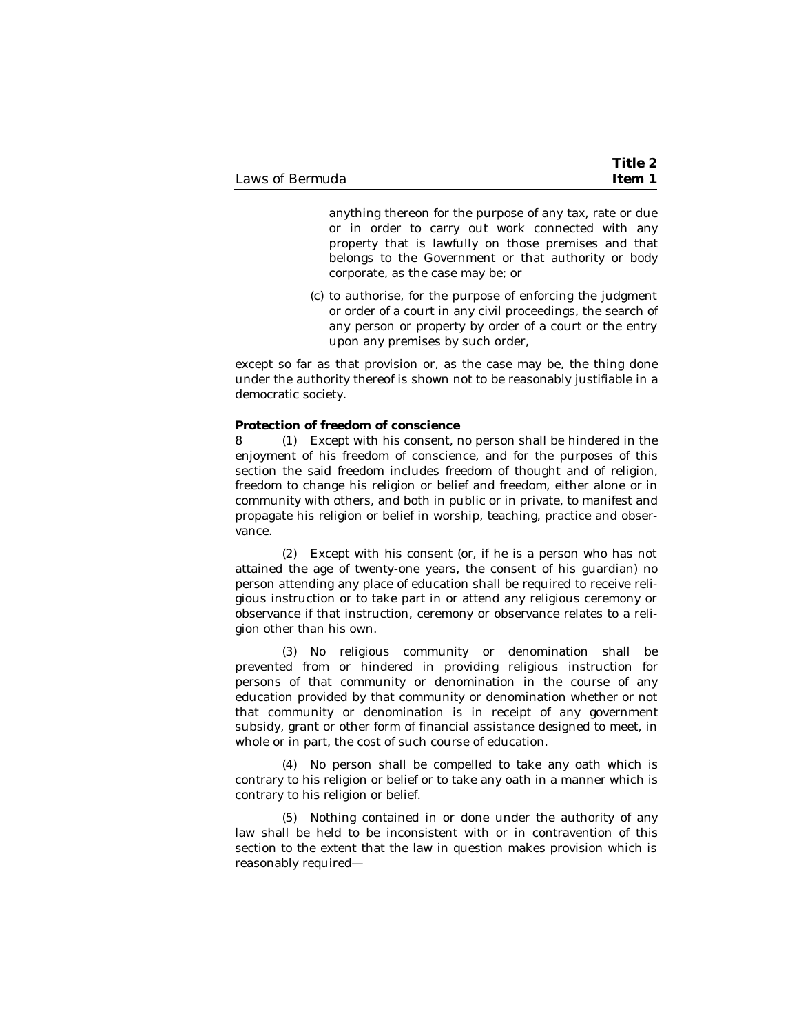**Title 2** 

anything thereon for the purpose of any tax, rate or due or in order to carry out work connected with any property that is lawfully on those premises and that belongs to the Government or that authority or body corporate, as the case may be; or

(c) to authorise, for the purpose of enforcing the judgment or order of a court in any civil proceedings, the search of any person or property by order of a court or the entry upon any premises by such order,

except so far as that provision or, as the case may be, the thing done under the authority thereof is shown not to be reasonably justifiable in a democratic society.

### **Protection of freedom of conscience**

8 (1) Except with his consent, no person shall be hindered in the enjoyment of his freedom of conscience, and for the purposes of this section the said freedom includes freedom of thought and of religion, freedom to change his religion or belief and freedom, either alone or in community with others, and both in public or in private, to manifest and propagate his religion or belief in worship, teaching, practice and observance.

(2) Except with his consent (or, if he is a person who has not attained the age of twenty-one years, the consent of his guardian) no person attending any place of education shall be required to receive religious instruction or to take part in or attend any religious ceremony or observance if that instruction, ceremony or observance relates to a religion other than his own.

(3) No religious community or denomination shall be prevented from or hindered in providing religious instruction for persons of that community or denomination in the course of any education provided by that community or denomination whether or not that community or denomination is in receipt of any government subsidy, grant or other form of financial assistance designed to meet, in whole or in part, the cost of such course of education.

(4) No person shall be compelled to take any oath which is contrary to his religion or belief or to take any oath in a manner which is contrary to his religion or belief.

(5) Nothing contained in or done under the authority of any law shall be held to be inconsistent with or in contravention of this section to the extent that the law in question makes provision which is reasonably required—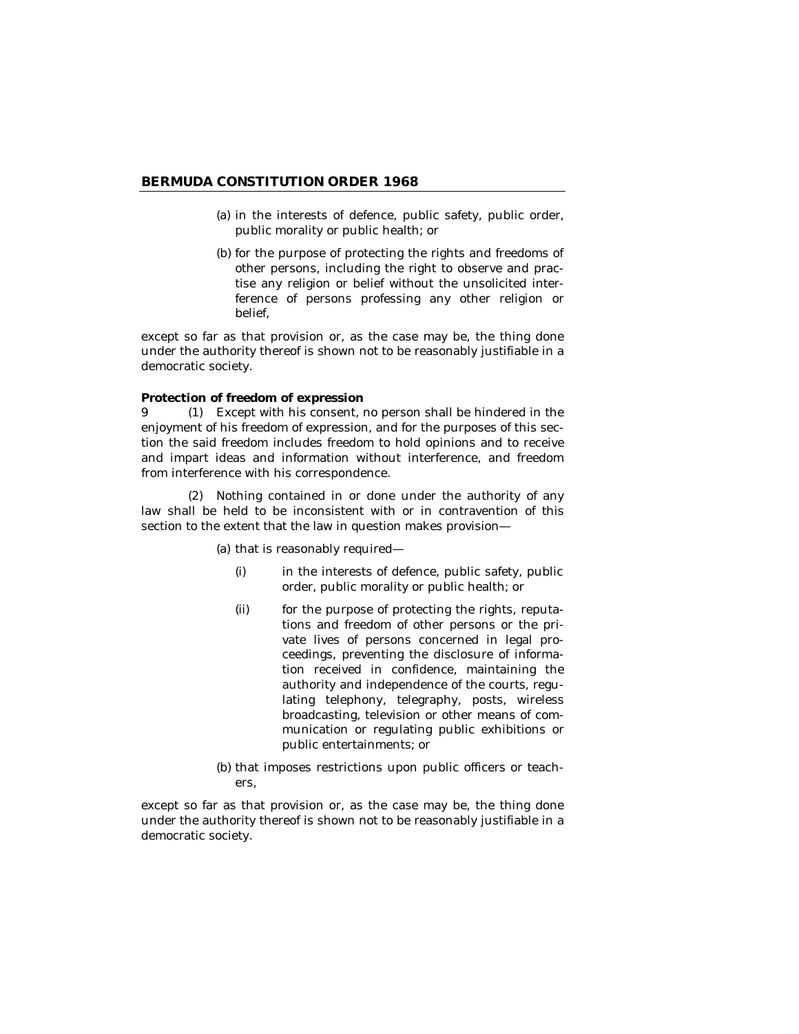- (a) in the interests of defence, public safety, public order, public morality or public health; or
- (b) for the purpose of protecting the rights and freedoms of other persons, including the right to observe and practise any religion or belief without the unsolicited interference of persons professing any other religion or belief,

except so far as that provision or, as the case may be, the thing done under the authority thereof is shown not to be reasonably justifiable in a democratic society.

#### **Protection of freedom of expression**

9 (1) Except with his consent, no person shall be hindered in the enjoyment of his freedom of expression, and for the purposes of this section the said freedom includes freedom to hold opinions and to receive and impart ideas and information without interference, and freedom from interference with his correspondence.

(2) Nothing contained in or done under the authority of any law shall be held to be inconsistent with or in contravention of this section to the extent that the law in question makes provision—

(a) that is reasonably required—

- (i) in the interests of defence, public safety, public order, public morality or public health; or
- (ii) for the purpose of protecting the rights, reputations and freedom of other persons or the private lives of persons concerned in legal proceedings, preventing the disclosure of information received in confidence, maintaining the authority and independence of the courts, regulating telephony, telegraphy, posts, wireless broadcasting, television or other means of communication or regulating public exhibitions or public entertainments; or
- (b) that imposes restrictions upon public officers or teachers,

except so far as that provision or, as the case may be, the thing done under the authority thereof is shown not to be reasonably justifiable in a democratic society.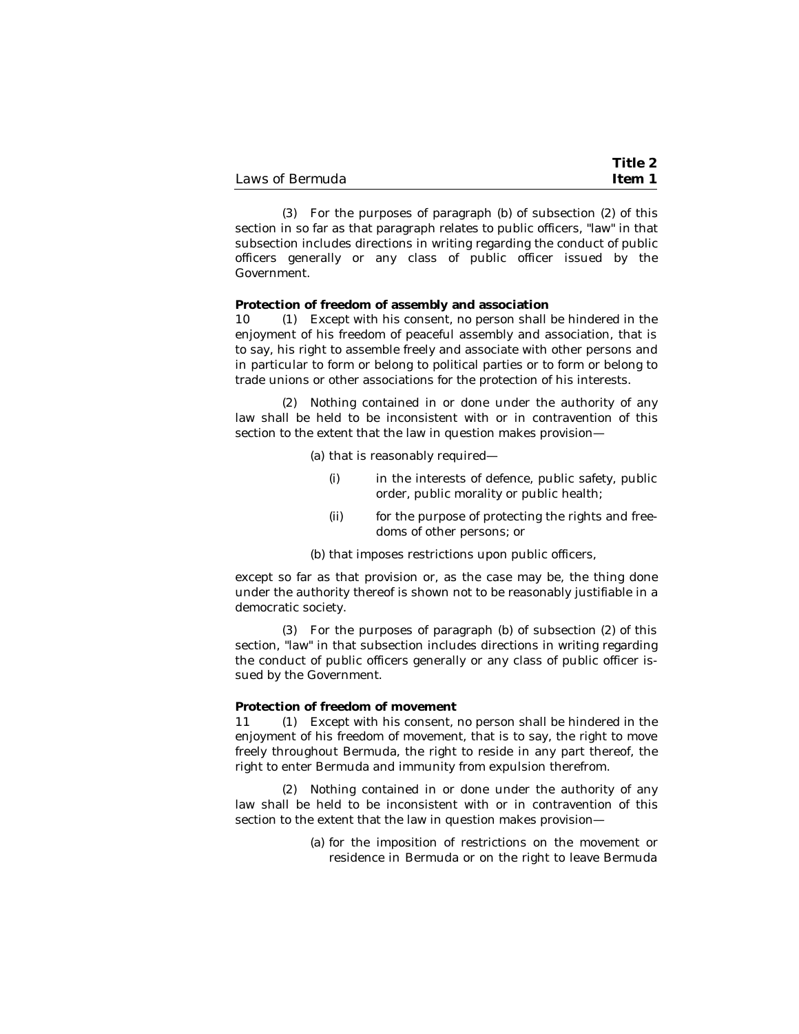(3) For the purposes of paragraph (b) of subsection (2) of this section in so far as that paragraph relates to public officers, "law" in that subsection includes directions in writing regarding the conduct of public officers generally or any class of public officer issued by the Government.

#### **Protection of freedom of assembly and association**

10 (1) Except with his consent, no person shall be hindered in the enjoyment of his freedom of peaceful assembly and association, that is to say, his right to assemble freely and associate with other persons and in particular to form or belong to political parties or to form or belong to trade unions or other associations for the protection of his interests.

(2) Nothing contained in or done under the authority of any law shall be held to be inconsistent with or in contravention of this section to the extent that the law in question makes provision—

(a) that is reasonably required—

- (i) in the interests of defence, public safety, public order, public morality or public health;
- (ii) for the purpose of protecting the rights and freedoms of other persons; or
- (b) that imposes restrictions upon public officers,

except so far as that provision or, as the case may be, the thing done under the authority thereof is shown not to be reasonably justifiable in a democratic society.

(3) For the purposes of paragraph (b) of subsection (2) of this section, "law" in that subsection includes directions in writing regarding the conduct of public officers generally or any class of public officer issued by the Government.

#### **Protection of freedom of movement**

11 (1) Except with his consent, no person shall be hindered in the enjoyment of his freedom of movement, that is to say, the right to move freely throughout Bermuda, the right to reside in any part thereof, the right to enter Bermuda and immunity from expulsion therefrom.

(2) Nothing contained in or done under the authority of any law shall be held to be inconsistent with or in contravention of this section to the extent that the law in question makes provision—

> (a) for the imposition of restrictions on the movement or residence in Bermuda or on the right to leave Bermuda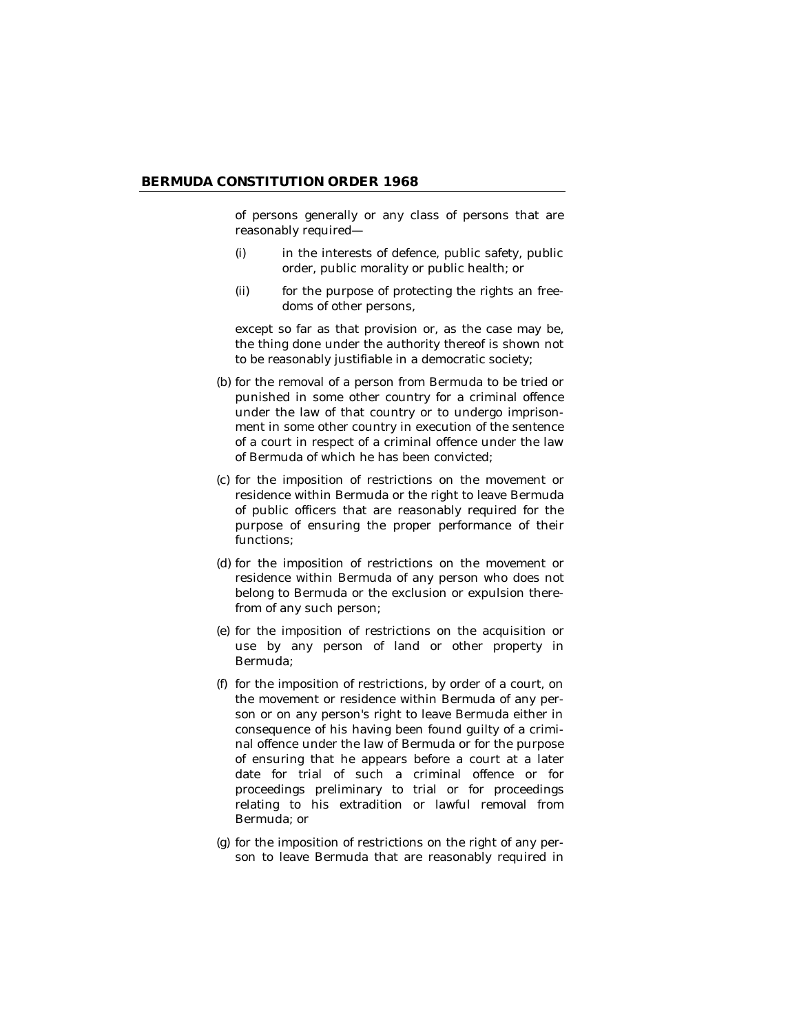of persons generally or any class of persons that are reasonably required—

- (i) in the interests of defence, public safety, public order, public morality or public health; or
- (ii) for the purpose of protecting the rights an freedoms of other persons,

except so far as that provision or, as the case may be, the thing done under the authority thereof is shown not to be reasonably justifiable in a democratic society;

- (b) for the removal of a person from Bermuda to be tried or punished in some other country for a criminal offence under the law of that country or to undergo imprisonment in some other country in execution of the sentence of a court in respect of a criminal offence under the law of Bermuda of which he has been convicted;
- (c) for the imposition of restrictions on the movement or residence within Bermuda or the right to leave Bermuda of public officers that are reasonably required for the purpose of ensuring the proper performance of their functions;
- (d) for the imposition of restrictions on the movement or residence within Bermuda of any person who does not belong to Bermuda or the exclusion or expulsion therefrom of any such person;
- (e) for the imposition of restrictions on the acquisition or use by any person of land or other property in Bermuda;
- (f) for the imposition of restrictions, by order of a court, on the movement or residence within Bermuda of any person or on any person's right to leave Bermuda either in consequence of his having been found guilty of a criminal offence under the law of Bermuda or for the purpose of ensuring that he appears before a court at a later date for trial of such a criminal offence or for proceedings preliminary to trial or for proceedings relating to his extradition or lawful removal from Bermuda; or
- (g) for the imposition of restrictions on the right of any person to leave Bermuda that are reasonably required in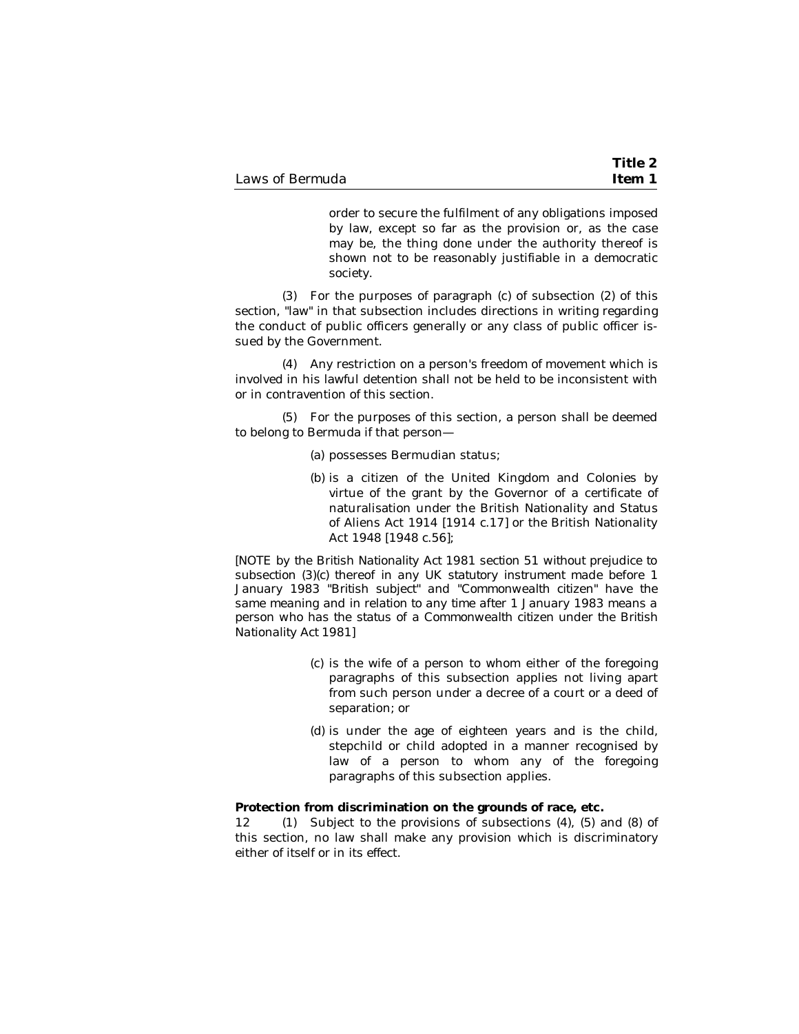order to secure the fulfilment of any obligations imposed by law, except so far as the provision or, as the case may be, the thing done under the authority thereof is shown not to be reasonably justifiable in a democratic society.

(3) For the purposes of paragraph (c) of subsection (2) of this section, "law" in that subsection includes directions in writing regarding the conduct of public officers generally or any class of public officer issued by the Government.

(4) Any restriction on a person's freedom of movement which is involved in his lawful detention shall not be held to be inconsistent with or in contravention of this section.

(5) For the purposes of this section, a person shall be deemed to belong to Bermuda if that person—

- (a) possesses Bermudian status;
- (b) is a citizen of the United Kingdom and Colonies by virtue of the grant by the Governor of a certificate of naturalisation under the British Nationality and Status of Aliens Act 1914 [*1914 c.17*] or the British Nationality Act 1948 [*1948 c.56*];

[*NOTE by the British Nationality Act 1981 section 51 without prejudice to subsection (3)(c) thereof in any UK statutory instrument made before 1 January 1983 "British subject" and "Commonwealth citizen" have the same meaning and in relation to any time after 1 January 1983 means a person who has the status of a Commonwealth citizen under the British Nationality Act 1981*]

- (c) is the wife of a person to whom either of the foregoing paragraphs of this subsection applies not living apart from such person under a decree of a court or a deed of separation; or
- (d) is under the age of eighteen years and is the child, stepchild or child adopted in a manner recognised by law of a person to whom any of the foregoing paragraphs of this subsection applies.

### **Protection from discrimination on the grounds of race, etc.**

12 (1) Subject to the provisions of subsections (4), (5) and (8) of this section, no law shall make any provision which is discriminatory either of itself or in its effect.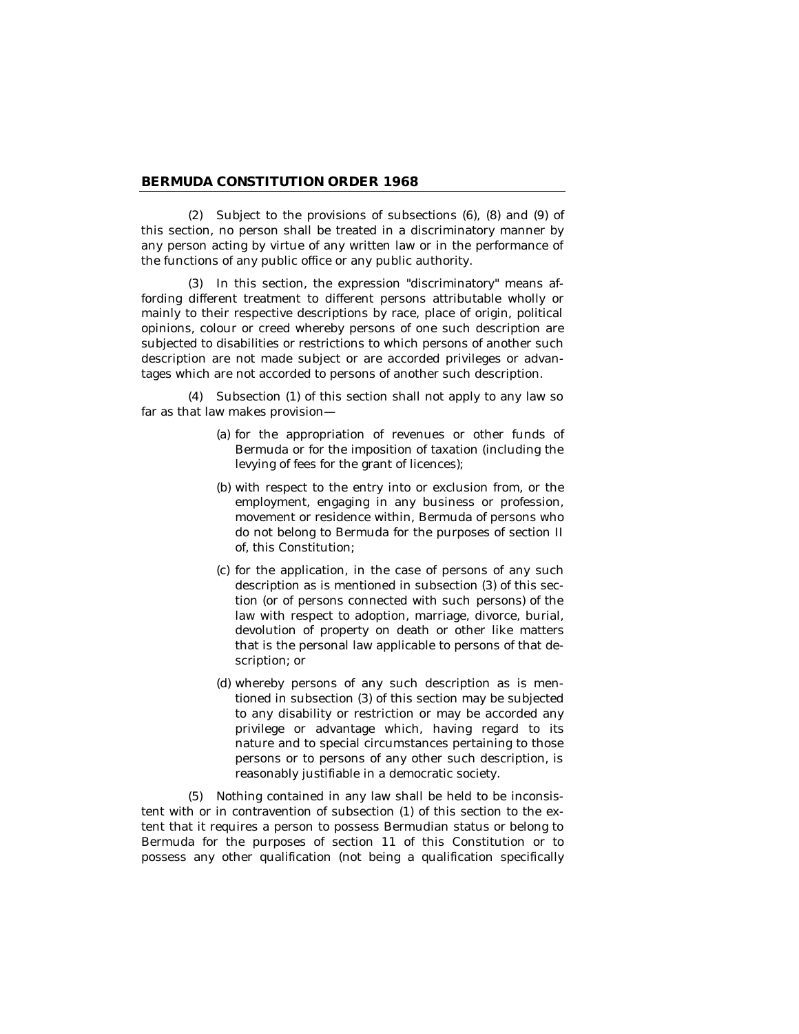(2) Subject to the provisions of subsections (6), (8) and (9) of this section, no person shall be treated in a discriminatory manner by any person acting by virtue of any written law or in the performance of the functions of any public office or any public authority.

(3) In this section, the expression "discriminatory" means affording different treatment to different persons attributable wholly or mainly to their respective descriptions by race, place of origin, political opinions, colour or creed whereby persons of one such description are subjected to disabilities or restrictions to which persons of another such description are not made subject or are accorded privileges or advantages which are not accorded to persons of another such description.

(4) Subsection (1) of this section shall not apply to any law so far as that law makes provision—

- (a) for the appropriation of revenues or other funds of Bermuda or for the imposition of taxation (including the levying of fees for the grant of licences);
- (b) with respect to the entry into or exclusion from, or the employment, engaging in any business or profession, movement or residence within, Bermuda of persons who do not belong to Bermuda for the purposes of section II of, this Constitution;
- (c) for the application, in the case of persons of any such description as is mentioned in subsection (3) of this section (or of persons connected with such persons) of the law with respect to adoption, marriage, divorce, burial, devolution of property on death or other like matters that is the personal law applicable to persons of that description; or
- (d) whereby persons of any such description as is mentioned in subsection (3) of this section may be subjected to any disability or restriction or may be accorded any privilege or advantage which, having regard to its nature and to special circumstances pertaining to those persons or to persons of any other such description, is reasonably justifiable in a democratic society.

(5) Nothing contained in any law shall be held to be inconsistent with or in contravention of subsection (1) of this section to the extent that it requires a person to possess Bermudian status or belong to Bermuda for the purposes of section 11 of this Constitution or to possess any other qualification (not being a qualification specifically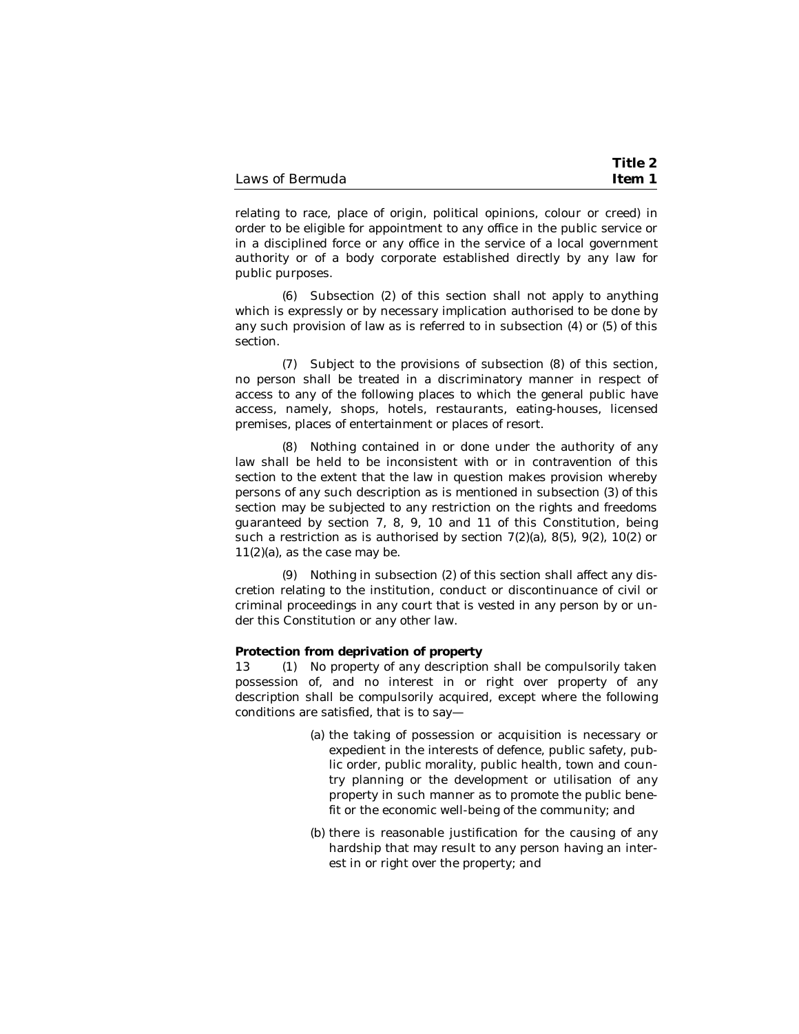relating to race, place of origin, political opinions, colour or creed) in order to be eligible for appointment to any office in the public service or in a disciplined force or any office in the service of a local government authority or of a body corporate established directly by any law for public purposes.

(6) Subsection (2) of this section shall not apply to anything which is expressly or by necessary implication authorised to be done by any such provision of law as is referred to in subsection (4) or (5) of this section.

(7) Subject to the provisions of subsection (8) of this section, no person shall be treated in a discriminatory manner in respect of access to any of the following places to which the general public have access, namely, shops, hotels, restaurants, eating-houses, licensed premises, places of entertainment or places of resort.

(8) Nothing contained in or done under the authority of any law shall be held to be inconsistent with or in contravention of this section to the extent that the law in question makes provision whereby persons of any such description as is mentioned in subsection (3) of this section may be subjected to any restriction on the rights and freedoms guaranteed by section 7, 8, 9, 10 and 11 of this Constitution, being such a restriction as is authorised by section 7(2)(a), 8(5), 9(2), 10(2) or  $11(2)(a)$ , as the case may be.

(9) Nothing in subsection (2) of this section shall affect any discretion relating to the institution, conduct or discontinuance of civil or criminal proceedings in any court that is vested in any person by or under this Constitution or any other law.

#### **Protection from deprivation of property**

13 (1) No property of any description shall be compulsorily taken possession of, and no interest in or right over property of any description shall be compulsorily acquired, except where the following conditions are satisfied, that is to say—

- (a) the taking of possession or acquisition is necessary or expedient in the interests of defence, public safety, public order, public morality, public health, town and country planning or the development or utilisation of any property in such manner as to promote the public benefit or the economic well-being of the community; and
- (b) there is reasonable justification for the causing of any hardship that may result to any person having an interest in or right over the property; and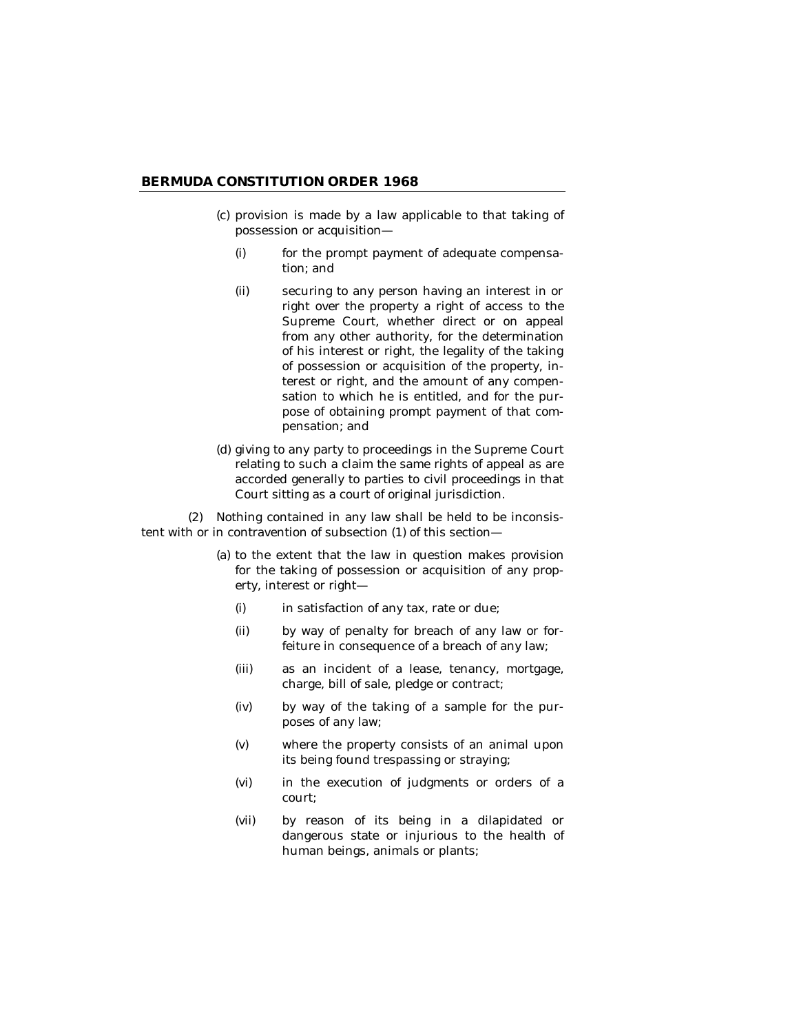- (c) provision is made by a law applicable to that taking of possession or acquisition—
	- (i) for the prompt payment of adequate compensation; and
	- (ii) securing to any person having an interest in or right over the property a right of access to the Supreme Court, whether direct or on appeal from any other authority, for the determination of his interest or right, the legality of the taking of possession or acquisition of the property, interest or right, and the amount of any compensation to which he is entitled, and for the purpose of obtaining prompt payment of that compensation; and
- (d) giving to any party to proceedings in the Supreme Court relating to such a claim the same rights of appeal as are accorded generally to parties to civil proceedings in that Court sitting as a court of original jurisdiction.

(2) Nothing contained in any law shall be held to be inconsistent with or in contravention of subsection (1) of this section—

- (a) to the extent that the law in question makes provision for the taking of possession or acquisition of any property, interest or right—
	- (i) in satisfaction of any tax, rate or due;
	- (ii) by way of penalty for breach of any law or forfeiture in consequence of a breach of any law;
	- (iii) as an incident of a lease, tenancy, mortgage, charge, bill of sale, pledge or contract;
	- (iv) by way of the taking of a sample for the purposes of any law;
	- (v) where the property consists of an animal upon its being found trespassing or straying;
	- (vi) in the execution of judgments or orders of a court;
	- (vii) by reason of its being in a dilapidated or dangerous state or injurious to the health of human beings, animals or plants;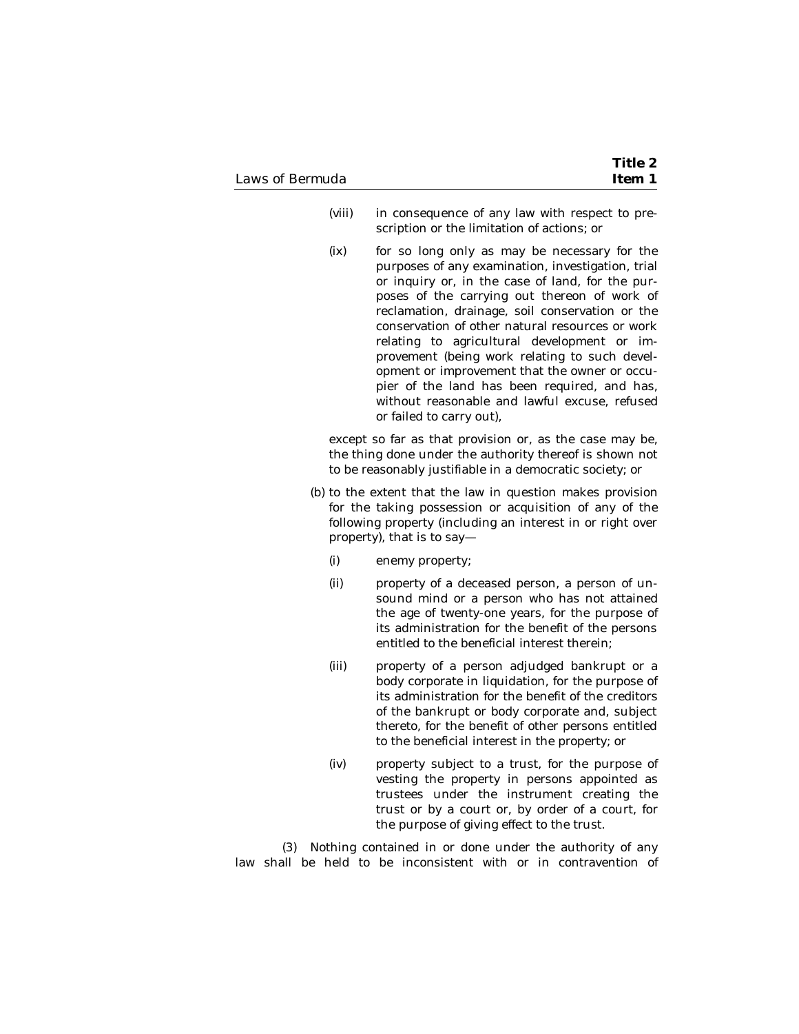- (viii) in consequence of any law with respect to prescription or the limitation of actions; or
- (ix) for so long only as may be necessary for the purposes of any examination, investigation, trial or inquiry or, in the case of land, for the purposes of the carrying out thereon of work of reclamation, drainage, soil conservation or the conservation of other natural resources or work relating to agricultural development or improvement (being work relating to such development or improvement that the owner or occupier of the land has been required, and has, without reasonable and lawful excuse, refused or failed to carry out),

except so far as that provision or, as the case may be, the thing done under the authority thereof is shown not to be reasonably justifiable in a democratic society; or

- (b) to the extent that the law in question makes provision for the taking possession or acquisition of any of the following property (including an interest in or right over property), that is to say—
	- (i) enemy property;
	- (ii) property of a deceased person, a person of unsound mind or a person who has not attained the age of twenty-one years, for the purpose of its administration for the benefit of the persons entitled to the beneficial interest therein;
	- (iii) property of a person adjudged bankrupt or a body corporate in liquidation, for the purpose of its administration for the benefit of the creditors of the bankrupt or body corporate and, subject thereto, for the benefit of other persons entitled to the beneficial interest in the property; or
	- (iv) property subject to a trust, for the purpose of vesting the property in persons appointed as trustees under the instrument creating the trust or by a court or, by order of a court, for the purpose of giving effect to the trust.

(3) Nothing contained in or done under the authority of any law shall be held to be inconsistent with or in contravention of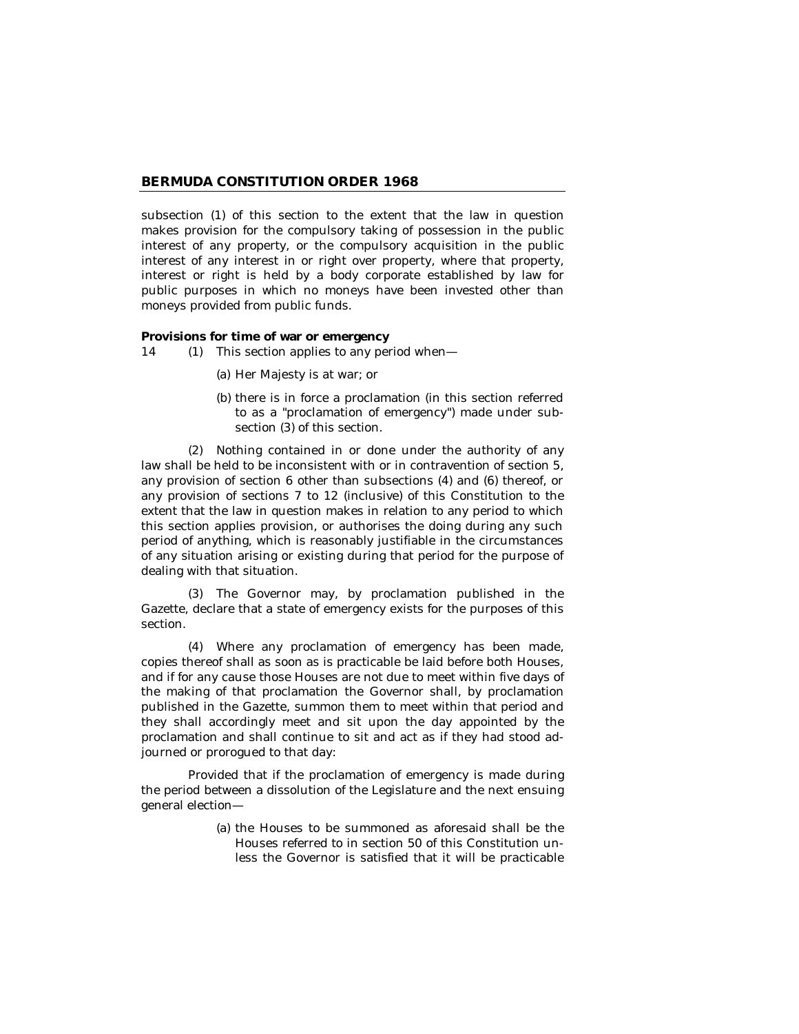subsection (1) of this section to the extent that the law in question makes provision for the compulsory taking of possession in the public interest of any property, or the compulsory acquisition in the public interest of any interest in or right over property, where that property, interest or right is held by a body corporate established by law for public purposes in which no moneys have been invested other than moneys provided from public funds.

#### **Provisions for time of war or emergency**

14 (1) This section applies to any period when—

- (a) Her Majesty is at war; or
- (b) there is in force a proclamation (in this section referred to as a "proclamation of emergency") made under subsection (3) of this section.

(2) Nothing contained in or done under the authority of any law shall be held to be inconsistent with or in contravention of section 5, any provision of section 6 other than subsections (4) and (6) thereof, or any provision of sections 7 to 12 (inclusive) of this Constitution to the extent that the law in question makes in relation to any period to which this section applies provision, or authorises the doing during any such period of anything, which is reasonably justifiable in the circumstances of any situation arising or existing during that period for the purpose of dealing with that situation.

(3) The Governor may, by proclamation published in the Gazette, declare that a state of emergency exists for the purposes of this section.

(4) Where any proclamation of emergency has been made, copies thereof shall as soon as is practicable be laid before both Houses, and if for any cause those Houses are not due to meet within five days of the making of that proclamation the Governor shall, by proclamation published in the Gazette, summon them to meet within that period and they shall accordingly meet and sit upon the day appointed by the proclamation and shall continue to sit and act as if they had stood adjourned or prorogued to that day:

Provided that if the proclamation of emergency is made during the period between a dissolution of the Legislature and the next ensuing general election—

> (a) the Houses to be summoned as aforesaid shall be the Houses referred to in section 50 of this Constitution unless the Governor is satisfied that it will be practicable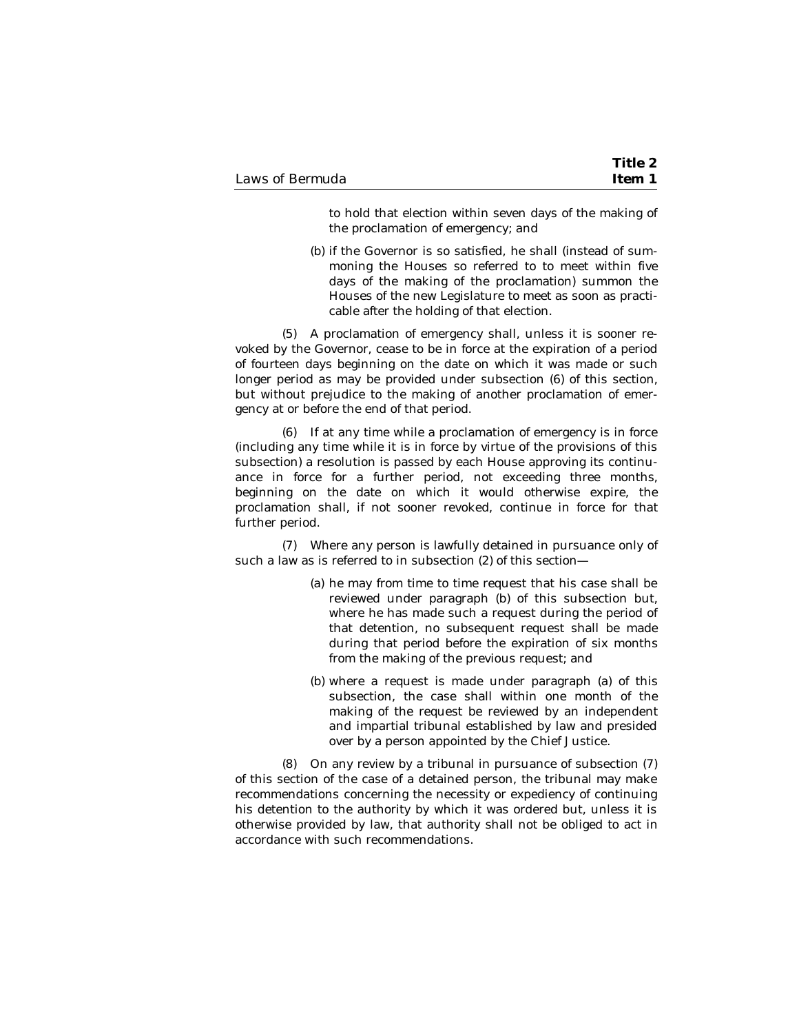to hold that election within seven days of the making of the proclamation of emergency; and

(b) if the Governor is so satisfied, he shall (instead of summoning the Houses so referred to to meet within five days of the making of the proclamation) summon the Houses of the new Legislature to meet as soon as practicable after the holding of that election.

(5) A proclamation of emergency shall, unless it is sooner revoked by the Governor, cease to be in force at the expiration of a period of fourteen days beginning on the date on which it was made or such longer period as may be provided under subsection (6) of this section, but without prejudice to the making of another proclamation of emergency at or before the end of that period.

(6) If at any time while a proclamation of emergency is in force (including any time while it is in force by virtue of the provisions of this subsection) a resolution is passed by each House approving its continuance in force for a further period, not exceeding three months, beginning on the date on which it would otherwise expire, the proclamation shall, if not sooner revoked, continue in force for that further period.

(7) Where any person is lawfully detained in pursuance only of such a law as is referred to in subsection (2) of this section—

- (a) he may from time to time request that his case shall be reviewed under paragraph (b) of this subsection but, where he has made such a request during the period of that detention, no subsequent request shall be made during that period before the expiration of six months from the making of the previous request; and
- (b) where a request is made under paragraph (a) of this subsection, the case shall within one month of the making of the request be reviewed by an independent and impartial tribunal established by law and presided over by a person appointed by the Chief Justice.

(8) On any review by a tribunal in pursuance of subsection (7) of this section of the case of a detained person, the tribunal may make recommendations concerning the necessity or expediency of continuing his detention to the authority by which it was ordered but, unless it is otherwise provided by law, that authority shall not be obliged to act in accordance with such recommendations.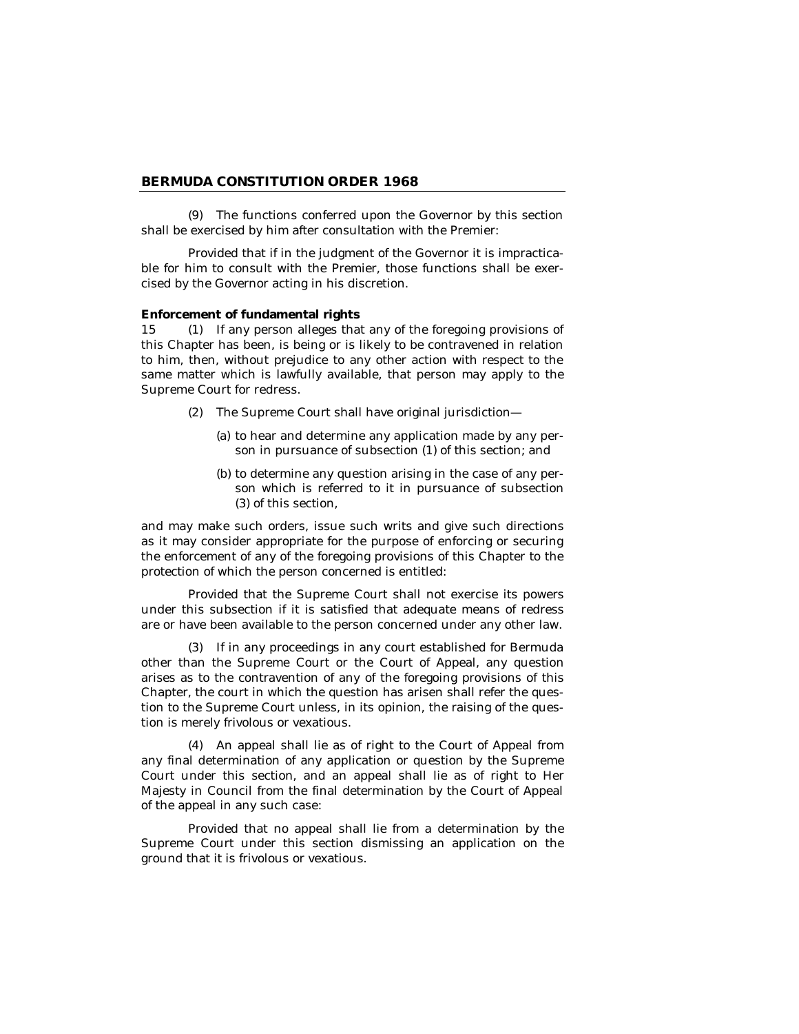(9) The functions conferred upon the Governor by this section shall be exercised by him after consultation with the Premier:

Provided that if in the judgment of the Governor it is impracticable for him to consult with the Premier, those functions shall be exercised by the Governor acting in his discretion.

#### **Enforcement of fundamental rights**

15 (1) If any person alleges that any of the foregoing provisions of this Chapter has been, is being or is likely to be contravened in relation to him, then, without prejudice to any other action with respect to the same matter which is lawfully available, that person may apply to the Supreme Court for redress.

- (2) The Supreme Court shall have original jurisdiction—
	- (a) to hear and determine any application made by any person in pursuance of subsection (1) of this section; and
	- (b) to determine any question arising in the case of any person which is referred to it in pursuance of subsection (3) of this section,

and may make such orders, issue such writs and give such directions as it may consider appropriate for the purpose of enforcing or securing the enforcement of any of the foregoing provisions of this Chapter to the protection of which the person concerned is entitled:

Provided that the Supreme Court shall not exercise its powers under this subsection if it is satisfied that adequate means of redress are or have been available to the person concerned under any other law.

(3) If in any proceedings in any court established for Bermuda other than the Supreme Court or the Court of Appeal, any question arises as to the contravention of any of the foregoing provisions of this Chapter, the court in which the question has arisen shall refer the question to the Supreme Court unless, in its opinion, the raising of the question is merely frivolous or vexatious.

(4) An appeal shall lie as of right to the Court of Appeal from any final determination of any application or question by the Supreme Court under this section, and an appeal shall lie as of right to Her Majesty in Council from the final determination by the Court of Appeal of the appeal in any such case:

Provided that no appeal shall lie from a determination by the Supreme Court under this section dismissing an application on the ground that it is frivolous or vexatious.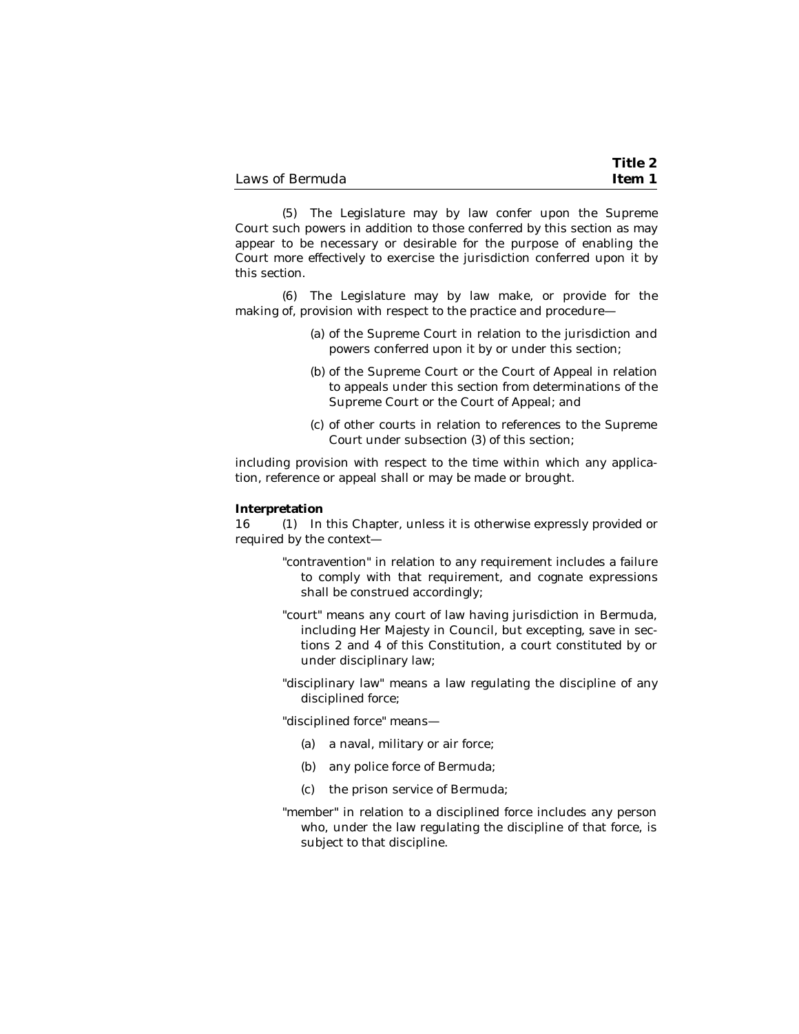**Title 2** 

(5) The Legislature may by law confer upon the Supreme Court such powers in addition to those conferred by this section as may appear to be necessary or desirable for the purpose of enabling the Court more effectively to exercise the jurisdiction conferred upon it by this section.

(6) The Legislature may by law make, or provide for the making of, provision with respect to the practice and procedure—

- (a) of the Supreme Court in relation to the jurisdiction and powers conferred upon it by or under this section;
- (b) of the Supreme Court or the Court of Appeal in relation to appeals under this section from determinations of the Supreme Court or the Court of Appeal; and
- (c) of other courts in relation to references to the Supreme Court under subsection (3) of this section;

including provision with respect to the time within which any application, reference or appeal shall or may be made or brought.

#### **Interpretation**

16 (1) In this Chapter, unless it is otherwise expressly provided or required by the context—

- "contravention" in relation to any requirement includes a failure to comply with that requirement, and cognate expressions shall be construed accordingly;
- "court" means any court of law having jurisdiction in Bermuda, including Her Majesty in Council, but excepting, save in sections 2 and 4 of this Constitution, a court constituted by or under disciplinary law;
- "disciplinary law" means a law regulating the discipline of any disciplined force;

"disciplined force" means—

- (a) a naval, military or air force;
- (b) any police force of Bermuda;
- (c) the prison service of Bermuda;
- "member" in relation to a disciplined force includes any person who, under the law regulating the discipline of that force, is subject to that discipline.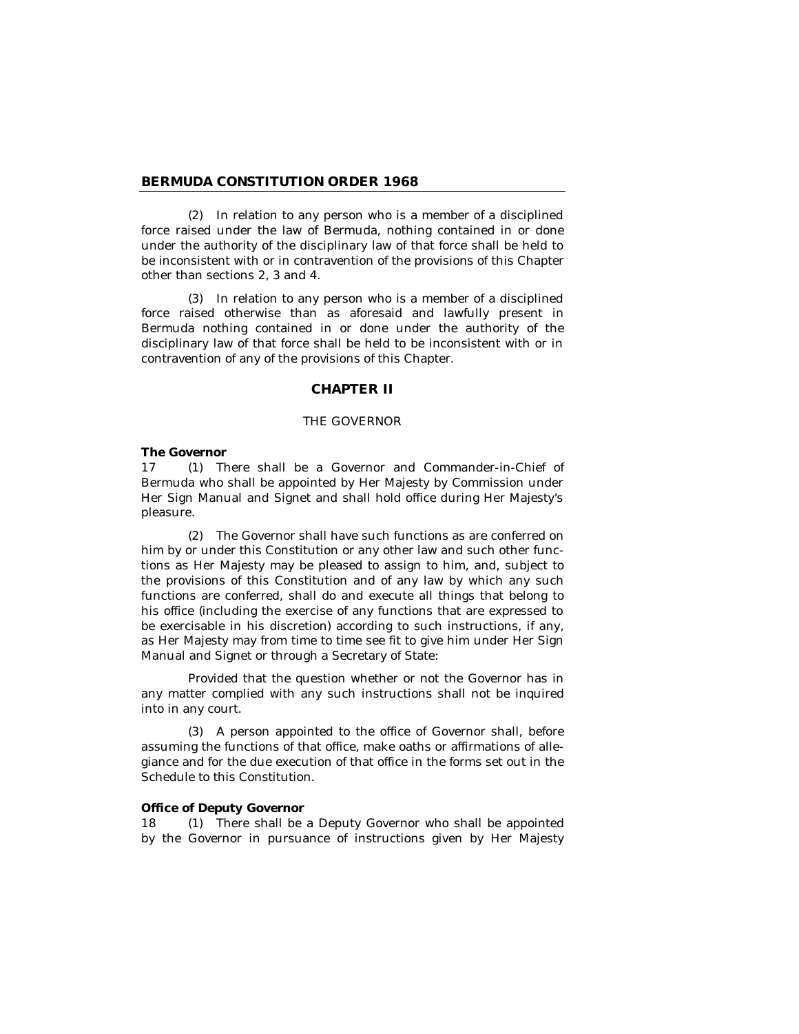(2) In relation to any person who is a member of a disciplined force raised under the law of Bermuda, nothing contained in or done under the authority of the disciplinary law of that force shall be held to be inconsistent with or in contravention of the provisions of this Chapter other than sections 2, 3 and 4.

(3) In relation to any person who is a member of a disciplined force raised otherwise than as aforesaid and lawfully present in Bermuda nothing contained in or done under the authority of the disciplinary law of that force shall be held to be inconsistent with or in contravention of any of the provisions of this Chapter.

## **CHAPTER II**

### THE GOVERNOR

### **The Governor**

17 (1) There shall be a Governor and Commander-in-Chief of Bermuda who shall be appointed by Her Majesty by Commission under Her Sign Manual and Signet and shall hold office during Her Majesty's pleasure.

(2) The Governor shall have such functions as are conferred on him by or under this Constitution or any other law and such other functions as Her Majesty may be pleased to assign to him, and, subject to the provisions of this Constitution and of any law by which any such functions are conferred, shall do and execute all things that belong to his office (including the exercise of any functions that are expressed to be exercisable in his discretion) according to such instructions, if any, as Her Majesty may from time to time see fit to give him under Her Sign Manual and Signet or through a Secretary of State:

Provided that the question whether or not the Governor has in any matter complied with any such instructions shall not be inquired into in any court.

(3) A person appointed to the office of Governor shall, before assuming the functions of that office, make oaths or affirmations of allegiance and for the due execution of that office in the forms set out in the Schedule to this Constitution.

#### **Office of Deputy Governor**

18 (1) There shall be a Deputy Governor who shall be appointed by the Governor in pursuance of instructions given by Her Majesty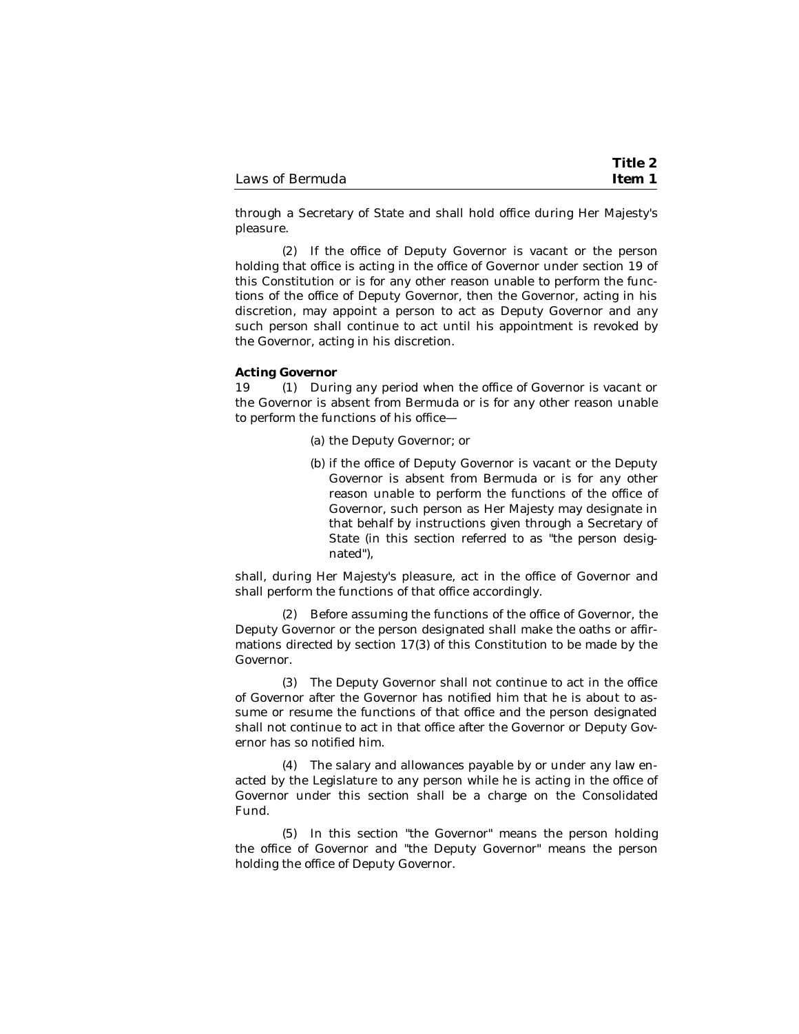|                 | Title 2 |
|-----------------|---------|
| Laws of Bermuda | Item    |

through a Secretary of State and shall hold office during Her Majesty's pleasure.

(2) If the office of Deputy Governor is vacant or the person holding that office is acting in the office of Governor under section 19 of this Constitution or is for any other reason unable to perform the functions of the office of Deputy Governor, then the Governor, acting in his discretion, may appoint a person to act as Deputy Governor and any such person shall continue to act until his appointment is revoked by the Governor, acting in his discretion.

### **Acting Governor**

19 (1) During any period when the office of Governor is vacant or the Governor is absent from Bermuda or is for any other reason unable to perform the functions of his office—

(a) the Deputy Governor; or

(b) if the office of Deputy Governor is vacant or the Deputy Governor is absent from Bermuda or is for any other reason unable to perform the functions of the office of Governor, such person as Her Majesty may designate in that behalf by instructions given through a Secretary of State (in this section referred to as "the person designated"),

shall, during Her Majesty's pleasure, act in the office of Governor and shall perform the functions of that office accordingly.

(2) Before assuming the functions of the office of Governor, the Deputy Governor or the person designated shall make the oaths or affirmations directed by section 17(3) of this Constitution to be made by the Governor.

(3) The Deputy Governor shall not continue to act in the office of Governor after the Governor has notified him that he is about to assume or resume the functions of that office and the person designated shall not continue to act in that office after the Governor or Deputy Governor has so notified him.

(4) The salary and allowances payable by or under any law enacted by the Legislature to any person while he is acting in the office of Governor under this section shall be a charge on the Consolidated Fund.

(5) In this section "the Governor" means the person holding the office of Governor and "the Deputy Governor" means the person holding the office of Deputy Governor.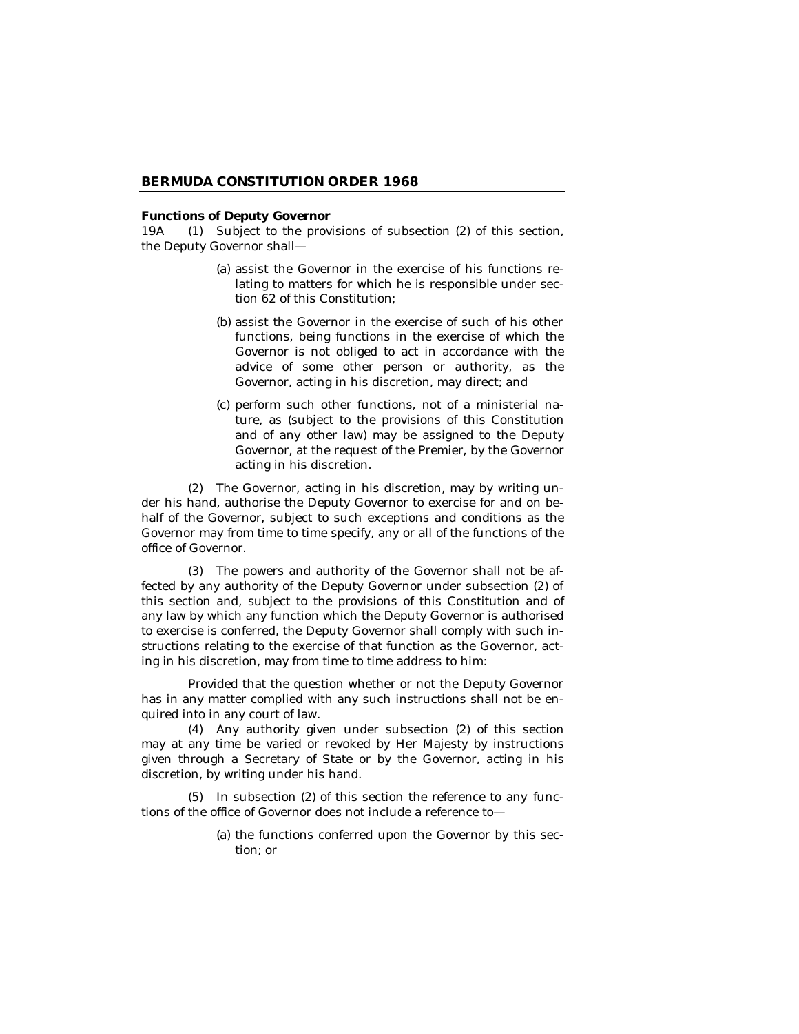#### **Functions of Deputy Governor**

19A (1) Subject to the provisions of subsection (2) of this section, the Deputy Governor shall—

- (a) assist the Governor in the exercise of his functions relating to matters for which he is responsible under section 62 of this Constitution;
- (b) assist the Governor in the exercise of such of his other functions, being functions in the exercise of which the Governor is not obliged to act in accordance with the advice of some other person or authority, as the Governor, acting in his discretion, may direct; and
- (c) perform such other functions, not of a ministerial nature, as (subject to the provisions of this Constitution and of any other law) may be assigned to the Deputy Governor, at the request of the Premier, by the Governor acting in his discretion.

(2) The Governor, acting in his discretion, may by writing under his hand, authorise the Deputy Governor to exercise for and on behalf of the Governor, subject to such exceptions and conditions as the Governor may from time to time specify, any or all of the functions of the office of Governor.

(3) The powers and authority of the Governor shall not be affected by any authority of the Deputy Governor under subsection (2) of this section and, subject to the provisions of this Constitution and of any law by which any function which the Deputy Governor is authorised to exercise is conferred, the Deputy Governor shall comply with such instructions relating to the exercise of that function as the Governor, acting in his discretion, may from time to time address to him:

Provided that the question whether or not the Deputy Governor has in any matter complied with any such instructions shall not be enquired into in any court of law.

(4) Any authority given under subsection (2) of this section may at any time be varied or revoked by Her Majesty by instructions given through a Secretary of State or by the Governor, acting in his discretion, by writing under his hand.

(5) In subsection (2) of this section the reference to any functions of the office of Governor does not include a reference to—

> (a) the functions conferred upon the Governor by this section; or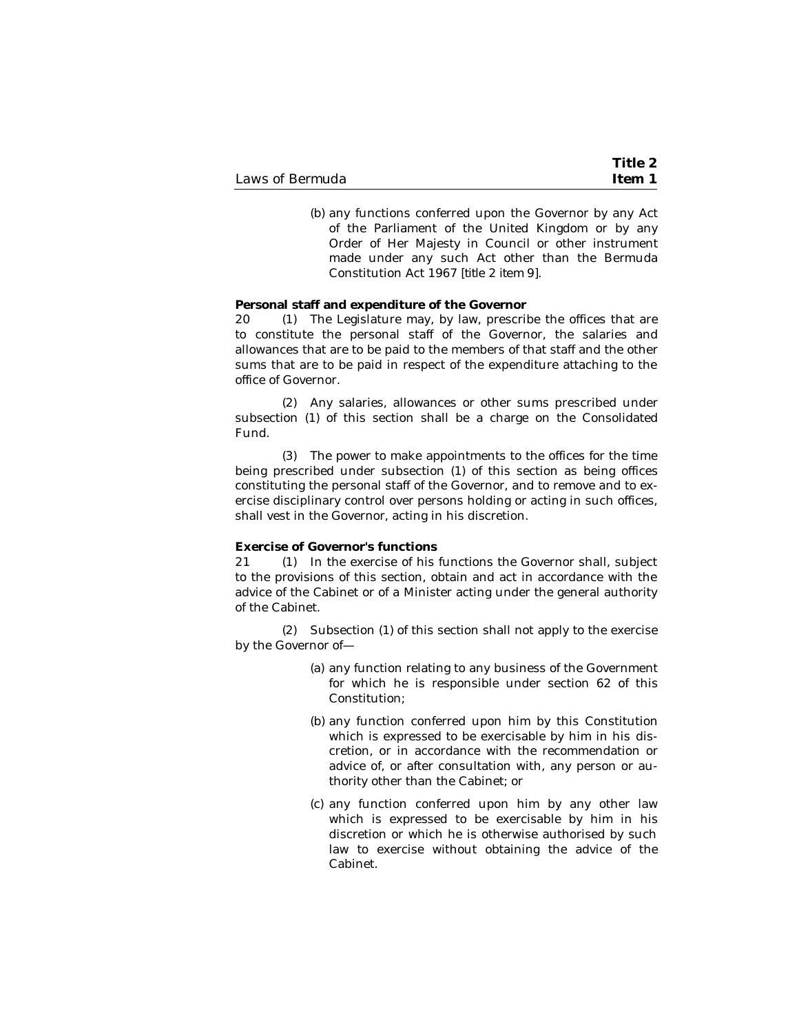(b) any functions conferred upon the Governor by any Act of the Parliament of the United Kingdom or by any Order of Her Majesty in Council or other instrument made under any such Act other than the Bermuda Constitution Act 1967 [*title 2 item 9*].

#### **Personal staff and expenditure of the Governor**

20 (1) The Legislature may, by law, prescribe the offices that are to constitute the personal staff of the Governor, the salaries and allowances that are to be paid to the members of that staff and the other sums that are to be paid in respect of the expenditure attaching to the office of Governor.

(2) Any salaries, allowances or other sums prescribed under subsection (1) of this section shall be a charge on the Consolidated Fund.

(3) The power to make appointments to the offices for the time being prescribed under subsection (1) of this section as being offices constituting the personal staff of the Governor, and to remove and to exercise disciplinary control over persons holding or acting in such offices, shall vest in the Governor, acting in his discretion.

#### **Exercise of Governor's functions**

21 (1) In the exercise of his functions the Governor shall, subject to the provisions of this section, obtain and act in accordance with the advice of the Cabinet or of a Minister acting under the general authority of the Cabinet.

(2) Subsection (1) of this section shall not apply to the exercise by the Governor of—

- (a) any function relating to any business of the Government for which he is responsible under section 62 of this Constitution;
- (b) any function conferred upon him by this Constitution which is expressed to be exercisable by him in his discretion, or in accordance with the recommendation or advice of, or after consultation with, any person or authority other than the Cabinet; or
- (c) any function conferred upon him by any other law which is expressed to be exercisable by him in his discretion or which he is otherwise authorised by such law to exercise without obtaining the advice of the Cabinet.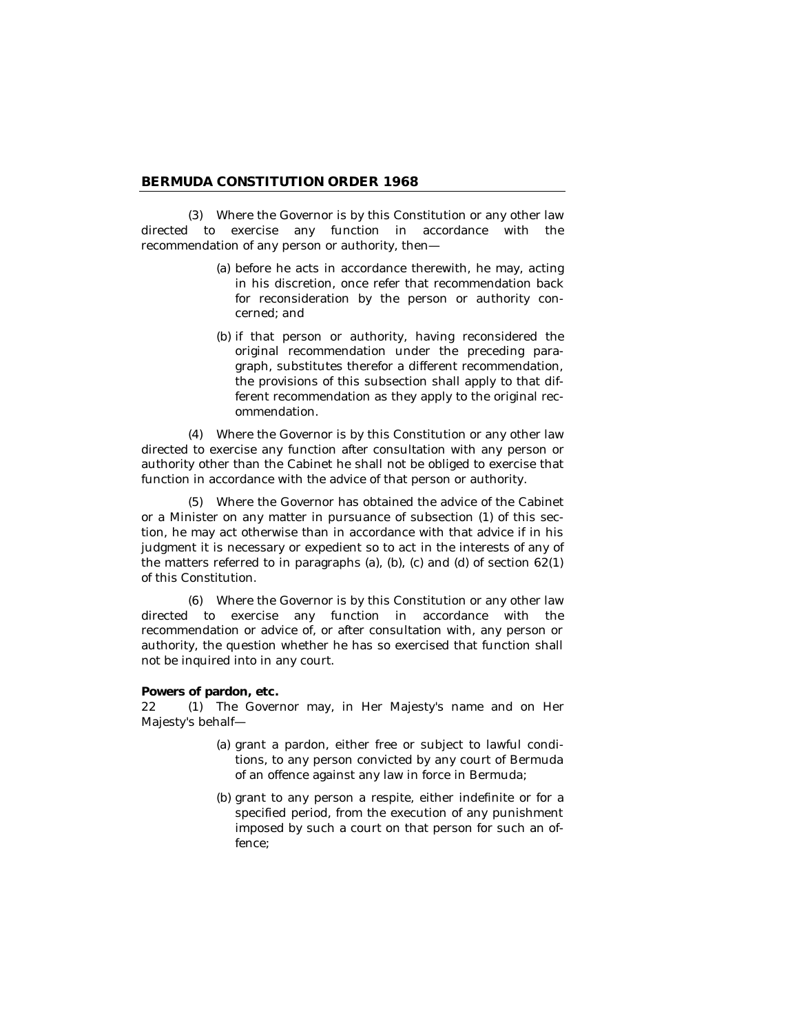(3) Where the Governor is by this Constitution or any other law directed to exercise any function in accordance with the recommendation of any person or authority, then—

- (a) before he acts in accordance therewith, he may, acting in his discretion, once refer that recommendation back for reconsideration by the person or authority concerned; and
- (b) if that person or authority, having reconsidered the original recommendation under the preceding paragraph, substitutes therefor a different recommendation, the provisions of this subsection shall apply to that different recommendation as they apply to the original recommendation.

(4) Where the Governor is by this Constitution or any other law directed to exercise any function after consultation with any person or authority other than the Cabinet he shall not be obliged to exercise that function in accordance with the advice of that person or authority.

(5) Where the Governor has obtained the advice of the Cabinet or a Minister on any matter in pursuance of subsection (1) of this section, he may act otherwise than in accordance with that advice if in his judgment it is necessary or expedient so to act in the interests of any of the matters referred to in paragraphs (a), (b), (c) and (d) of section  $62(1)$ of this Constitution.

(6) Where the Governor is by this Constitution or any other law directed to exercise any function in accordance with the recommendation or advice of, or after consultation with, any person or authority, the question whether he has so exercised that function shall not be inquired into in any court.

#### **Powers of pardon, etc.**

22 (1) The Governor may, in Her Majesty's name and on Her Majesty's behalf—

- (a) grant a pardon, either free or subject to lawful conditions, to any person convicted by any court of Bermuda of an offence against any law in force in Bermuda;
- (b) grant to any person a respite, either indefinite or for a specified period, from the execution of any punishment imposed by such a court on that person for such an offence;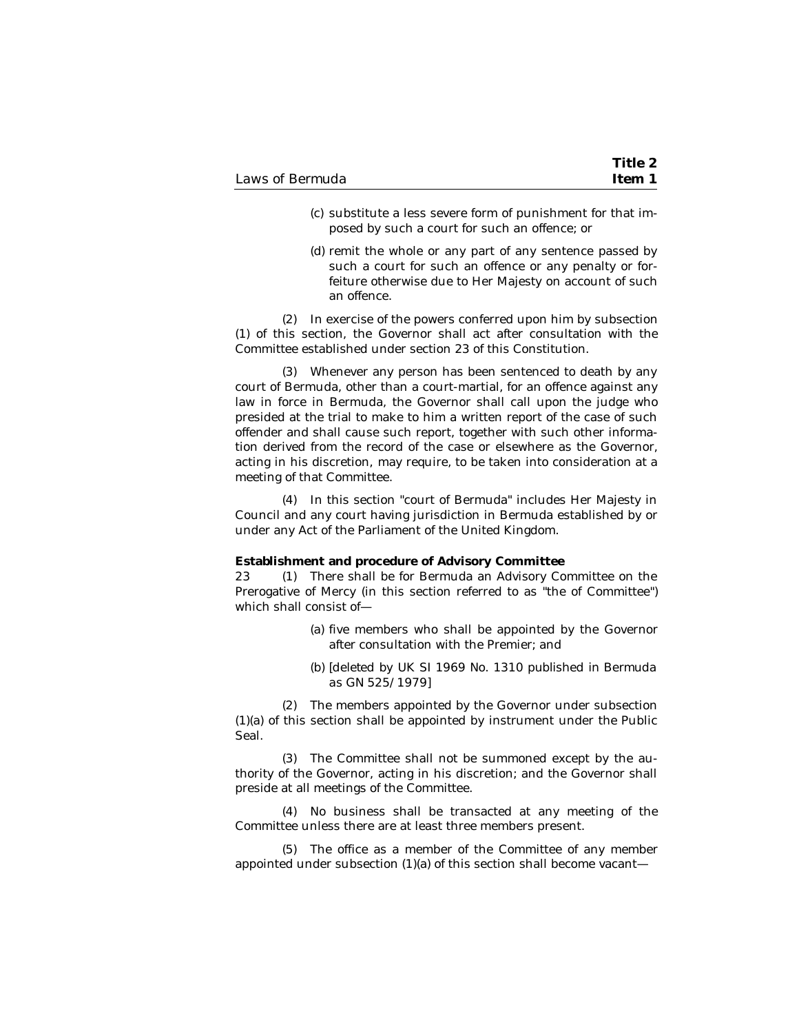- (c) substitute a less severe form of punishment for that imposed by such a court for such an offence; or
- (d) remit the whole or any part of any sentence passed by such a court for such an offence or any penalty or forfeiture otherwise due to Her Majesty on account of such an offence.

(2) In exercise of the powers conferred upon him by subsection (1) of this section, the Governor shall act after consultation with the Committee established under section 23 of this Constitution.

(3) Whenever any person has been sentenced to death by any court of Bermuda, other than a court-martial, for an offence against any law in force in Bermuda, the Governor shall call upon the judge who presided at the trial to make to him a written report of the case of such offender and shall cause such report, together with such other information derived from the record of the case or elsewhere as the Governor, acting in his discretion, may require, to be taken into consideration at a meeting of that Committee.

(4) In this section "court of Bermuda" includes Her Majesty in Council and any court having jurisdiction in Bermuda established by or under any Act of the Parliament of the United Kingdom.

#### **Establishment and procedure of Advisory Committee**

23 (1) There shall be for Bermuda an Advisory Committee on the Prerogative of Mercy (in this section referred to as "the of Committee") which shall consist of—

- (a) five members who shall be appointed by the Governor after consultation with the Premier; and
- (b) [*deleted by UK SI 1969 No. 1310 published in Bermuda as GN 525/1979*]

(2) The members appointed by the Governor under subsection (1)(a) of this section shall be appointed by instrument under the Public Seal.

(3) The Committee shall not be summoned except by the authority of the Governor, acting in his discretion; and the Governor shall preside at all meetings of the Committee.

(4) No business shall be transacted at any meeting of the Committee unless there are at least three members present.

(5) The office as a member of the Committee of any member appointed under subsection (1)(a) of this section shall become vacant—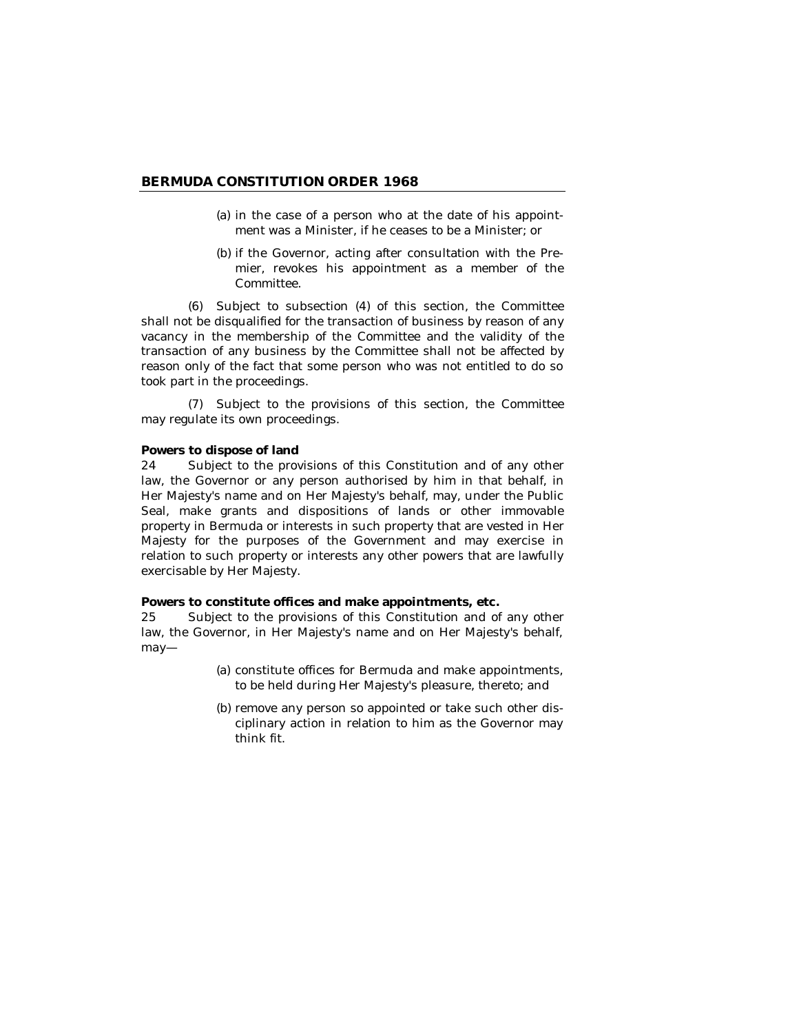- (a) in the case of a person who at the date of his appointment was a Minister, if he ceases to be a Minister; or
- (b) if the Governor, acting after consultation with the Premier, revokes his appointment as a member of the Committee.

(6) Subject to subsection (4) of this section, the Committee shall not be disqualified for the transaction of business by reason of any vacancy in the membership of the Committee and the validity of the transaction of any business by the Committee shall not be affected by reason only of the fact that some person who was not entitled to do so took part in the proceedings.

(7) Subject to the provisions of this section, the Committee may regulate its own proceedings.

### **Powers to dispose of land**

24 Subject to the provisions of this Constitution and of any other law, the Governor or any person authorised by him in that behalf, in Her Majesty's name and on Her Majesty's behalf, may, under the Public Seal, make grants and dispositions of lands or other immovable property in Bermuda or interests in such property that are vested in Her Majesty for the purposes of the Government and may exercise in relation to such property or interests any other powers that are lawfully exercisable by Her Majesty.

### **Powers to constitute offices and make appointments, etc.**

25 Subject to the provisions of this Constitution and of any other law, the Governor, in Her Majesty's name and on Her Majesty's behalf, may—

- (a) constitute offices for Bermuda and make appointments, to be held during Her Majesty's pleasure, thereto; and
- (b) remove any person so appointed or take such other disciplinary action in relation to him as the Governor may think fit.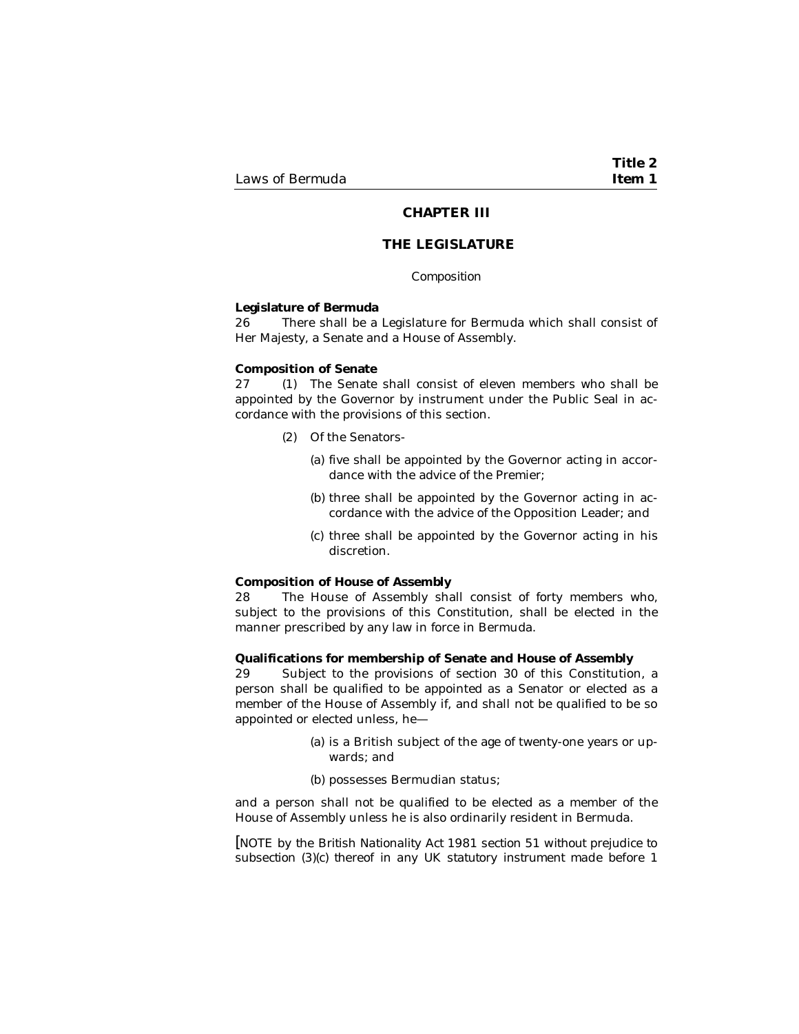## **CHAPTER III**

## **THE LEGISLATURE**

#### *Composition*

## **Legislature of Bermuda**

26 There shall be a Legislature for Bermuda which shall consist of Her Majesty, a Senate and a House of Assembly.

#### **Composition of Senate**

27 (1) The Senate shall consist of eleven members who shall be appointed by the Governor by instrument under the Public Seal in accordance with the provisions of this section.

- (2) Of the Senators-
	- (a) five shall be appointed by the Governor acting in accordance with the advice of the Premier;
	- (b) three shall be appointed by the Governor acting in accordance with the advice of the Opposition Leader; and
	- (c) three shall be appointed by the Governor acting in his discretion.

#### **Composition of House of Assembly**

28 The House of Assembly shall consist of forty members who, subject to the provisions of this Constitution, shall be elected in the manner prescribed by any law in force in Bermuda.

#### **Qualifications for membership of Senate and House of Assembly**

29 Subject to the provisions of section 30 of this Constitution, a person shall be qualified to be appointed as a Senator or elected as a member of the House of Assembly if, and shall not be qualified to be so appointed or elected unless, he—

- (a) is a British subject of the age of twenty-one years or upwards; and
- (b) possesses Bermudian status;

and a person shall not be qualified to be elected as a member of the House of Assembly unless he is also ordinarily resident in Bermuda.

[*NOTE by the British Nationality Act 1981 section 51 without prejudice to subsection (3)(c) thereof in any UK statutory instrument made before 1*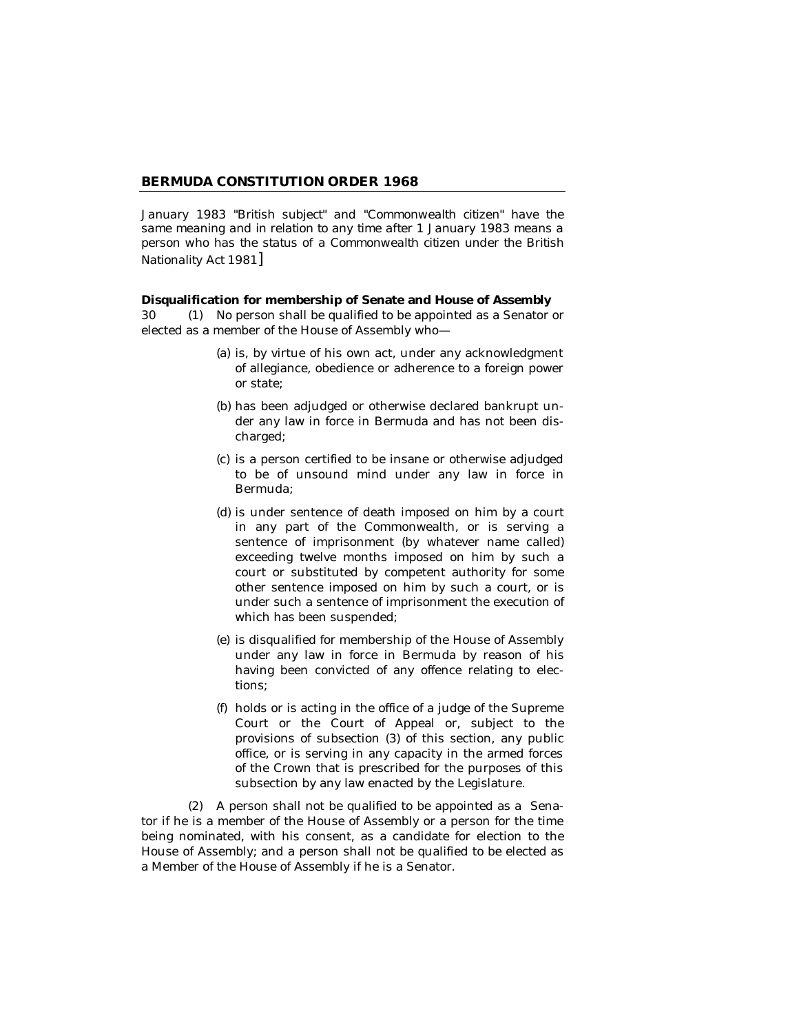*January 1983 "British subject" and "Commonwealth citizen" have the same meaning and in relation to any time after 1 January 1983 means a person who has the status of a Commonwealth citizen under the British Nationality Act 1981*]

#### **Disqualification for membership of Senate and House of Assembly**

30 (1) No person shall be qualified to be appointed as a Senator or elected as a member of the House of Assembly who—

- (a) is, by virtue of his own act, under any acknowledgment of allegiance, obedience or adherence to a foreign power or state;
- (b) has been adjudged or otherwise declared bankrupt under any law in force in Bermuda and has not been discharged;
- (c) is a person certified to be insane or otherwise adjudged to be of unsound mind under any law in force in Bermuda;
- (d) is under sentence of death imposed on him by a court in any part of the Commonwealth, or is serving a sentence of imprisonment (by whatever name called) exceeding twelve months imposed on him by such a court or substituted by competent authority for some other sentence imposed on him by such a court, or is under such a sentence of imprisonment the execution of which has been suspended;
- (e) is disqualified for membership of the House of Assembly under any law in force in Bermuda by reason of his having been convicted of any offence relating to elections;
- (f) holds or is acting in the office of a judge of the Supreme Court or the Court of Appeal or, subject to the provisions of subsection (3) of this section, any public office, or is serving in any capacity in the armed forces of the Crown that is prescribed for the purposes of this subsection by any law enacted by the Legislature.

(2) A person shall not be qualified to be appointed as a Senator if he is a member of the House of Assembly or a person for the time being nominated, with his consent, as a candidate for election to the House of Assembly; and a person shall not be qualified to be elected as a Member of the House of Assembly if he is a Senator.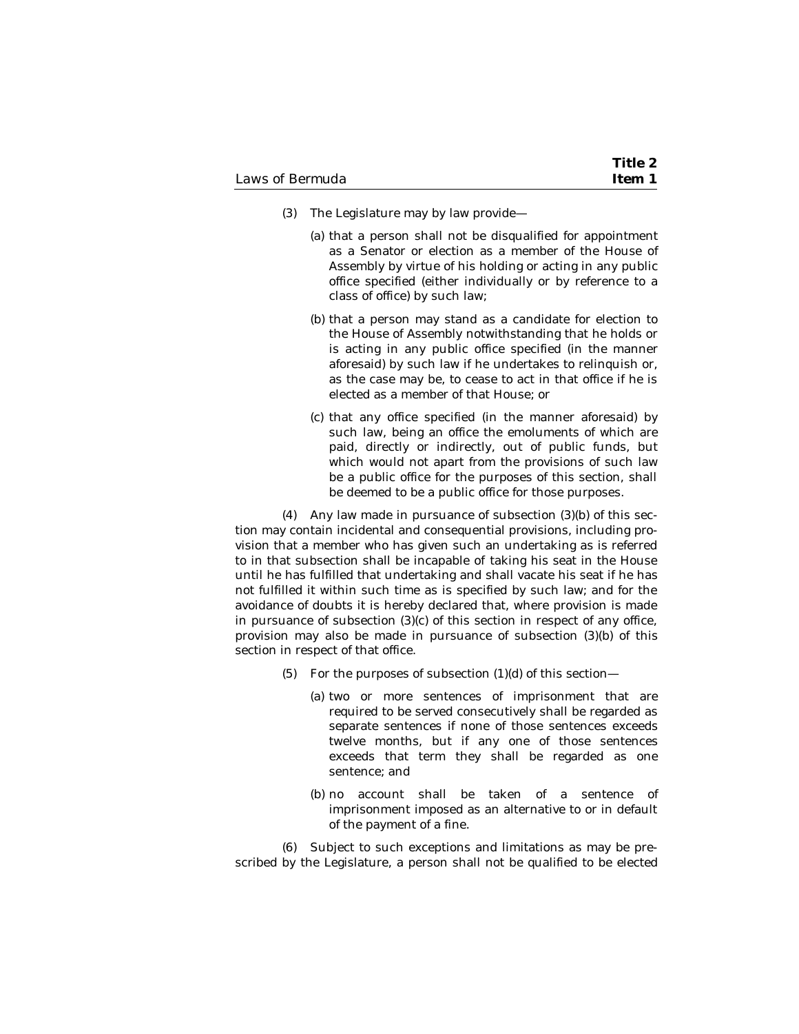- (3) The Legislature may by law provide—
	- (a) that a person shall not be disqualified for appointment as a Senator or election as a member of the House of Assembly by virtue of his holding or acting in any public office specified (either individually or by reference to a class of office) by such law;
	- (b) that a person may stand as a candidate for election to the House of Assembly notwithstanding that he holds or is acting in any public office specified (in the manner aforesaid) by such law if he undertakes to relinquish or, as the case may be, to cease to act in that office if he is elected as a member of that House; or
	- (c) that any office specified (in the manner aforesaid) by such law, being an office the emoluments of which are paid, directly or indirectly, out of public funds, but which would not apart from the provisions of such law be a public office for the purposes of this section, shall be deemed to be a public office for those purposes.

(4) Any law made in pursuance of subsection (3)(b) of this section may contain incidental and consequential provisions, including provision that a member who has given such an undertaking as is referred to in that subsection shall be incapable of taking his seat in the House until he has fulfilled that undertaking and shall vacate his seat if he has not fulfilled it within such time as is specified by such law; and for the avoidance of doubts it is hereby declared that, where provision is made in pursuance of subsection (3)(c) of this section in respect of any office, provision may also be made in pursuance of subsection (3)(b) of this section in respect of that office.

- (5) For the purposes of subsection  $(1)(d)$  of this section-
	- (a) two or more sentences of imprisonment that are required to be served consecutively shall be regarded as separate sentences if none of those sentences exceeds twelve months, but if any one of those sentences exceeds that term they shall be regarded as one sentence; and
	- (b) no account shall be taken of a sentence of imprisonment imposed as an alternative to or in default of the payment of a fine.

(6) Subject to such exceptions and limitations as may be prescribed by the Legislature, a person shall not be qualified to be elected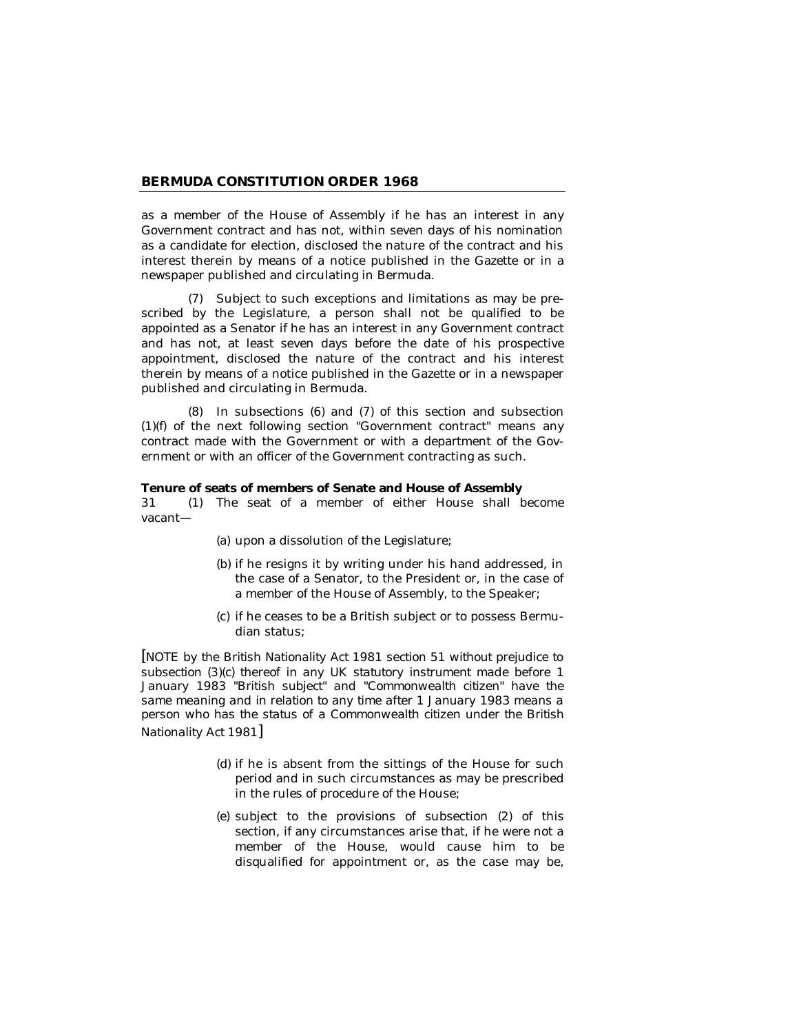as a member of the House of Assembly if he has an interest in any Government contract and has not, within seven days of his nomination as a candidate for election, disclosed the nature of the contract and his interest therein by means of a notice published in the Gazette or in a newspaper published and circulating in Bermuda.

(7) Subject to such exceptions and limitations as may be prescribed by the Legislature, a person shall not be qualified to be appointed as a Senator if he has an interest in any Government contract and has not, at least seven days before the date of his prospective appointment, disclosed the nature of the contract and his interest therein by means of a notice published in the Gazette or in a newspaper published and circulating in Bermuda.

(8) In subsections (6) and (7) of this section and subsection (1)(f) of the next following section "Government contract" means any contract made with the Government or with a department of the Government or with an officer of the Government contracting as such.

## **Tenure of seats of members of Senate and House of Assembly**

31 (1) The seat of a member of either House shall become vacant—

(a) upon a dissolution of the Legislature;

- (b) if he resigns it by writing under his hand addressed, in the case of a Senator, to the President or, in the case of a member of the House of Assembly, to the Speaker;
- (c) if he ceases to be a British subject or to possess Bermudian status;

[*NOTE by the British Nationality Act 1981 section 51 without prejudice to subsection (3)(c) thereof in any UK statutory instrument made before 1 January 1983 "British subject" and "Commonwealth citizen" have the same meaning and in relation to any time after 1 January 1983 means a person who has the status of a Commonwealth citizen under the British Nationality Act 1981*]

- (d) if he is absent from the sittings of the House for such period and in such circumstances as may be prescribed in the rules of procedure of the House;
- (e) subject to the provisions of subsection (2) of this section, if any circumstances arise that, if he were not a member of the House, would cause him to be disqualified for appointment or, as the case may be,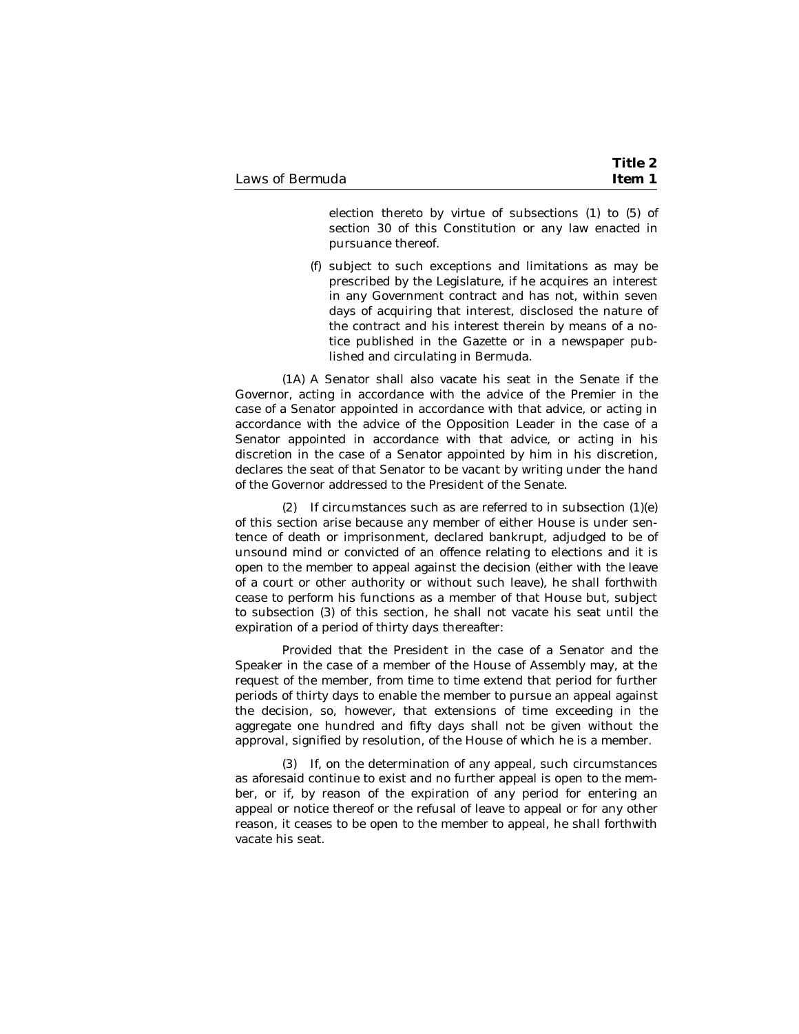election thereto by virtue of subsections (1) to (5) of section 30 of this Constitution or any law enacted in pursuance thereof.

(f) subject to such exceptions and limitations as may be prescribed by the Legislature, if he acquires an interest in any Government contract and has not, within seven days of acquiring that interest, disclosed the nature of the contract and his interest therein by means of a notice published in the Gazette or in a newspaper published and circulating in Bermuda.

(1A) A Senator shall also vacate his seat in the Senate if the Governor, acting in accordance with the advice of the Premier in the case of a Senator appointed in accordance with that advice, or acting in accordance with the advice of the Opposition Leader in the case of a Senator appointed in accordance with that advice, or acting in his discretion in the case of a Senator appointed by him in his discretion, declares the seat of that Senator to be vacant by writing under the hand of the Governor addressed to the President of the Senate.

 $(2)$  If circumstances such as are referred to in subsection  $(1)(e)$ of this section arise because any member of either House is under sentence of death or imprisonment, declared bankrupt, adjudged to be of unsound mind or convicted of an offence relating to elections and it is open to the member to appeal against the decision (either with the leave of a court or other authority or without such leave), he shall forthwith cease to perform his functions as a member of that House but, subject to subsection (3) of this section, he shall not vacate his seat until the expiration of a period of thirty days thereafter:

Provided that the President in the case of a Senator and the Speaker in the case of a member of the House of Assembly may, at the request of the member, from time to time extend that period for further periods of thirty days to enable the member to pursue an appeal against the decision, so, however, that extensions of time exceeding in the aggregate one hundred and fifty days shall not be given without the approval, signified by resolution, of the House of which he is a member.

(3) If, on the determination of any appeal, such circumstances as aforesaid continue to exist and no further appeal is open to the member, or if, by reason of the expiration of any period for entering an appeal or notice thereof or the refusal of leave to appeal or for any other reason, it ceases to be open to the member to appeal, he shall forthwith vacate his seat.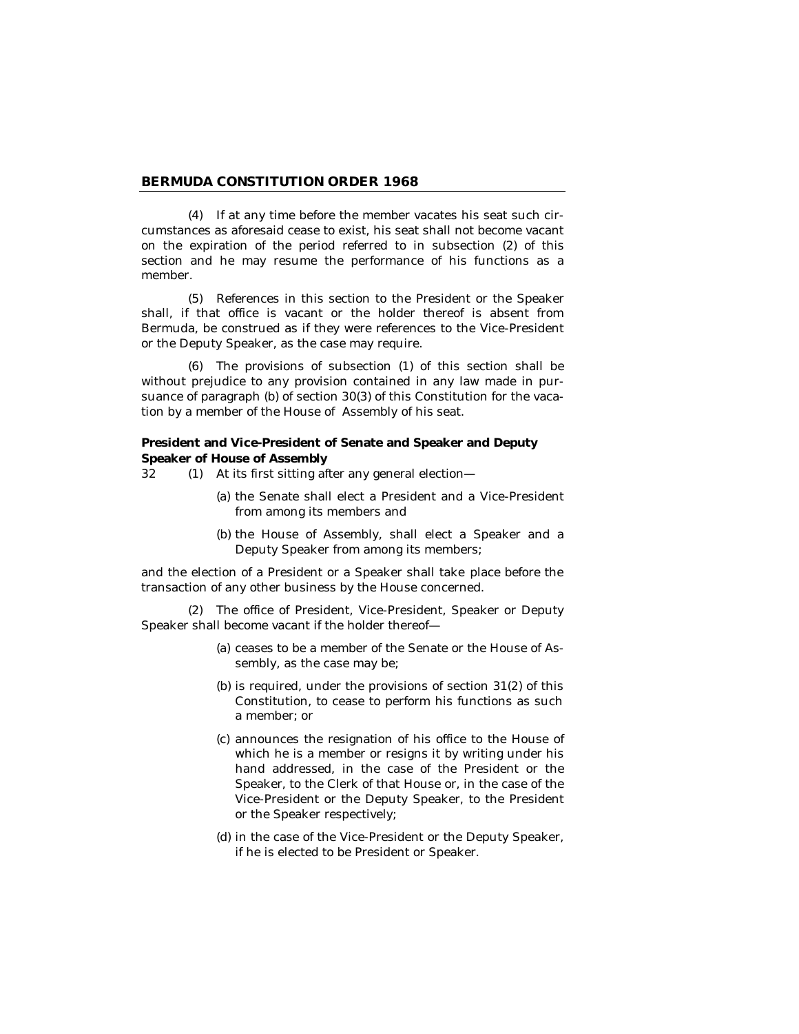(4) If at any time before the member vacates his seat such circumstances as aforesaid cease to exist, his seat shall not become vacant on the expiration of the period referred to in subsection (2) of this section and he may resume the performance of his functions as a member.

(5) References in this section to the President or the Speaker shall, if that office is vacant or the holder thereof is absent from Bermuda, be construed as if they were references to the Vice-President or the Deputy Speaker, as the case may require.

(6) The provisions of subsection (1) of this section shall be without prejudice to any provision contained in any law made in pursuance of paragraph (b) of section 30(3) of this Constitution for the vacation by a member of the House of Assembly of his seat.

### **President and Vice-President of Senate and Speaker and Deputy Speaker of House of Assembly**

32 (1) At its first sitting after any general election—

- (a) the Senate shall elect a President and a Vice-President from among its members and
- (b) the House of Assembly, shall elect a Speaker and a Deputy Speaker from among its members;

and the election of a President or a Speaker shall take place before the transaction of any other business by the House concerned.

(2) The office of President, Vice-President, Speaker or Deputy Speaker shall become vacant if the holder thereof—

- (a) ceases to be a member of the Senate or the House of Assembly, as the case may be;
- (b) is required, under the provisions of section 31(2) of this Constitution, to cease to perform his functions as such a member; or
- (c) announces the resignation of his office to the House of which he is a member or resigns it by writing under his hand addressed, in the case of the President or the Speaker, to the Clerk of that House or, in the case of the Vice-President or the Deputy Speaker, to the President or the Speaker respectively;
- (d) in the case of the Vice-President or the Deputy Speaker, if he is elected to be President or Speaker.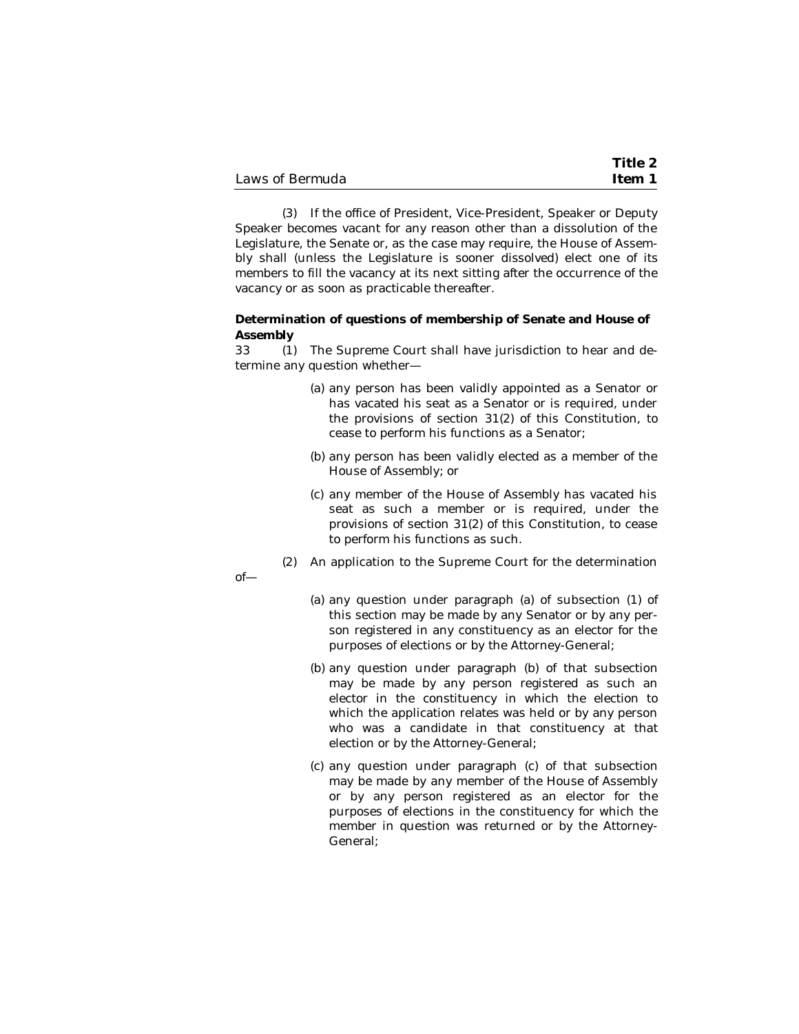| Laws of Bermuda | Item 1 |
|-----------------|--------|
|                 |        |

**Title 2** 

(3) If the office of President, Vice-President, Speaker or Deputy Speaker becomes vacant for any reason other than a dissolution of the Legislature, the Senate or, as the case may require, the House of Assembly shall (unless the Legislature is sooner dissolved) elect one of its members to fill the vacancy at its next sitting after the occurrence of the vacancy or as soon as practicable thereafter.

# **Determination of questions of membership of Senate and House of Assembly**

33 (1) The Supreme Court shall have jurisdiction to hear and determine any question whether—

- (a) any person has been validly appointed as a Senator or has vacated his seat as a Senator or is required, under the provisions of section 31(2) of this Constitution, to cease to perform his functions as a Senator;
- (b) any person has been validly elected as a member of the House of Assembly; or
- (c) any member of the House of Assembly has vacated his seat as such a member or is required, under the provisions of section 31(2) of this Constitution, to cease to perform his functions as such.
- (2) An application to the Supreme Court for the determination

of—

- (a) any question under paragraph (a) of subsection (1) of this section may be made by any Senator or by any person registered in any constituency as an elector for the purposes of elections or by the Attorney-General;
- (b) any question under paragraph (b) of that subsection may be made by any person registered as such an elector in the constituency in which the election to which the application relates was held or by any person who was a candidate in that constituency at that election or by the Attorney-General;
- (c) any question under paragraph (c) of that subsection may be made by any member of the House of Assembly or by any person registered as an elector for the purposes of elections in the constituency for which the member in question was returned or by the Attorney-General;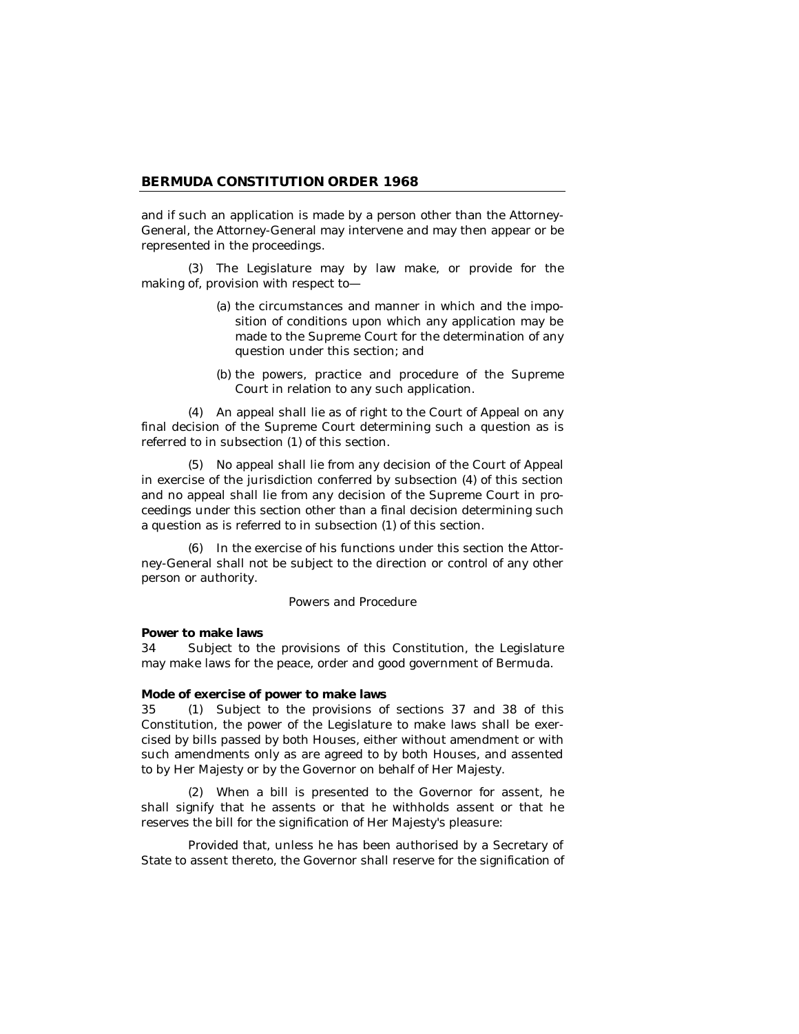and if such an application is made by a person other than the Attorney-General, the Attorney-General may intervene and may then appear or be represented in the proceedings.

(3) The Legislature may by law make, or provide for the making of, provision with respect to—

- (a) the circumstances and manner in which and the imposition of conditions upon which any application may be made to the Supreme Court for the determination of any question under this section; and
- (b) the powers, practice and procedure of the Supreme Court in relation to any such application.

(4) An appeal shall lie as of right to the Court of Appeal on any final decision of the Supreme Court determining such a question as is referred to in subsection (1) of this section.

(5) No appeal shall lie from any decision of the Court of Appeal in exercise of the jurisdiction conferred by subsection (4) of this section and no appeal shall lie from any decision of the Supreme Court in proceedings under this section other than a final decision determining such a question as is referred to in subsection (1) of this section.

(6) In the exercise of his functions under this section the Attorney-General shall not be subject to the direction or control of any other person or authority.

## *Powers and Procedure*

### **Power to make laws**

34 Subject to the provisions of this Constitution, the Legislature may make laws for the peace, order and good government of Bermuda.

#### **Mode of exercise of power to make laws**

35 (1) Subject to the provisions of sections 37 and 38 of this Constitution, the power of the Legislature to make laws shall be exercised by bills passed by both Houses, either without amendment or with such amendments only as are agreed to by both Houses, and assented to by Her Majesty or by the Governor on behalf of Her Majesty.

(2) When a bill is presented to the Governor for assent, he shall signify that he assents or that he withholds assent or that he reserves the bill for the signification of Her Majesty's pleasure:

Provided that, unless he has been authorised by a Secretary of State to assent thereto, the Governor shall reserve for the signification of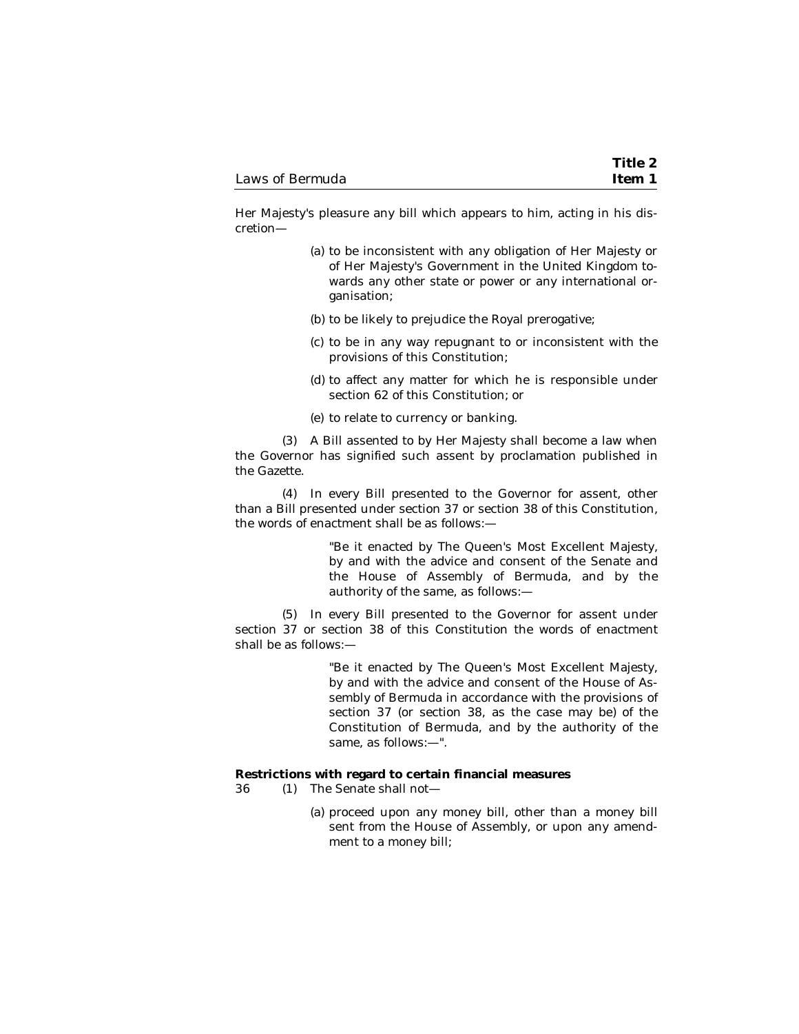Her Majesty's pleasure any bill which appears to him, acting in his discretion—

- (a) to be inconsistent with any obligation of Her Majesty or of Her Majesty's Government in the United Kingdom towards any other state or power or any international organisation;
- (b) to be likely to prejudice the Royal prerogative;
- (c) to be in any way repugnant to or inconsistent with the provisions of this Constitution;
- (d) to affect any matter for which he is responsible under section 62 of this Constitution; or
- (e) to relate to currency or banking.

(3) A Bill assented to by Her Majesty shall become a law when the Governor has signified such assent by proclamation published in the Gazette.

(4) In every Bill presented to the Governor for assent, other than a Bill presented under section 37 or section 38 of this Constitution, the words of enactment shall be as follows:—

> "Be it enacted by The Queen's Most Excellent Majesty, by and with the advice and consent of the Senate and the House of Assembly of Bermuda, and by the authority of the same, as follows:—

(5) In every Bill presented to the Governor for assent under section 37 or section 38 of this Constitution the words of enactment shall be as follows:—

> "Be it enacted by The Queen's Most Excellent Majesty, by and with the advice and consent of the House of Assembly of Bermuda in accordance with the provisions of section 37 (or section 38, as the case may be) of the Constitution of Bermuda, and by the authority of the same, as follows:— ".

#### **Restrictions with regard to certain financial measures**

- 36 (1) The Senate shall not—
	- (a) proceed upon any money bill, other than a money bill sent from the House of Assembly, or upon any amendment to a money bill;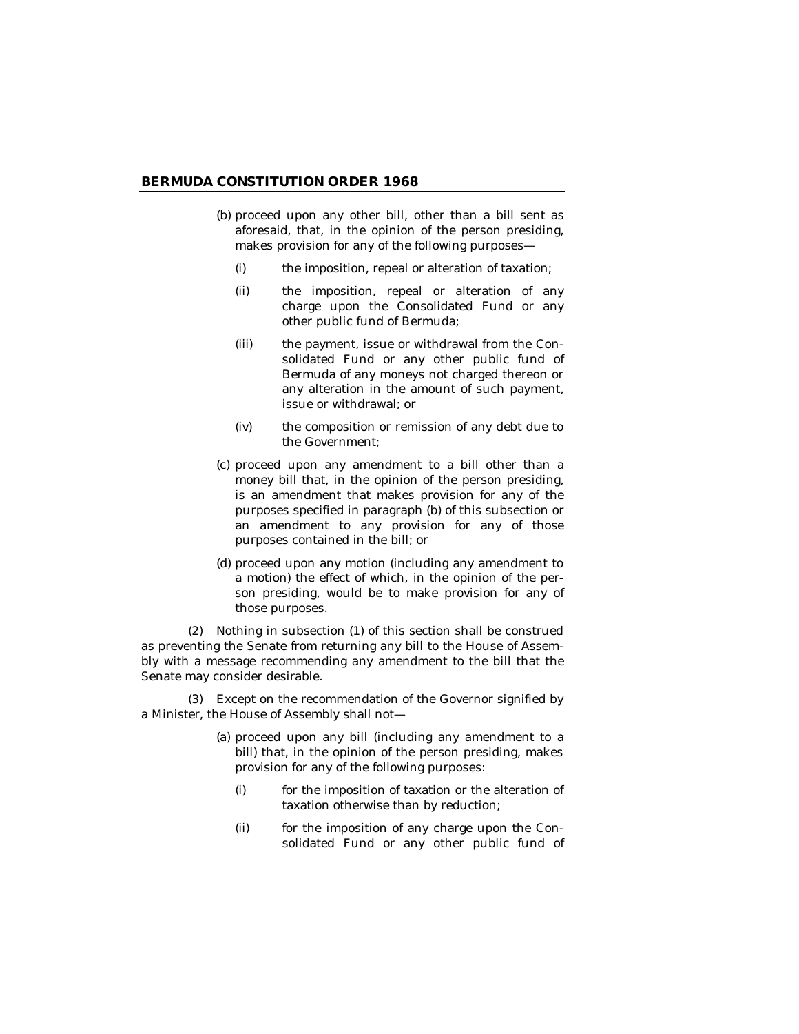- (b) proceed upon any other bill, other than a bill sent as aforesaid, that, in the opinion of the person presiding, makes provision for any of the following purposes—
	- (i) the imposition, repeal or alteration of taxation;
	- (ii) the imposition, repeal or alteration of any charge upon the Consolidated Fund or any other public fund of Bermuda;
	- (iii) the payment, issue or withdrawal from the Consolidated Fund or any other public fund of Bermuda of any moneys not charged thereon or any alteration in the amount of such payment, issue or withdrawal; or
	- (iv) the composition or remission of any debt due to the Government;
- (c) proceed upon any amendment to a bill other than a money bill that, in the opinion of the person presiding, is an amendment that makes provision for any of the purposes specified in paragraph (b) of this subsection or an amendment to any provision for any of those purposes contained in the bill; or
- (d) proceed upon any motion (including any amendment to a motion) the effect of which, in the opinion of the person presiding, would be to make provision for any of those purposes.

(2) Nothing in subsection (1) of this section shall be construed as preventing the Senate from returning any bill to the House of Assembly with a message recommending any amendment to the bill that the Senate may consider desirable.

(3) Except on the recommendation of the Governor signified by a Minister, the House of Assembly shall not—

- (a) proceed upon any bill (including any amendment to a bill) that, in the opinion of the person presiding, makes provision for any of the following purposes:
	- (i) for the imposition of taxation or the alteration of taxation otherwise than by reduction;
	- (ii) for the imposition of any charge upon the Consolidated Fund or any other public fund of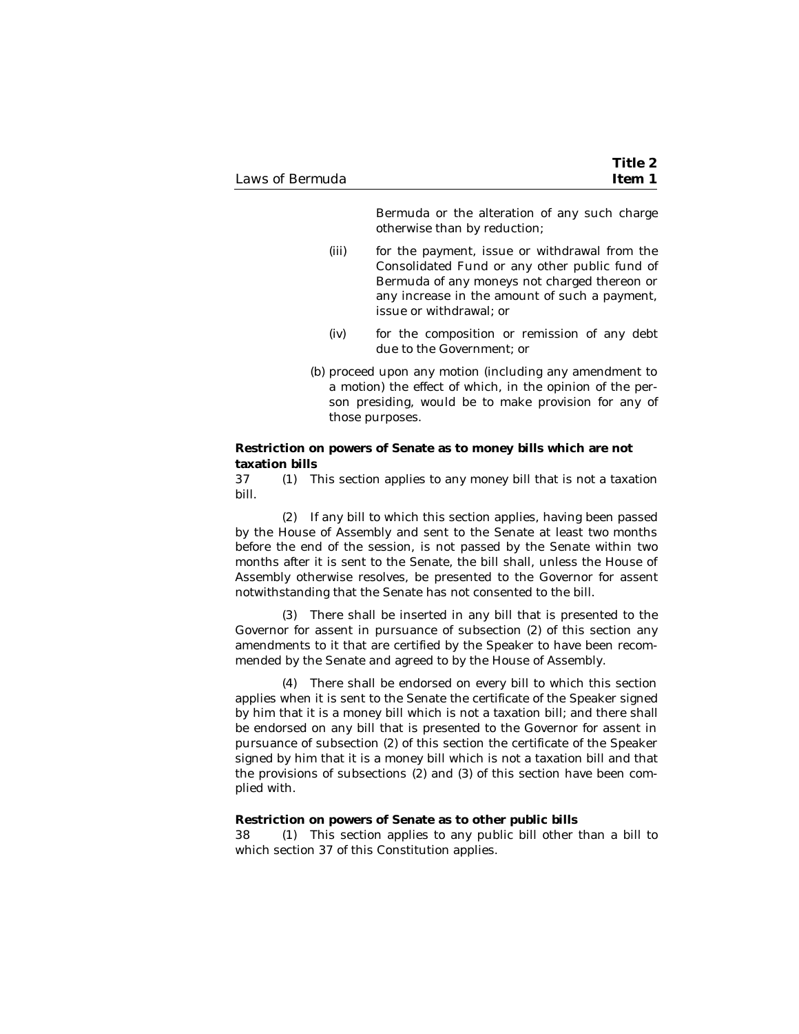Bermuda or the alteration of any such charge otherwise than by reduction;

- (iii) for the payment, issue or withdrawal from the Consolidated Fund or any other public fund of Bermuda of any moneys not charged thereon or any increase in the amount of such a payment, issue or withdrawal; or
- (iv) for the composition or remission of any debt due to the Government; or
- (b) proceed upon any motion (including any amendment to a motion) the effect of which, in the opinion of the person presiding, would be to make provision for any of those purposes.

## **Restriction on powers of Senate as to money bills which are not taxation bills**

37 (1) This section applies to any money bill that is not a taxation bill.

(2) If any bill to which this section applies, having been passed by the House of Assembly and sent to the Senate at least two months before the end of the session, is not passed by the Senate within two months after it is sent to the Senate, the bill shall, unless the House of Assembly otherwise resolves, be presented to the Governor for assent notwithstanding that the Senate has not consented to the bill.

(3) There shall be inserted in any bill that is presented to the Governor for assent in pursuance of subsection (2) of this section any amendments to it that are certified by the Speaker to have been recommended by the Senate and agreed to by the House of Assembly.

(4) There shall be endorsed on every bill to which this section applies when it is sent to the Senate the certificate of the Speaker signed by him that it is a money bill which is not a taxation bill; and there shall be endorsed on any bill that is presented to the Governor for assent in pursuance of subsection (2) of this section the certificate of the Speaker signed by him that it is a money bill which is not a taxation bill and that the provisions of subsections (2) and (3) of this section have been complied with.

#### **Restriction on powers of Senate as to other public bills**

38 (1) This section applies to any public bill other than a bill to which section 37 of this Constitution applies.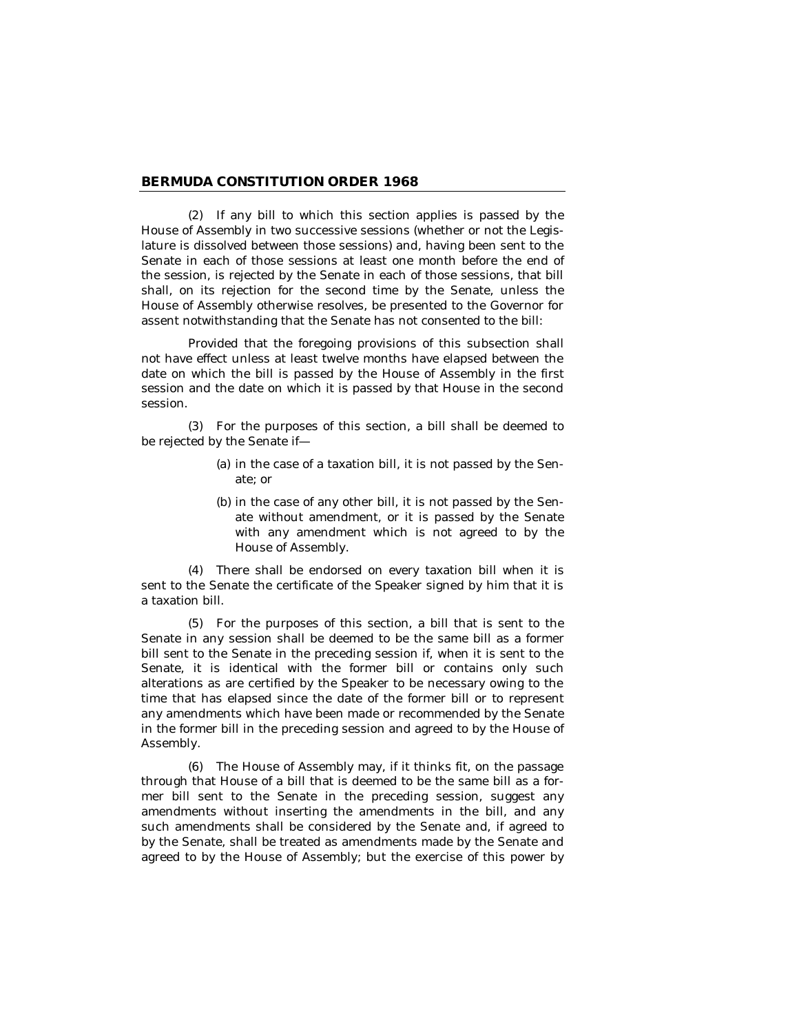(2) If any bill to which this section applies is passed by the House of Assembly in two successive sessions (whether or not the Legislature is dissolved between those sessions) and, having been sent to the Senate in each of those sessions at least one month before the end of the session, is rejected by the Senate in each of those sessions, that bill shall, on its rejection for the second time by the Senate, unless the House of Assembly otherwise resolves, be presented to the Governor for assent notwithstanding that the Senate has not consented to the bill:

Provided that the foregoing provisions of this subsection shall not have effect unless at least twelve months have elapsed between the date on which the bill is passed by the House of Assembly in the first session and the date on which it is passed by that House in the second session.

(3) For the purposes of this section, a bill shall be deemed to be rejected by the Senate if—

- (a) in the case of a taxation bill, it is not passed by the Senate; or
- (b) in the case of any other bill, it is not passed by the Senate without amendment, or it is passed by the Senate with any amendment which is not agreed to by the House of Assembly.

(4) There shall be endorsed on every taxation bill when it is sent to the Senate the certificate of the Speaker signed by him that it is a taxation bill.

(5) For the purposes of this section, a bill that is sent to the Senate in any session shall be deemed to be the same bill as a former bill sent to the Senate in the preceding session if, when it is sent to the Senate, it is identical with the former bill or contains only such alterations as are certified by the Speaker to be necessary owing to the time that has elapsed since the date of the former bill or to represent any amendments which have been made or recommended by the Senate in the former bill in the preceding session and agreed to by the House of Assembly.

(6) The House of Assembly may, if it thinks fit, on the passage through that House of a bill that is deemed to be the same bill as a former bill sent to the Senate in the preceding session, suggest any amendments without inserting the amendments in the bill, and any such amendments shall be considered by the Senate and, if agreed to by the Senate, shall be treated as amendments made by the Senate and agreed to by the House of Assembly; but the exercise of this power by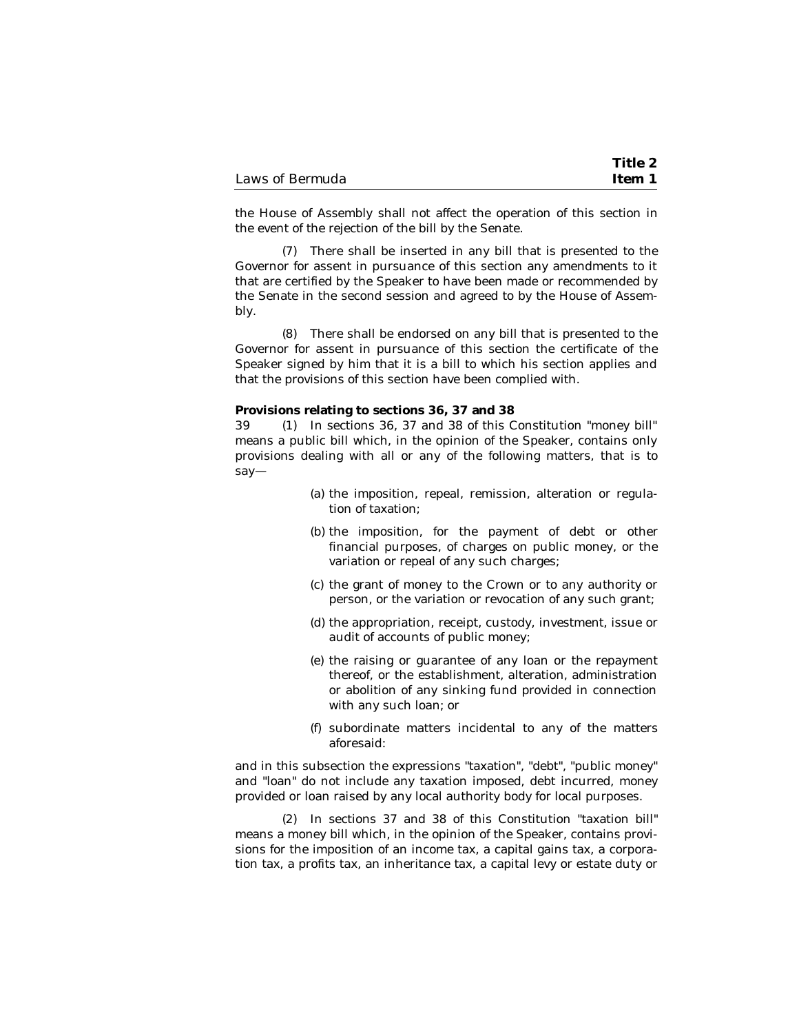|                 | $\blacksquare$ |
|-----------------|----------------|
| Laws of Bermuda | Item 1         |

**Till**, 0

the House of Assembly shall not affect the operation of this section in the event of the rejection of the bill by the Senate.

(7) There shall be inserted in any bill that is presented to the Governor for assent in pursuance of this section any amendments to it that are certified by the Speaker to have been made or recommended by the Senate in the second session and agreed to by the House of Assembly.

(8) There shall be endorsed on any bill that is presented to the Governor for assent in pursuance of this section the certificate of the Speaker signed by him that it is a bill to which his section applies and that the provisions of this section have been complied with.

# **Provisions relating to sections 36, 37 and 38**

39 (1) In sections 36, 37 and 38 of this Constitution "money bill" means a public bill which, in the opinion of the Speaker, contains only provisions dealing with all or any of the following matters, that is to say—

- (a) the imposition, repeal, remission, alteration or regulation of taxation;
- (b) the imposition, for the payment of debt or other financial purposes, of charges on public money, or the variation or repeal of any such charges;
- (c) the grant of money to the Crown or to any authority or person, or the variation or revocation of any such grant;
- (d) the appropriation, receipt, custody, investment, issue or audit of accounts of public money;
- (e) the raising or guarantee of any loan or the repayment thereof, or the establishment, alteration, administration or abolition of any sinking fund provided in connection with any such loan; or
- (f) subordinate matters incidental to any of the matters aforesaid:

and in this subsection the expressions "taxation", "debt", "public money" and "loan" do not include any taxation imposed, debt incurred, money provided or loan raised by any local authority body for local purposes.

(2) In sections 37 and 38 of this Constitution "taxation bill" means a money bill which, in the opinion of the Speaker, contains provisions for the imposition of an income tax, a capital gains tax, a corporation tax, a profits tax, an inheritance tax, a capital levy or estate duty or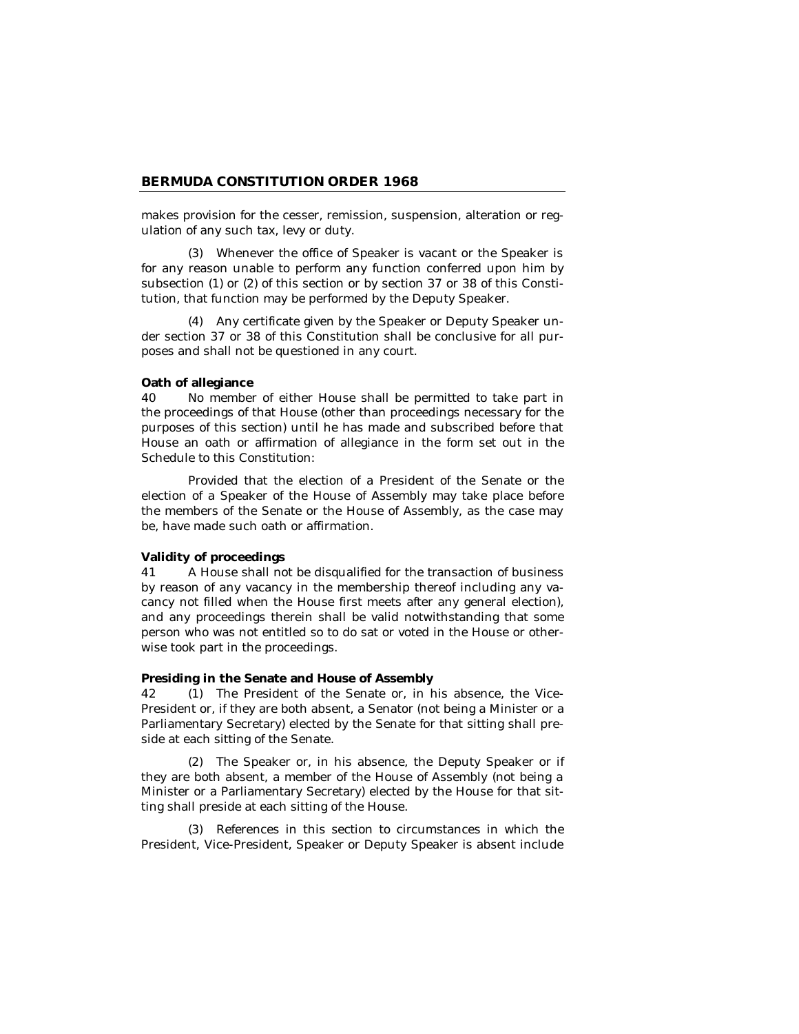makes provision for the cesser, remission, suspension, alteration or regulation of any such tax, levy or duty.

(3) Whenever the office of Speaker is vacant or the Speaker is for any reason unable to perform any function conferred upon him by subsection (1) or (2) of this section or by section 37 or 38 of this Constitution, that function may be performed by the Deputy Speaker.

(4) Any certificate given by the Speaker or Deputy Speaker under section 37 or 38 of this Constitution shall be conclusive for all purposes and shall not be questioned in any court.

### **Oath of allegiance**

40 No member of either House shall be permitted to take part in the proceedings of that House (other than proceedings necessary for the purposes of this section) until he has made and subscribed before that House an oath or affirmation of allegiance in the form set out in the Schedule to this Constitution:

Provided that the election of a President of the Senate or the election of a Speaker of the House of Assembly may take place before the members of the Senate or the House of Assembly, as the case may be, have made such oath or affirmation.

#### **Validity of proceedings**

41 A House shall not be disqualified for the transaction of business by reason of any vacancy in the membership thereof including any vacancy not filled when the House first meets after any general election), and any proceedings therein shall be valid notwithstanding that some person who was not entitled so to do sat or voted in the House or otherwise took part in the proceedings.

#### **Presiding in the Senate and House of Assembly**

42 (1) The President of the Senate or, in his absence, the Vice-President or, if they are both absent, a Senator (not being a Minister or a Parliamentary Secretary) elected by the Senate for that sitting shall preside at each sitting of the Senate.

(2) The Speaker or, in his absence, the Deputy Speaker or if they are both absent, a member of the House of Assembly (not being a Minister or a Parliamentary Secretary) elected by the House for that sitting shall preside at each sitting of the House.

(3) References in this section to circumstances in which the President, Vice-President, Speaker or Deputy Speaker is absent include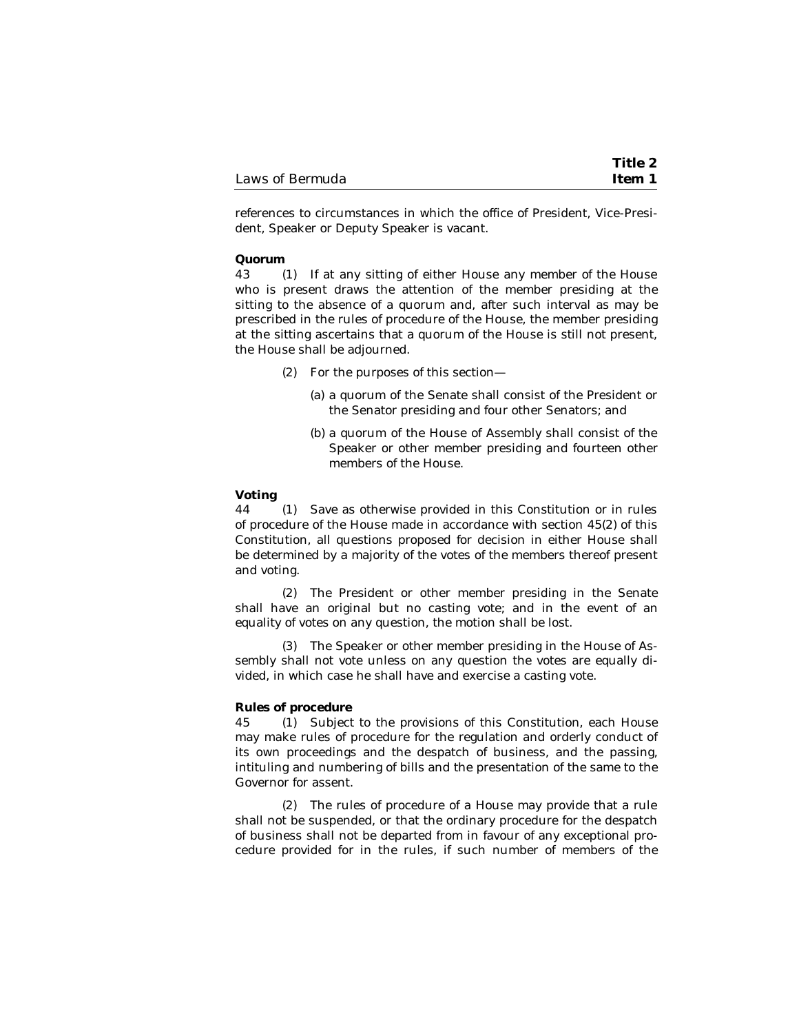references to circumstances in which the office of President, Vice-President, Speaker or Deputy Speaker is vacant.

#### **Quorum**

43 (1) If at any sitting of either House any member of the House who is present draws the attention of the member presiding at the sitting to the absence of a quorum and, after such interval as may be prescribed in the rules of procedure of the House, the member presiding at the sitting ascertains that a quorum of the House is still not present, the House shall be adjourned.

- (2) For the purposes of this section—
	- (a) a quorum of the Senate shall consist of the President or the Senator presiding and four other Senators; and
	- (b) a quorum of the House of Assembly shall consist of the Speaker or other member presiding and fourteen other members of the House.

#### **Voting**

44 (1) Save as otherwise provided in this Constitution or in rules of procedure of the House made in accordance with section 45(2) of this Constitution, all questions proposed for decision in either House shall be determined by a majority of the votes of the members thereof present and voting.

(2) The President or other member presiding in the Senate shall have an original but no casting vote; and in the event of an equality of votes on any question, the motion shall be lost.

(3) The Speaker or other member presiding in the House of Assembly shall not vote unless on any question the votes are equally divided, in which case he shall have and exercise a casting vote.

#### **Rules of procedure**

45 (1) Subject to the provisions of this Constitution, each House may make rules of procedure for the regulation and orderly conduct of its own proceedings and the despatch of business, and the passing, intituling and numbering of bills and the presentation of the same to the Governor for assent.

(2) The rules of procedure of a House may provide that a rule shall not be suspended, or that the ordinary procedure for the despatch of business shall not be departed from in favour of any exceptional procedure provided for in the rules, if such number of members of the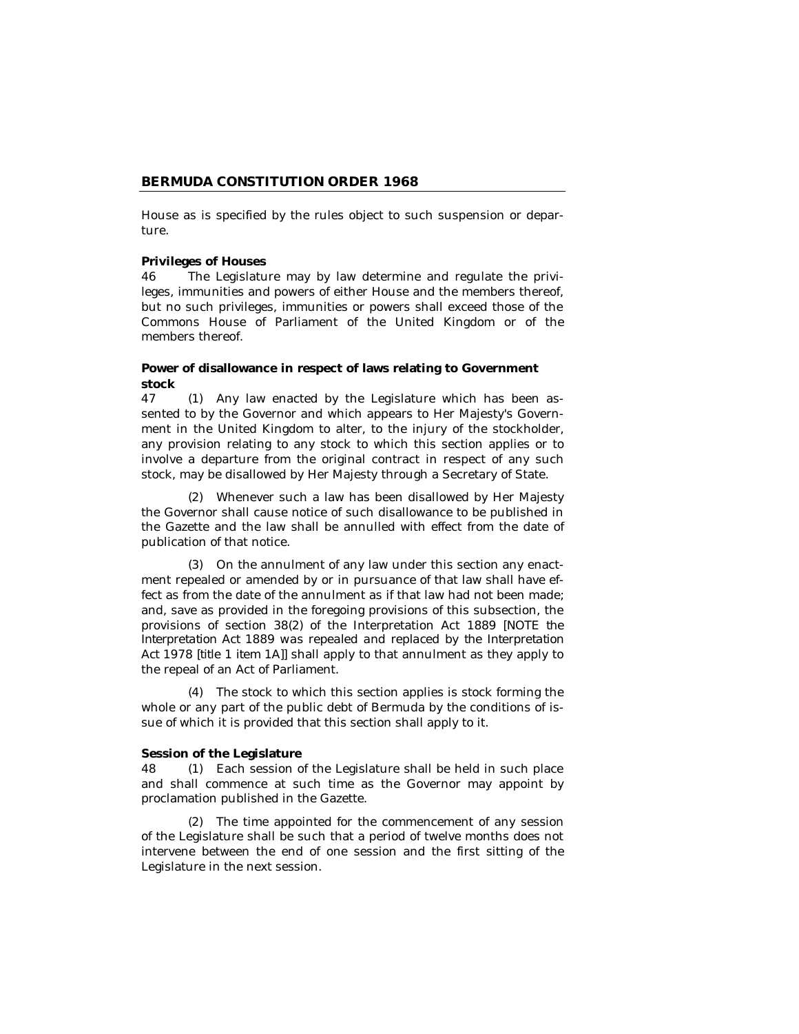House as is specified by the rules object to such suspension or departure.

#### **Privileges of Houses**

46 The Legislature may by law determine and regulate the privileges, immunities and powers of either House and the members thereof, but no such privileges, immunities or powers shall exceed those of the Commons House of Parliament of the United Kingdom or of the members thereof.

## **Power of disallowance in respect of laws relating to Government stock**

47 (1) Any law enacted by the Legislature which has been assented to by the Governor and which appears to Her Majesty's Government in the United Kingdom to alter, to the injury of the stockholder, any provision relating to any stock to which this section applies or to involve a departure from the original contract in respect of any such stock, may be disallowed by Her Majesty through a Secretary of State.

(2) Whenever such a law has been disallowed by Her Majesty the Governor shall cause notice of such disallowance to be published in the Gazette and the law shall be annulled with effect from the date of publication of that notice.

(3) On the annulment of any law under this section any enactment repealed or amended by or in pursuance of that law shall have effect as from the date of the annulment as if that law had not been made; and, save as provided in the foregoing provisions of this subsection, the provisions of section 38(2) of the Interpretation Act 1889 [*NOTE the Interpretation Act 1889 was repealed and replaced by the Interpretation Act 1978 [title 1 item 1A]*] shall apply to that annulment as they apply to the repeal of an Act of Parliament.

(4) The stock to which this section applies is stock forming the whole or any part of the public debt of Bermuda by the conditions of issue of which it is provided that this section shall apply to it.

#### **Session of the Legislature**

48 (1) Each session of the Legislature shall be held in such place and shall commence at such time as the Governor may appoint by proclamation published in the Gazette.

The time appointed for the commencement of any session of the Legislature shall be such that a period of twelve months does not intervene between the end of one session and the first sitting of the Legislature in the next session.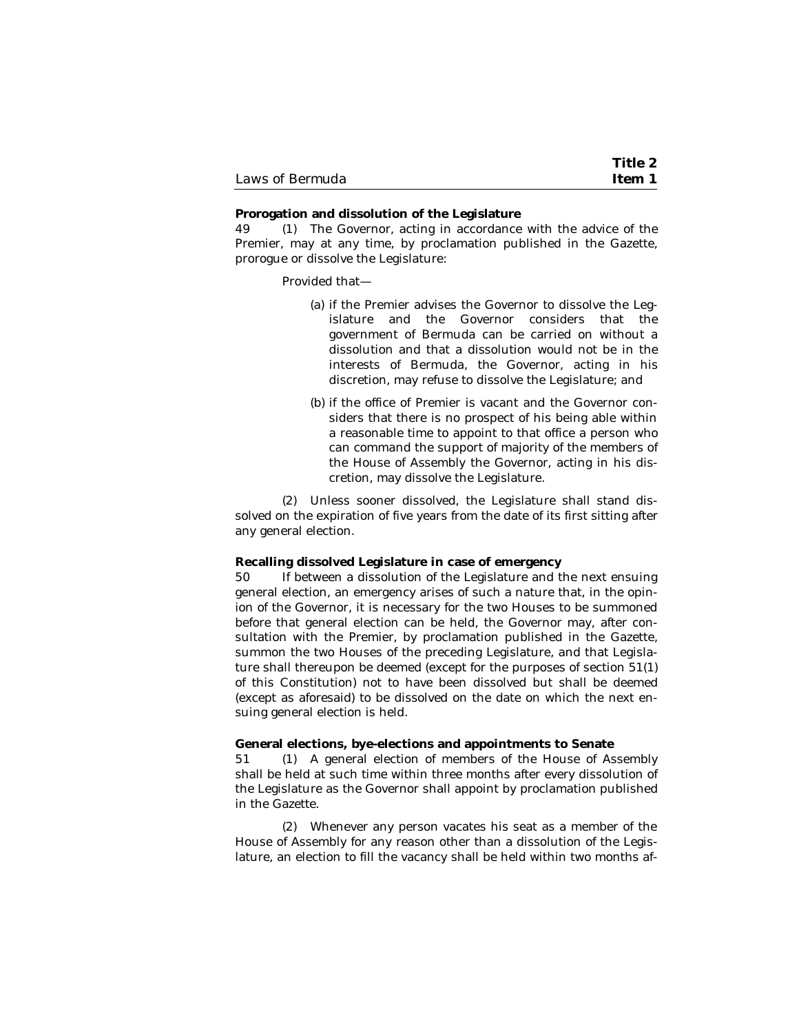### **Prorogation and dissolution of the Legislature**

49 (1) The Governor, acting in accordance with the advice of the Premier, may at any time, by proclamation published in the Gazette, prorogue or dissolve the Legislature:

Provided that—

- (a) if the Premier advises the Governor to dissolve the Legislature and the Governor considers that the government of Bermuda can be carried on without a dissolution and that a dissolution would not be in the interests of Bermuda, the Governor, acting in his discretion, may refuse to dissolve the Legislature; and
- (b) if the office of Premier is vacant and the Governor considers that there is no prospect of his being able within a reasonable time to appoint to that office a person who can command the support of majority of the members of the House of Assembly the Governor, acting in his discretion, may dissolve the Legislature.

(2) Unless sooner dissolved, the Legislature shall stand dissolved on the expiration of five years from the date of its first sitting after any general election.

#### **Recalling dissolved Legislature in case of emergency**

50 If between a dissolution of the Legislature and the next ensuing general election, an emergency arises of such a nature that, in the opinion of the Governor, it is necessary for the two Houses to be summoned before that general election can be held, the Governor may, after consultation with the Premier, by proclamation published in the Gazette, summon the two Houses of the preceding Legislature, and that Legislature shall thereupon be deemed (except for the purposes of section 51(1) of this Constitution) not to have been dissolved but shall be deemed (except as aforesaid) to be dissolved on the date on which the next ensuing general election is held.

#### **General elections, bye-elections and appointments to Senate**

51 (1) A general election of members of the House of Assembly shall be held at such time within three months after every dissolution of the Legislature as the Governor shall appoint by proclamation published in the Gazette.

(2) Whenever any person vacates his seat as a member of the House of Assembly for any reason other than a dissolution of the Legislature, an election to fill the vacancy shall be held within two months af-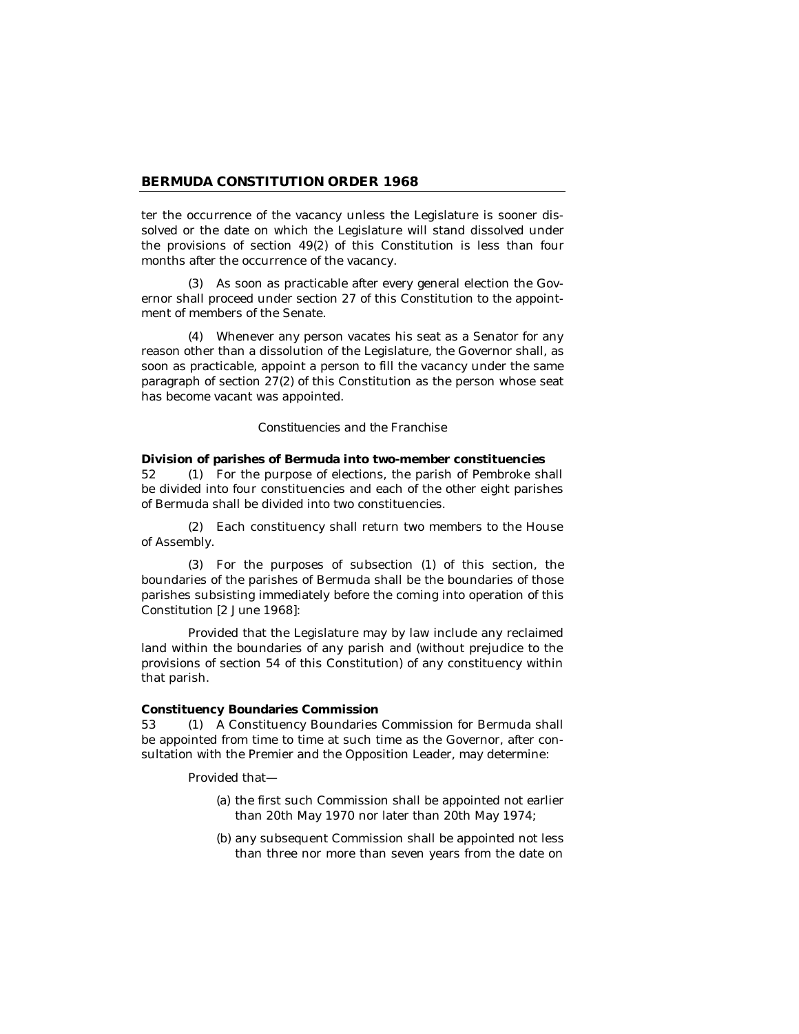ter the occurrence of the vacancy unless the Legislature is sooner dissolved or the date on which the Legislature will stand dissolved under the provisions of section 49(2) of this Constitution is less than four months after the occurrence of the vacancy.

(3) As soon as practicable after every general election the Governor shall proceed under section 27 of this Constitution to the appointment of members of the Senate.

(4) Whenever any person vacates his seat as a Senator for any reason other than a dissolution of the Legislature, the Governor shall, as soon as practicable, appoint a person to fill the vacancy under the same paragraph of section 27(2) of this Constitution as the person whose seat has become vacant was appointed.

#### *Constituencies and the Franchise*

## **Division of parishes of Bermuda into two-member constituencies**

52 (1) For the purpose of elections, the parish of Pembroke shall be divided into four constituencies and each of the other eight parishes of Bermuda shall be divided into two constituencies.

(2) Each constituency shall return two members to the House of Assembly.

(3) For the purposes of subsection (1) of this section, the boundaries of the parishes of Bermuda shall be the boundaries of those parishes subsisting immediately before the coming into operation of this Constitution [*2 June 1968*]:

Provided that the Legislature may by law include any reclaimed land within the boundaries of any parish and (without prejudice to the provisions of section 54 of this Constitution) of any constituency within that parish.

#### **Constituency Boundaries Commission**

53 (1) A Constituency Boundaries Commission for Bermuda shall be appointed from time to time at such time as the Governor, after consultation with the Premier and the Opposition Leader, may determine:

Provided that—

- (a) the first such Commission shall be appointed not earlier than 20th May 1970 nor later than 20th May 1974;
- (b) any subsequent Commission shall be appointed not less than three nor more than seven years from the date on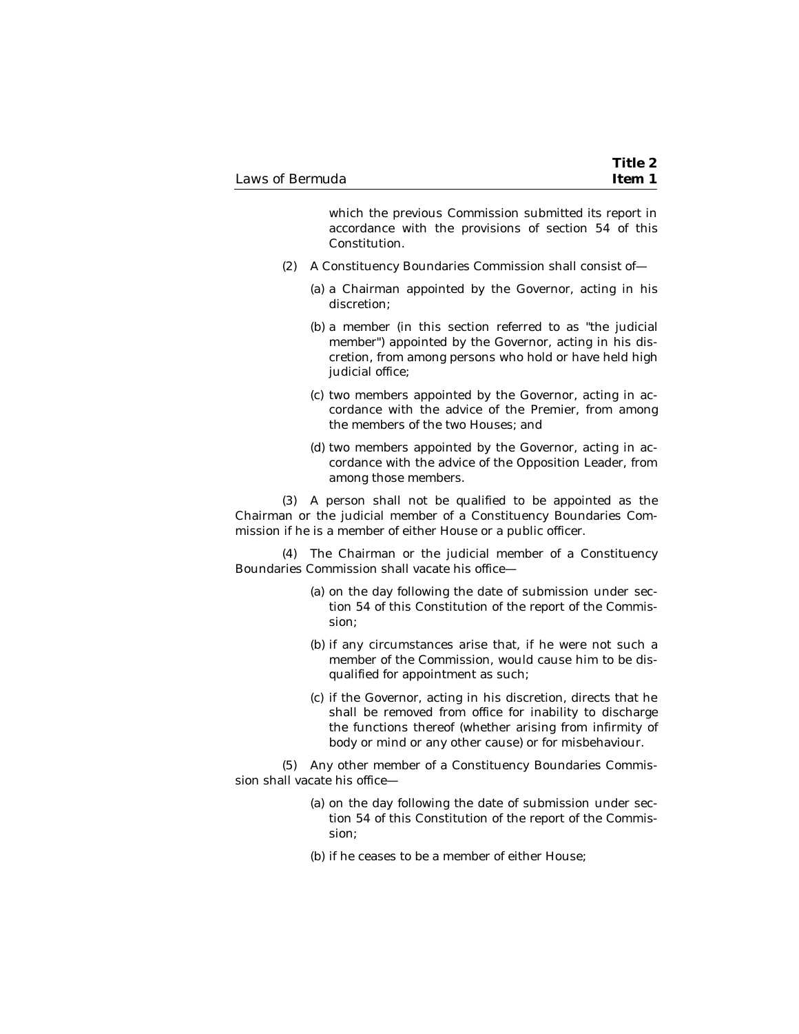which the previous Commission submitted its report in accordance with the provisions of section 54 of this Constitution.

- (2) A Constituency Boundaries Commission shall consist of—
	- (a) a Chairman appointed by the Governor, acting in his discretion;
	- (b) a member (in this section referred to as "the judicial member") appointed by the Governor, acting in his discretion, from among persons who hold or have held high judicial office;
	- (c) two members appointed by the Governor, acting in accordance with the advice of the Premier, from among the members of the two Houses; and
	- (d) two members appointed by the Governor, acting in accordance with the advice of the Opposition Leader, from among those members.

(3) A person shall not be qualified to be appointed as the Chairman or the judicial member of a Constituency Boundaries Commission if he is a member of either House or a public officer.

(4) The Chairman or the judicial member of a Constituency Boundaries Commission shall vacate his office—

- (a) on the day following the date of submission under section 54 of this Constitution of the report of the Commission;
- (b) if any circumstances arise that, if he were not such a member of the Commission, would cause him to be disqualified for appointment as such;
- (c) if the Governor, acting in his discretion, directs that he shall be removed from office for inability to discharge the functions thereof (whether arising from infirmity of body or mind or any other cause) or for misbehaviour.

(5) Any other member of a Constituency Boundaries Commission shall vacate his office—

- (a) on the day following the date of submission under section 54 of this Constitution of the report of the Commission;
- (b) if he ceases to be a member of either House;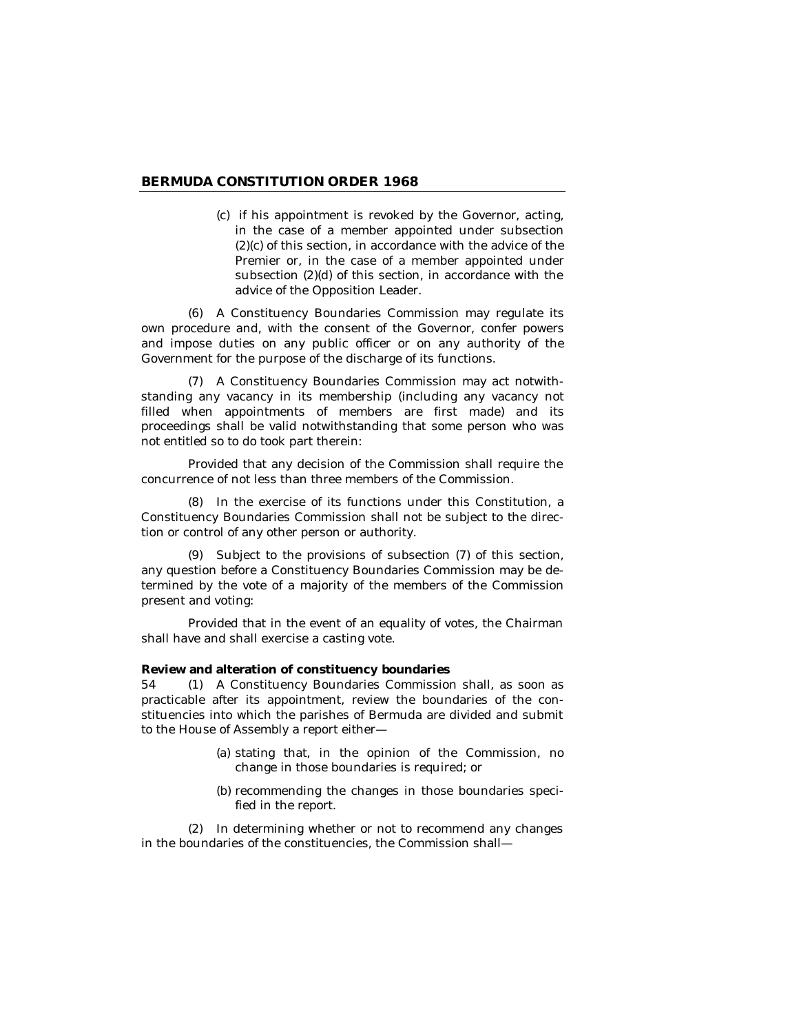(c) if his appointment is revoked by the Governor, acting, in the case of a member appointed under subsection (2)(c) of this section, in accordance with the advice of the Premier or, in the case of a member appointed under subsection (2)(d) of this section, in accordance with the advice of the Opposition Leader.

(6) A Constituency Boundaries Commission may regulate its own procedure and, with the consent of the Governor, confer powers and impose duties on any public officer or on any authority of the Government for the purpose of the discharge of its functions.

(7) A Constituency Boundaries Commission may act notwithstanding any vacancy in its membership (including any vacancy not filled when appointments of members are first made) and its proceedings shall be valid notwithstanding that some person who was not entitled so to do took part therein:

Provided that any decision of the Commission shall require the concurrence of not less than three members of the Commission.

(8) In the exercise of its functions under this Constitution, a Constituency Boundaries Commission shall not be subject to the direction or control of any other person or authority.

(9) Subject to the provisions of subsection (7) of this section, any question before a Constituency Boundaries Commission may be determined by the vote of a majority of the members of the Commission present and voting:

Provided that in the event of an equality of votes, the Chairman shall have and shall exercise a casting vote.

# **Review and alteration of constituency boundaries**

54 (1) A Constituency Boundaries Commission shall, as soon as practicable after its appointment, review the boundaries of the constituencies into which the parishes of Bermuda are divided and submit to the House of Assembly a report either—

- (a) stating that, in the opinion of the Commission, no change in those boundaries is required; or
- (b) recommending the changes in those boundaries specified in the report.

(2) In determining whether or not to recommend any changes in the boundaries of the constituencies, the Commission shall—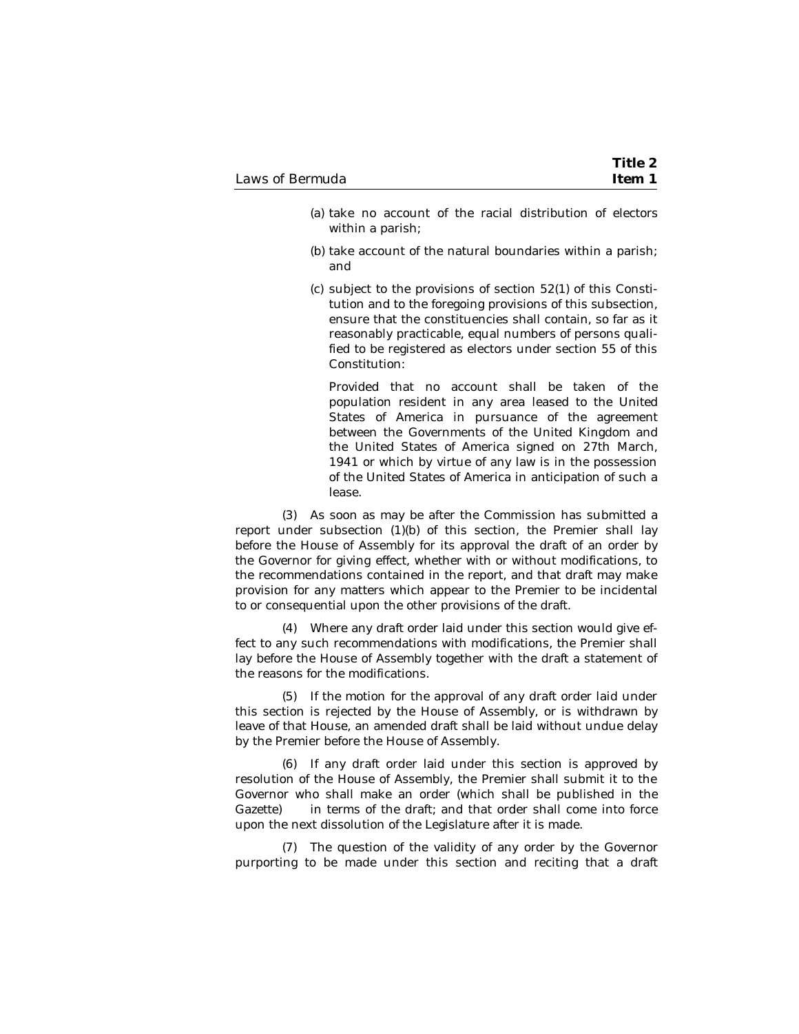- (a) take no account of the racial distribution of electors within a parish;
- (b) take account of the natural boundaries within a parish; and
- (c) subject to the provisions of section 52(1) of this Constitution and to the foregoing provisions of this subsection, ensure that the constituencies shall contain, so far as it reasonably practicable, equal numbers of persons qualified to be registered as electors under section 55 of this Constitution:

Provided that no account shall be taken of the population resident in any area leased to the United States of America in pursuance of the agreement between the Governments of the United Kingdom and the United States of America signed on 27th March, 1941 or which by virtue of any law is in the possession of the United States of America in anticipation of such a lease.

(3) As soon as may be after the Commission has submitted a report under subsection (1)(b) of this section, the Premier shall lay before the House of Assembly for its approval the draft of an order by the Governor for giving effect, whether with or without modifications, to the recommendations contained in the report, and that draft may make provision for any matters which appear to the Premier to be incidental to or consequential upon the other provisions of the draft.

(4) Where any draft order laid under this section would give effect to any such recommendations with modifications, the Premier shall lay before the House of Assembly together with the draft a statement of the reasons for the modifications.

(5) If the motion for the approval of any draft order laid under this section is rejected by the House of Assembly, or is withdrawn by leave of that House, an amended draft shall be laid without undue delay by the Premier before the House of Assembly.

(6) If any draft order laid under this section is approved by resolution of the House of Assembly, the Premier shall submit it to the Governor who shall make an order (which shall be published in the Gazette) in terms of the draft; and that order shall come into force upon the next dissolution of the Legislature after it is made.

(7) The question of the validity of any order by the Governor purporting to be made under this section and reciting that a draft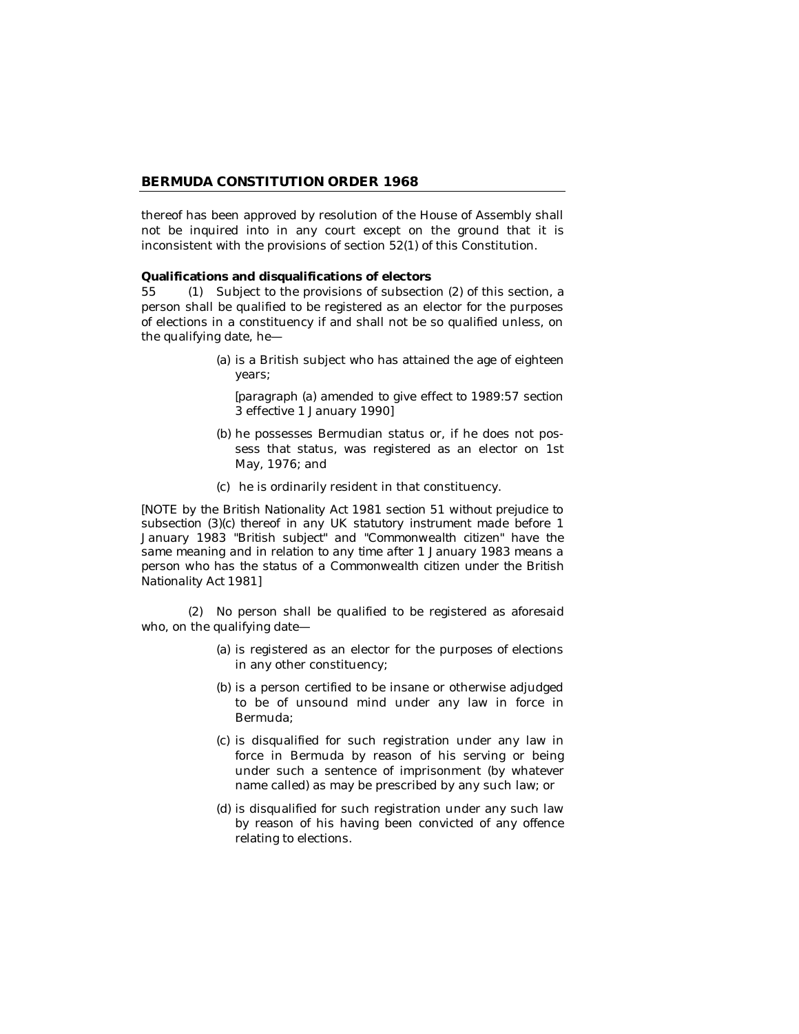thereof has been approved by resolution of the House of Assembly shall not be inquired into in any court except on the ground that it is inconsistent with the provisions of section 52(1) of this Constitution.

### **Qualifications and disqualifications of electors**

55 (1) Subject to the provisions of subsection (2) of this section, a person shall be qualified to be registered as an elector for the purposes of elections in a constituency if and shall not be so qualified unless, on the qualifying date, he—

> (a) is a British subject who has attained the age of eighteen years;

*[paragraph (a) amended to give effect to 1989:57 section 3 effective 1 January 1990]*

- (b) he possesses Bermudian status or, if he does not possess that status, was registered as an elector on 1st May, 1976; and
- (c) he is ordinarily resident in that constituency.

[*NOTE by the British Nationality Act 1981 section 51 without prejudice to subsection (3)(c) thereof in any UK statutory instrument made before 1 January 1983 "British subject" and "Commonwealth citizen" have the same meaning and in relation to any time after 1 January 1983 means a person who has the status of a Commonwealth citizen under the British Nationality Act 1981*]

(2) No person shall be qualified to be registered as aforesaid who, on the qualifying date—

- (a) is registered as an elector for the purposes of elections in any other constituency;
- (b) is a person certified to be insane or otherwise adjudged to be of unsound mind under any law in force in Bermuda;
- (c) is disqualified for such registration under any law in force in Bermuda by reason of his serving or being under such a sentence of imprisonment (by whatever name called) as may be prescribed by any such law; or
- (d) is disqualified for such registration under any such law by reason of his having been convicted of any offence relating to elections.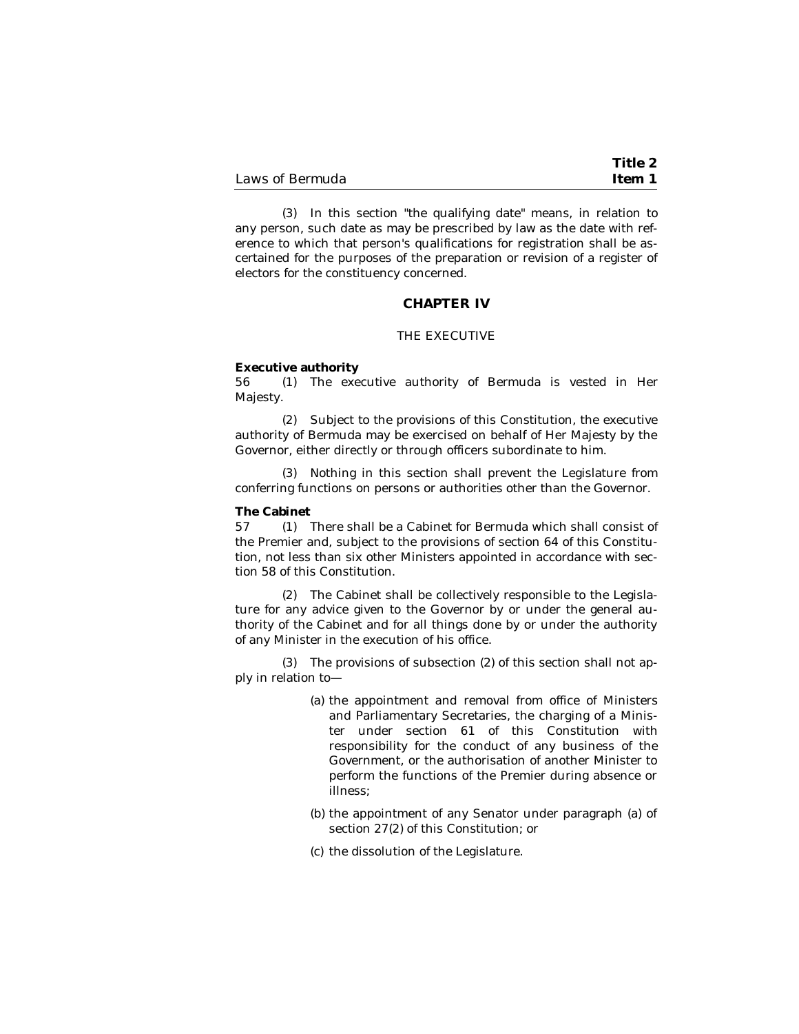(3) In this section "the qualifying date" means, in relation to any person, such date as may be prescribed by law as the date with reference to which that person's qualifications for registration shall be ascertained for the purposes of the preparation or revision of a register of electors for the constituency concerned.

### **CHAPTER IV**

#### THE EXECUTIVE

#### **Executive authority**

56 (1) The executive authority of Bermuda is vested in Her Majesty.

(2) Subject to the provisions of this Constitution, the executive authority of Bermuda may be exercised on behalf of Her Majesty by the Governor, either directly or through officers subordinate to him.

(3) Nothing in this section shall prevent the Legislature from conferring functions on persons or authorities other than the Governor.

### **The Cabinet**

57 (1) There shall be a Cabinet for Bermuda which shall consist of the Premier and, subject to the provisions of section 64 of this Constitution, not less than six other Ministers appointed in accordance with section 58 of this Constitution.

(2) The Cabinet shall be collectively responsible to the Legislature for any advice given to the Governor by or under the general authority of the Cabinet and for all things done by or under the authority of any Minister in the execution of his office.

(3) The provisions of subsection (2) of this section shall not apply in relation to—

- (a) the appointment and removal from office of Ministers and Parliamentary Secretaries, the charging of a Minister under section 61 of this Constitution with responsibility for the conduct of any business of the Government, or the authorisation of another Minister to perform the functions of the Premier during absence or illness;
- (b) the appointment of any Senator under paragraph (a) of section 27(2) of this Constitution; or
- (c) the dissolution of the Legislature.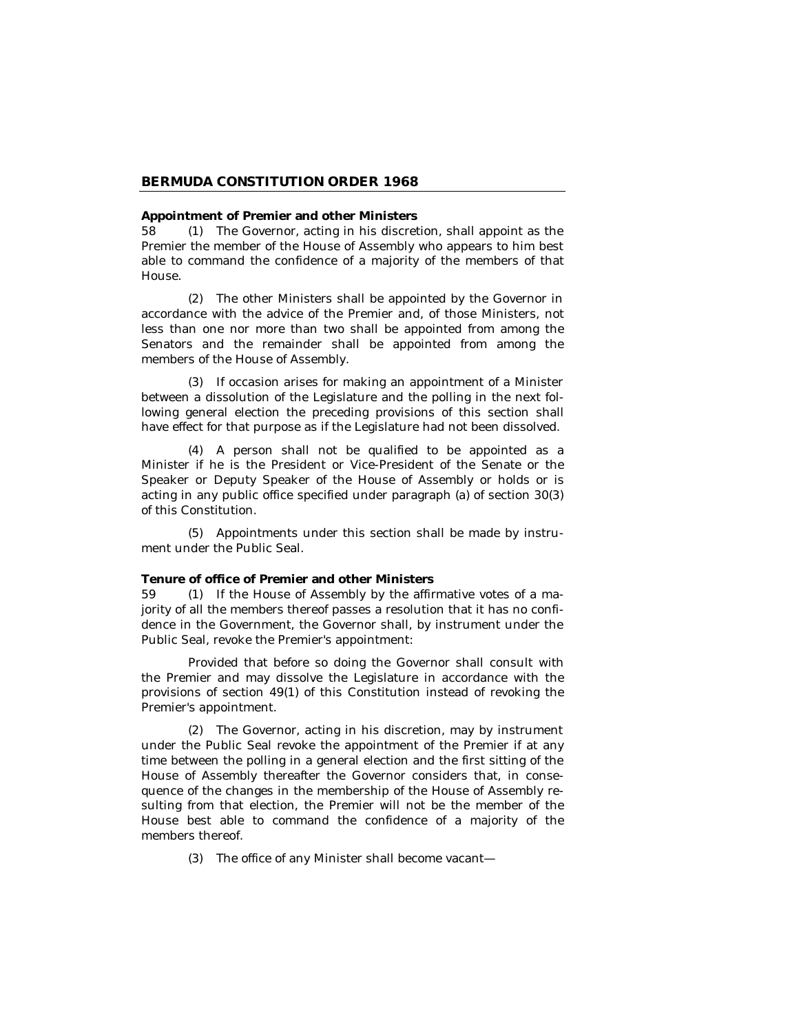#### **Appointment of Premier and other Ministers**

58 (1) The Governor, acting in his discretion, shall appoint as the Premier the member of the House of Assembly who appears to him best able to command the confidence of a majority of the members of that House.

(2) The other Ministers shall be appointed by the Governor in accordance with the advice of the Premier and, of those Ministers, not less than one nor more than two shall be appointed from among the Senators and the remainder shall be appointed from among the members of the House of Assembly.

(3) If occasion arises for making an appointment of a Minister between a dissolution of the Legislature and the polling in the next following general election the preceding provisions of this section shall have effect for that purpose as if the Legislature had not been dissolved.

(4) A person shall not be qualified to be appointed as a Minister if he is the President or Vice-President of the Senate or the Speaker or Deputy Speaker of the House of Assembly or holds or is acting in any public office specified under paragraph (a) of section 30(3) of this Constitution.

(5) Appointments under this section shall be made by instrument under the Public Seal.

#### **Tenure of office of Premier and other Ministers**

59 (1) If the House of Assembly by the affirmative votes of a majority of all the members thereof passes a resolution that it has no confidence in the Government, the Governor shall, by instrument under the Public Seal, revoke the Premier's appointment:

Provided that before so doing the Governor shall consult with the Premier and may dissolve the Legislature in accordance with the provisions of section 49(1) of this Constitution instead of revoking the Premier's appointment.

(2) The Governor, acting in his discretion, may by instrument under the Public Seal revoke the appointment of the Premier if at any time between the polling in a general election and the first sitting of the House of Assembly thereafter the Governor considers that, in consequence of the changes in the membership of the House of Assembly resulting from that election, the Premier will not be the member of the House best able to command the confidence of a majority of the members thereof.

(3) The office of any Minister shall become vacant—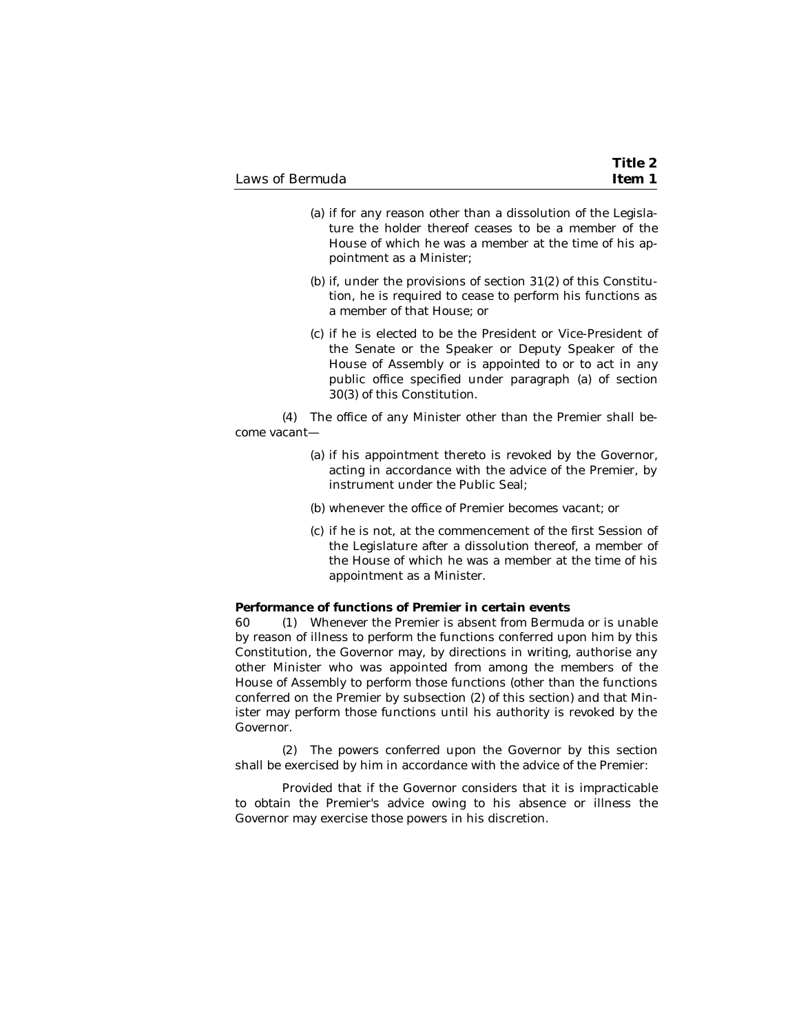- (a) if for any reason other than a dissolution of the Legislature the holder thereof ceases to be a member of the House of which he was a member at the time of his appointment as a Minister;
- (b) if, under the provisions of section 31(2) of this Constitution, he is required to cease to perform his functions as a member of that House; or
- (c) if he is elected to be the President or Vice-President of the Senate or the Speaker or Deputy Speaker of the House of Assembly or is appointed to or to act in any public office specified under paragraph (a) of section 30(3) of this Constitution.

(4) The office of any Minister other than the Premier shall become vacant—

- (a) if his appointment thereto is revoked by the Governor, acting in accordance with the advice of the Premier, by instrument under the Public Seal;
- (b) whenever the office of Premier becomes vacant; or
- (c) if he is not, at the commencement of the first Session of the Legislature after a dissolution thereof, a member of the House of which he was a member at the time of his appointment as a Minister.

## **Performance of functions of Premier in certain events**

60 (1) Whenever the Premier is absent from Bermuda or is unable by reason of illness to perform the functions conferred upon him by this Constitution, the Governor may, by directions in writing, authorise any other Minister who was appointed from among the members of the House of Assembly to perform those functions (other than the functions conferred on the Premier by subsection (2) of this section) and that Minister may perform those functions until his authority is revoked by the Governor.

(2) The powers conferred upon the Governor by this section shall be exercised by him in accordance with the advice of the Premier:

Provided that if the Governor considers that it is impracticable to obtain the Premier's advice owing to his absence or illness the Governor may exercise those powers in his discretion.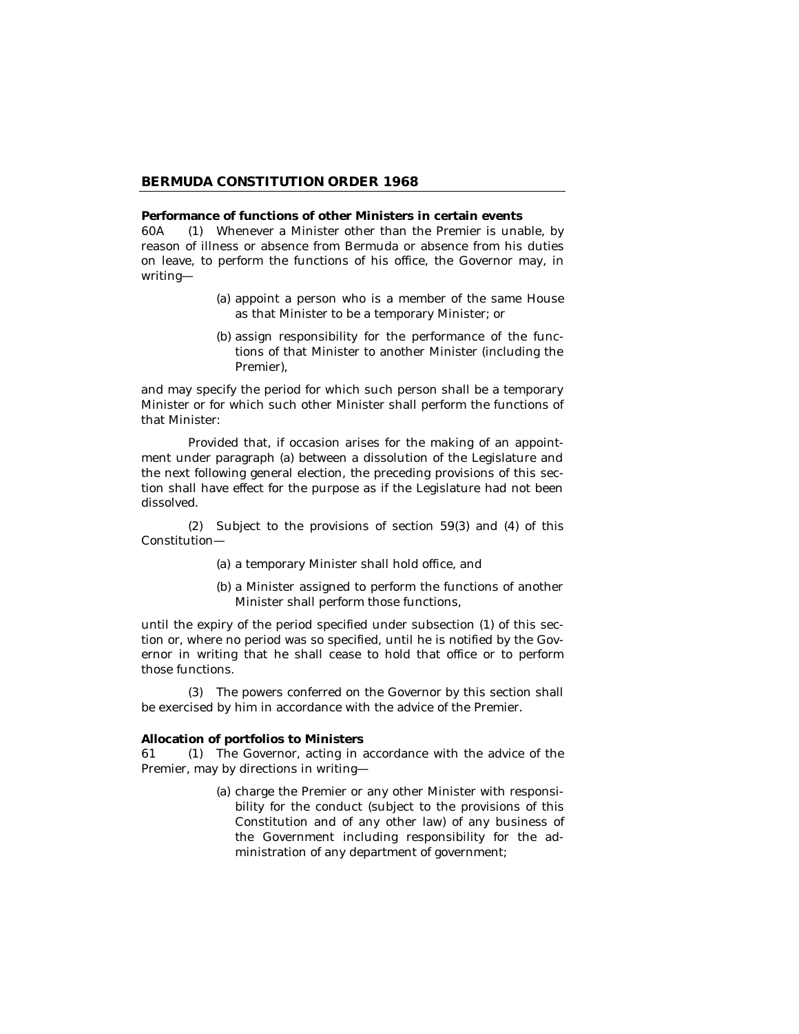## **Performance of functions of other Ministers in certain events**

60A (1) Whenever a Minister other than the Premier is unable, by reason of illness or absence from Bermuda or absence from his duties on leave, to perform the functions of his office, the Governor may, in writing—

- (a) appoint a person who is a member of the same House as that Minister to be a temporary Minister; or
- (b) assign responsibility for the performance of the functions of that Minister to another Minister (including the Premier),

and may specify the period for which such person shall be a temporary Minister or for which such other Minister shall perform the functions of that Minister:

Provided that, if occasion arises for the making of an appointment under paragraph (a) between a dissolution of the Legislature and the next following general election, the preceding provisions of this section shall have effect for the purpose as if the Legislature had not been dissolved.

(2) Subject to the provisions of section 59(3) and (4) of this Constitution—

- (a) a temporary Minister shall hold office, and
- (b) a Minister assigned to perform the functions of another Minister shall perform those functions,

until the expiry of the period specified under subsection (1) of this section or, where no period was so specified, until he is notified by the Governor in writing that he shall cease to hold that office or to perform those functions.

(3) The powers conferred on the Governor by this section shall be exercised by him in accordance with the advice of the Premier.

## **Allocation of portfolios to Ministers**

61 (1) The Governor, acting in accordance with the advice of the Premier, may by directions in writing—

> (a) charge the Premier or any other Minister with responsibility for the conduct (subject to the provisions of this Constitution and of any other law) of any business of the Government including responsibility for the administration of any department of government;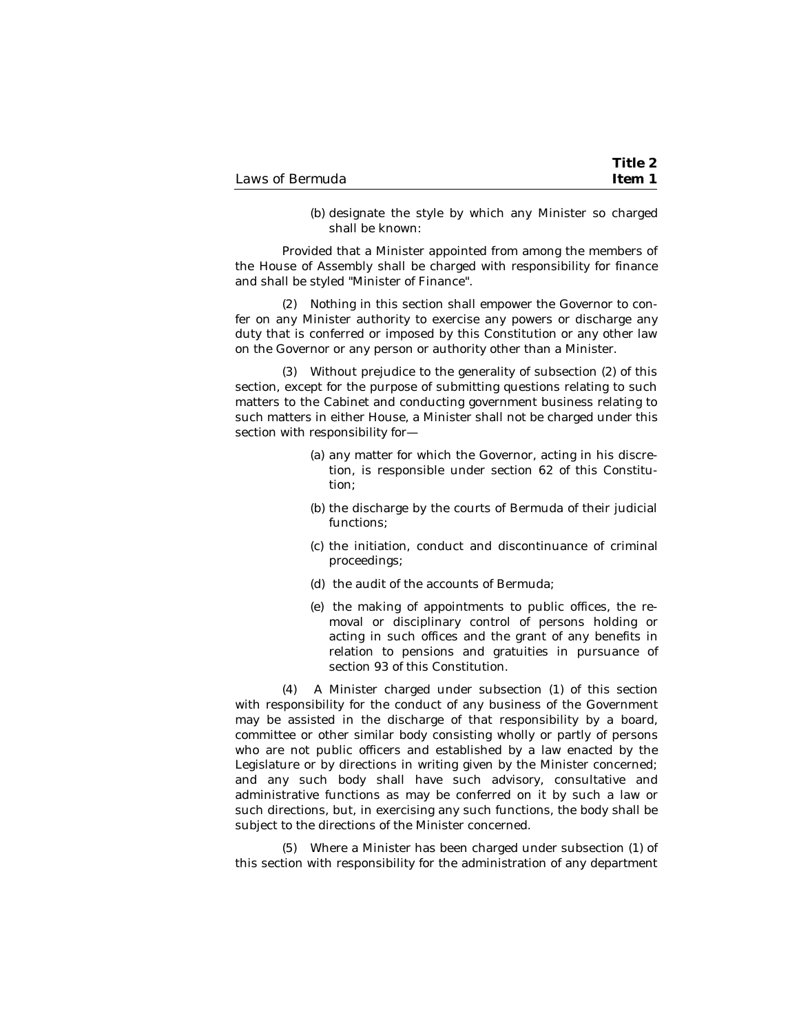| Laws of Bermuda | Item 1 |
|-----------------|--------|
|-----------------|--------|

**Title 2** 

(b) designate the style by which any Minister so charged shall be known:

Provided that a Minister appointed from among the members of the House of Assembly shall be charged with responsibility for finance and shall be styled "Minister of Finance".

(2) Nothing in this section shall empower the Governor to confer on any Minister authority to exercise any powers or discharge any duty that is conferred or imposed by this Constitution or any other law on the Governor or any person or authority other than a Minister.

(3) Without prejudice to the generality of subsection (2) of this section, except for the purpose of submitting questions relating to such matters to the Cabinet and conducting government business relating to such matters in either House, a Minister shall not be charged under this section with responsibility for—

- (a) any matter for which the Governor, acting in his discretion, is responsible under section 62 of this Constitution;
- (b) the discharge by the courts of Bermuda of their judicial functions;
- (c) the initiation, conduct and discontinuance of criminal proceedings;
- (d) the audit of the accounts of Bermuda;
- (e) the making of appointments to public offices, the removal or disciplinary control of persons holding or acting in such offices and the grant of any benefits in relation to pensions and gratuities in pursuance of section 93 of this Constitution.

(4) A Minister charged under subsection (1) of this section with responsibility for the conduct of any business of the Government may be assisted in the discharge of that responsibility by a board, committee or other similar body consisting wholly or partly of persons who are not public officers and established by a law enacted by the Legislature or by directions in writing given by the Minister concerned; and any such body shall have such advisory, consultative and administrative functions as may be conferred on it by such a law or such directions, but, in exercising any such functions, the body shall be subject to the directions of the Minister concerned.

(5) Where a Minister has been charged under subsection (1) of this section with responsibility for the administration of any department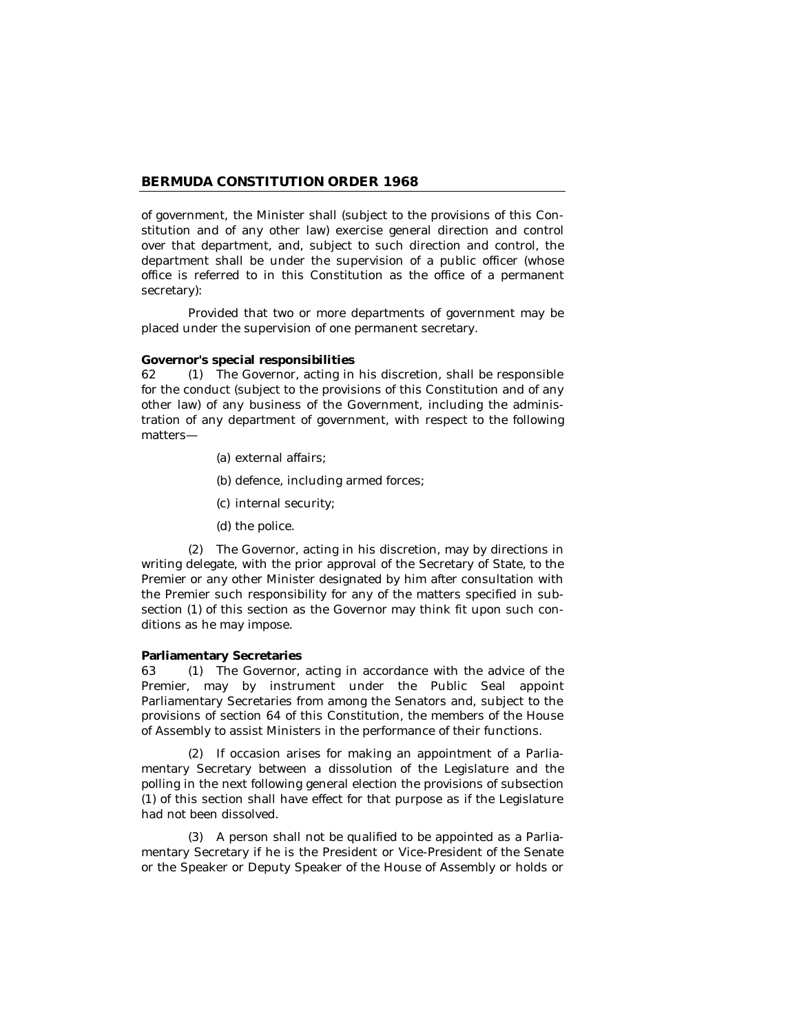of government, the Minister shall (subject to the provisions of this Constitution and of any other law) exercise general direction and control over that department, and, subject to such direction and control, the department shall be under the supervision of a public officer (whose office is referred to in this Constitution as the office of a permanent secretary):

Provided that two or more departments of government may be placed under the supervision of one permanent secretary.

## **Governor's special responsibilities**

62 (1) The Governor, acting in his discretion, shall be responsible for the conduct (subject to the provisions of this Constitution and of any other law) of any business of the Government, including the administration of any department of government, with respect to the following matters—

- (a) external affairs;
- (b) defence, including armed forces;
- (c) internal security;
- (d) the police.

(2) The Governor, acting in his discretion, may by directions in writing delegate, with the prior approval of the Secretary of State, to the Premier or any other Minister designated by him after consultation with the Premier such responsibility for any of the matters specified in subsection (1) of this section as the Governor may think fit upon such conditions as he may impose.

#### **Parliamentary Secretaries**

63 (1) The Governor, acting in accordance with the advice of the Premier, may by instrument under the Public Seal appoint Parliamentary Secretaries from among the Senators and, subject to the provisions of section 64 of this Constitution, the members of the House of Assembly to assist Ministers in the performance of their functions.

(2) If occasion arises for making an appointment of a Parliamentary Secretary between a dissolution of the Legislature and the polling in the next following general election the provisions of subsection (1) of this section shall have effect for that purpose as if the Legislature had not been dissolved.

(3) A person shall not be qualified to be appointed as a Parliamentary Secretary if he is the President or Vice-President of the Senate or the Speaker or Deputy Speaker of the House of Assembly or holds or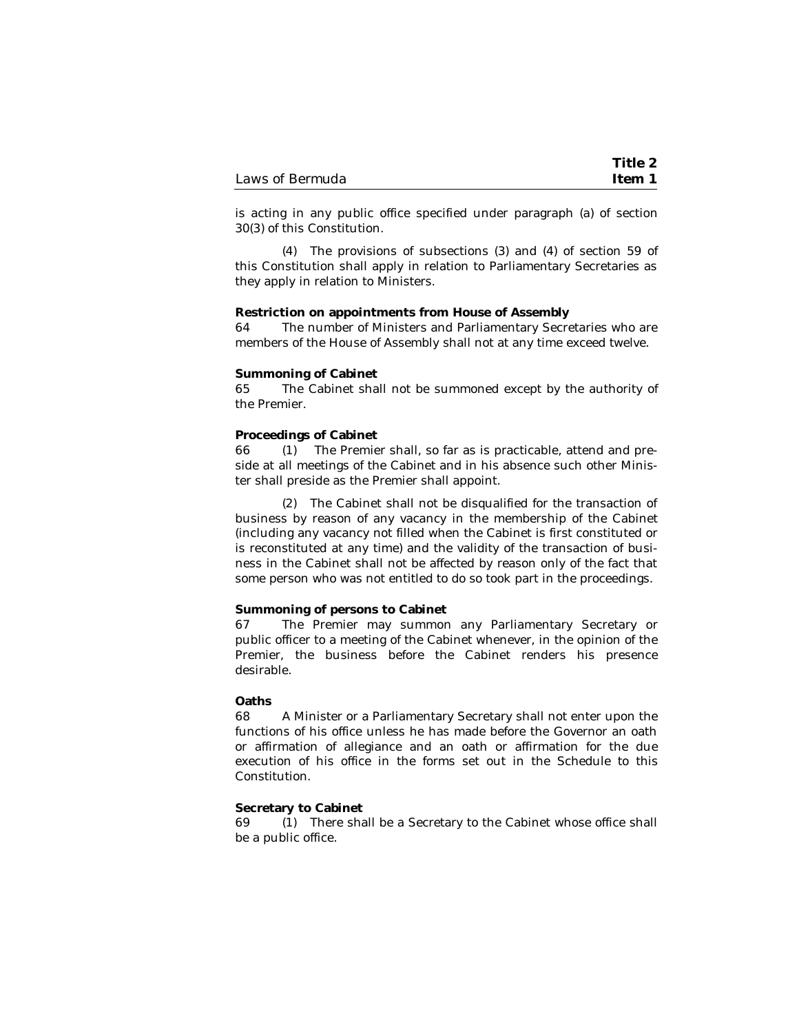| Laws of Bermuda | Item 1 |
|-----------------|--------|
|-----------------|--------|

is acting in any public office specified under paragraph (a) of section 30(3) of this Constitution.

(4) The provisions of subsections (3) and (4) of section 59 of this Constitution shall apply in relation to Parliamentary Secretaries as they apply in relation to Ministers.

### **Restriction on appointments from House of Assembly**

64 The number of Ministers and Parliamentary Secretaries who are members of the House of Assembly shall not at any time exceed twelve.

## **Summoning of Cabinet**

65 The Cabinet shall not be summoned except by the authority of the Premier.

#### **Proceedings of Cabinet**

66 (1) The Premier shall, so far as is practicable, attend and preside at all meetings of the Cabinet and in his absence such other Minister shall preside as the Premier shall appoint.

(2) The Cabinet shall not be disqualified for the transaction of business by reason of any vacancy in the membership of the Cabinet (including any vacancy not filled when the Cabinet is first constituted or is reconstituted at any time) and the validity of the transaction of business in the Cabinet shall not be affected by reason only of the fact that some person who was not entitled to do so took part in the proceedings.

### **Summoning of persons to Cabinet**

67 The Premier may summon any Parliamentary Secretary or public officer to a meeting of the Cabinet whenever, in the opinion of the Premier, the business before the Cabinet renders his presence desirable.

#### **Oaths**

68 A Minister or a Parliamentary Secretary shall not enter upon the functions of his office unless he has made before the Governor an oath or affirmation of allegiance and an oath or affirmation for the due execution of his office in the forms set out in the Schedule to this Constitution.

#### **Secretary to Cabinet**

69 (1) There shall be a Secretary to the Cabinet whose office shall be a public office.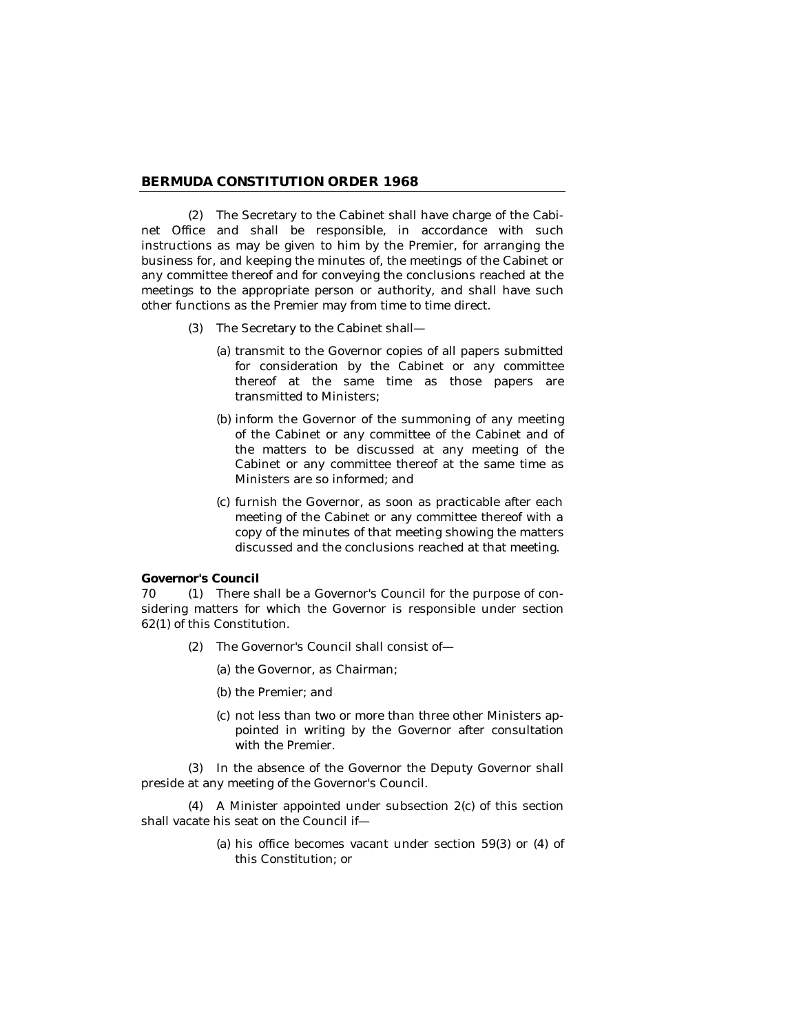(2) The Secretary to the Cabinet shall have charge of the Cabinet Office and shall be responsible, in accordance with such instructions as may be given to him by the Premier, for arranging the business for, and keeping the minutes of, the meetings of the Cabinet or any committee thereof and for conveying the conclusions reached at the meetings to the appropriate person or authority, and shall have such other functions as the Premier may from time to time direct.

- (3) The Secretary to the Cabinet shall—
	- (a) transmit to the Governor copies of all papers submitted for consideration by the Cabinet or any committee thereof at the same time as those papers are transmitted to Ministers;
	- (b) inform the Governor of the summoning of any meeting of the Cabinet or any committee of the Cabinet and of the matters to be discussed at any meeting of the Cabinet or any committee thereof at the same time as Ministers are so informed; and
	- (c) furnish the Governor, as soon as practicable after each meeting of the Cabinet or any committee thereof with a copy of the minutes of that meeting showing the matters discussed and the conclusions reached at that meeting.

#### **Governor's Council**

70 (1) There shall be a Governor's Council for the purpose of considering matters for which the Governor is responsible under section 62(1) of this Constitution.

- (2) The Governor's Council shall consist of—
	- (a) the Governor, as Chairman;
	- (b) the Premier; and
	- (c) not less than two or more than three other Ministers appointed in writing by the Governor after consultation with the Premier.

(3) In the absence of the Governor the Deputy Governor shall preside at any meeting of the Governor's Council.

(4) A Minister appointed under subsection 2(c) of this section shall vacate his seat on the Council if—

> (a) his office becomes vacant under section 59(3) or (4) of this Constitution; or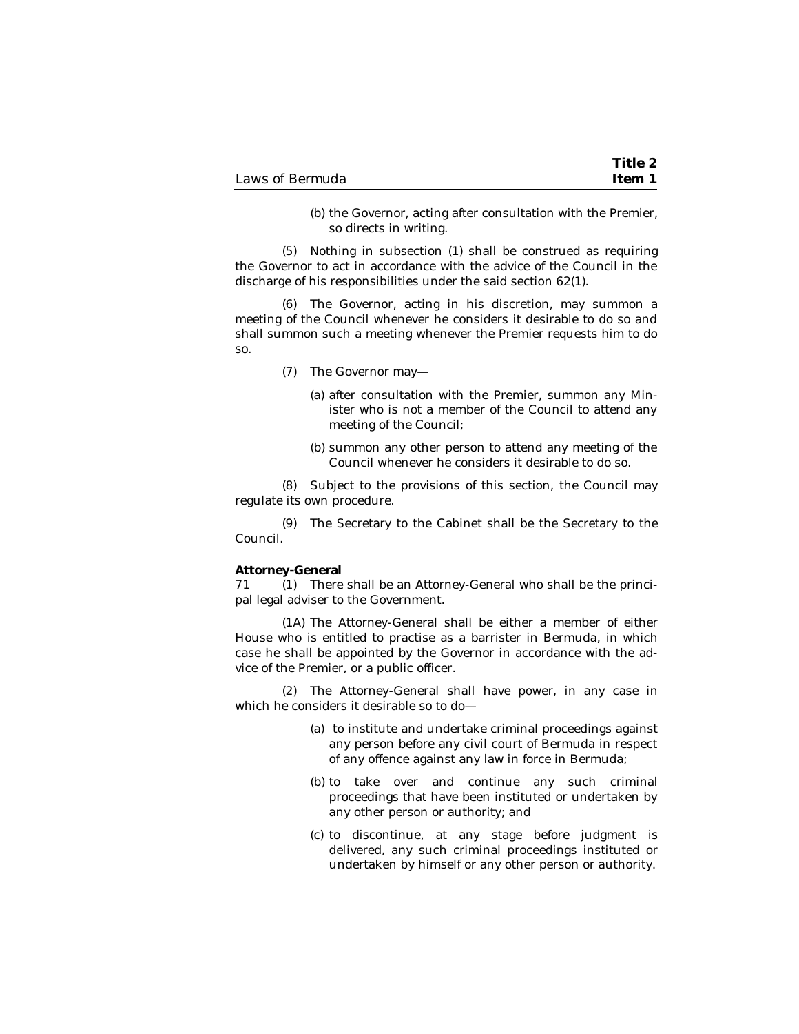(b) the Governor, acting after consultation with the Premier, so directs in writing.

(5) Nothing in subsection (1) shall be construed as requiring the Governor to act in accordance with the advice of the Council in the discharge of his responsibilities under the said section 62(1).

(6) The Governor, acting in his discretion, may summon a meeting of the Council whenever he considers it desirable to do so and shall summon such a meeting whenever the Premier requests him to do so.

- (7) The Governor may—
	- (a) after consultation with the Premier, summon any Minister who is not a member of the Council to attend any meeting of the Council;
	- (b) summon any other person to attend any meeting of the Council whenever he considers it desirable to do so.

(8) Subject to the provisions of this section, the Council may regulate its own procedure.

(9) The Secretary to the Cabinet shall be the Secretary to the Council.

## **Attorney-General**

71 (1) There shall be an Attorney-General who shall be the principal legal adviser to the Government.

(1A) The Attorney-General shall be either a member of either House who is entitled to practise as a barrister in Bermuda, in which case he shall be appointed by the Governor in accordance with the advice of the Premier, or a public officer.

(2) The Attorney-General shall have power, in any case in which he considers it desirable so to do—

- (a) to institute and undertake criminal proceedings against any person before any civil court of Bermuda in respect of any offence against any law in force in Bermuda;
- (b) to take over and continue any such criminal proceedings that have been instituted or undertaken by any other person or authority; and
- (c) to discontinue, at any stage before judgment is delivered, any such criminal proceedings instituted or undertaken by himself or any other person or authority.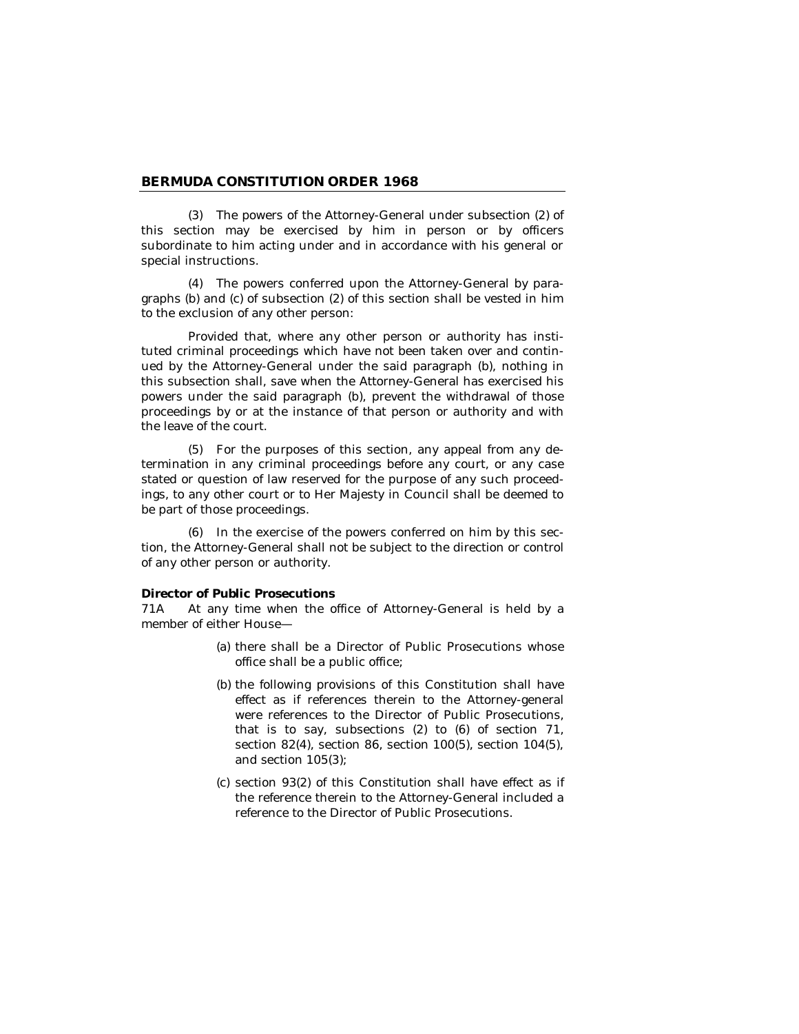(3) The powers of the Attorney-General under subsection (2) of this section may be exercised by him in person or by officers subordinate to him acting under and in accordance with his general or special instructions.

(4) The powers conferred upon the Attorney-General by paragraphs (b) and (c) of subsection (2) of this section shall be vested in him to the exclusion of any other person:

Provided that, where any other person or authority has instituted criminal proceedings which have not been taken over and continued by the Attorney-General under the said paragraph (b), nothing in this subsection shall, save when the Attorney-General has exercised his powers under the said paragraph (b), prevent the withdrawal of those proceedings by or at the instance of that person or authority and with the leave of the court.

(5) For the purposes of this section, any appeal from any determination in any criminal proceedings before any court, or any case stated or question of law reserved for the purpose of any such proceedings, to any other court or to Her Majesty in Council shall be deemed to be part of those proceedings.

(6) In the exercise of the powers conferred on him by this section, the Attorney-General shall not be subject to the direction or control of any other person or authority.

#### **Director of Public Prosecutions**

71A At any time when the office of Attorney-General is held by a member of either House—

- (a) there shall be a Director of Public Prosecutions whose office shall be a public office;
- (b) the following provisions of this Constitution shall have effect as if references therein to the Attorney-general were references to the Director of Public Prosecutions that is to say, subsections (2) to (6) of section 71, section 82(4), section 86, section 100(5), section 104(5), and section 105(3);
- (c) section 93(2) of this Constitution shall have effect as if the reference therein to the Attorney-General included a reference to the Director of Public Prosecutions.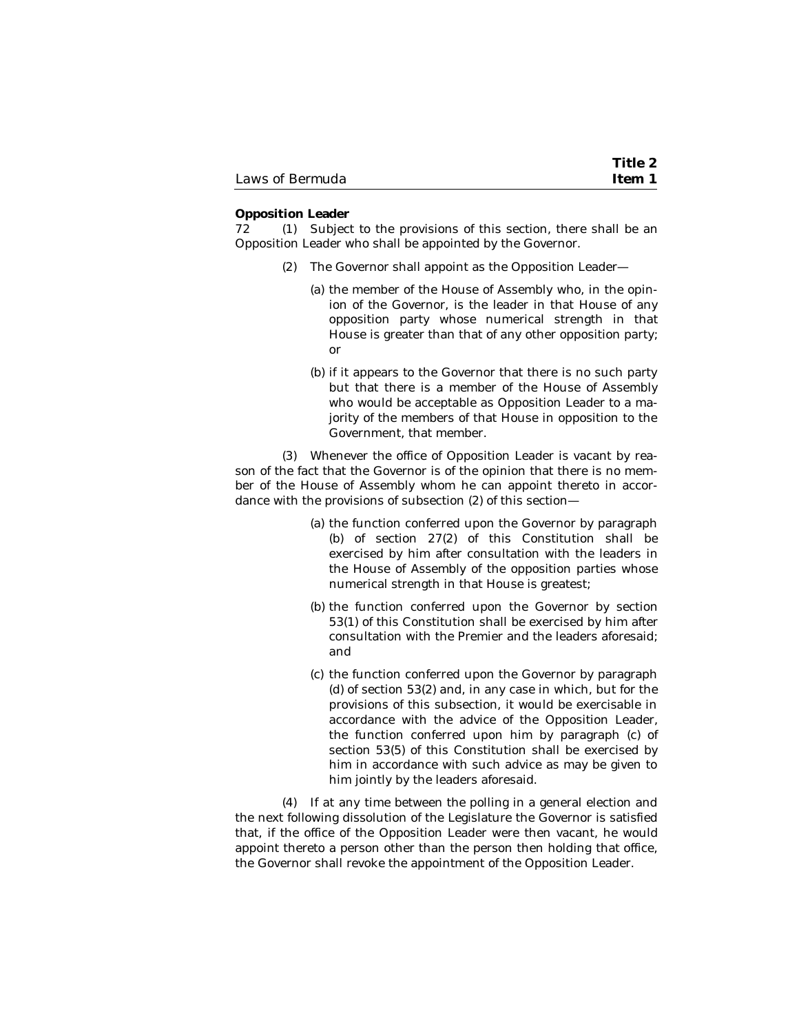## **Opposition Leader**

72 (1) Subject to the provisions of this section, there shall be an Opposition Leader who shall be appointed by the Governor.

- (2) The Governor shall appoint as the Opposition Leader—
	- (a) the member of the House of Assembly who, in the opinion of the Governor, is the leader in that House of any opposition party whose numerical strength in that House is greater than that of any other opposition party; or
	- (b) if it appears to the Governor that there is no such party but that there is a member of the House of Assembly who would be acceptable as Opposition Leader to a majority of the members of that House in opposition to the Government, that member.

(3) Whenever the office of Opposition Leader is vacant by reason of the fact that the Governor is of the opinion that there is no member of the House of Assembly whom he can appoint thereto in accordance with the provisions of subsection (2) of this section—

- (a) the function conferred upon the Governor by paragraph (b) of section 27(2) of this Constitution shall be exercised by him after consultation with the leaders in the House of Assembly of the opposition parties whose numerical strength in that House is greatest;
- (b) the function conferred upon the Governor by section 53(1) of this Constitution shall be exercised by him after consultation with the Premier and the leaders aforesaid; and
- (c) the function conferred upon the Governor by paragraph (d) of section 53(2) and, in any case in which, but for the provisions of this subsection, it would be exercisable in accordance with the advice of the Opposition Leader, the function conferred upon him by paragraph (c) of section 53(5) of this Constitution shall be exercised by him in accordance with such advice as may be given to him jointly by the leaders aforesaid.

(4) If at any time between the polling in a general election and the next following dissolution of the Legislature the Governor is satisfied that, if the office of the Opposition Leader were then vacant, he would appoint thereto a person other than the person then holding that office, the Governor shall revoke the appointment of the Opposition Leader.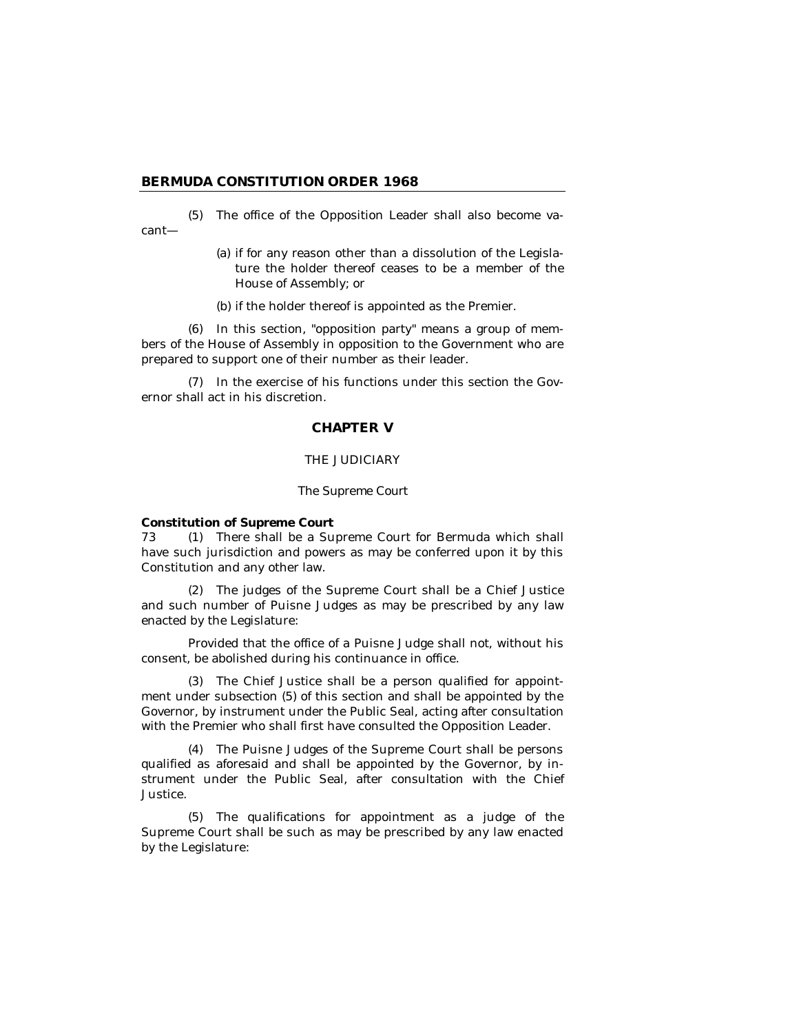(5) The office of the Opposition Leader shall also become vacant—

- (a) if for any reason other than a dissolution of the Legislature the holder thereof ceases to be a member of the House of Assembly; or
- (b) if the holder thereof is appointed as the Premier.

(6) In this section, "opposition party" means a group of members of the House of Assembly in opposition to the Government who are prepared to support one of their number as their leader.

(7) In the exercise of his functions under this section the Governor shall act in his discretion.

## **CHAPTER V**

## THE JUDICIARY

#### *The Supreme Court*

#### **Constitution of Supreme Court**

73 (1) There shall be a Supreme Court for Bermuda which shall have such jurisdiction and powers as may be conferred upon it by this Constitution and any other law.

(2) The judges of the Supreme Court shall be a Chief Justice and such number of Puisne Judges as may be prescribed by any law enacted by the Legislature:

Provided that the office of a Puisne Judge shall not, without his consent, be abolished during his continuance in office.

(3) The Chief Justice shall be a person qualified for appointment under subsection (5) of this section and shall be appointed by the Governor, by instrument under the Public Seal, acting after consultation with the Premier who shall first have consulted the Opposition Leader.

(4) The Puisne Judges of the Supreme Court shall be persons qualified as aforesaid and shall be appointed by the Governor, by instrument under the Public Seal, after consultation with the Chief Justice.

(5) The qualifications for appointment as a judge of the Supreme Court shall be such as may be prescribed by any law enacted by the Legislature: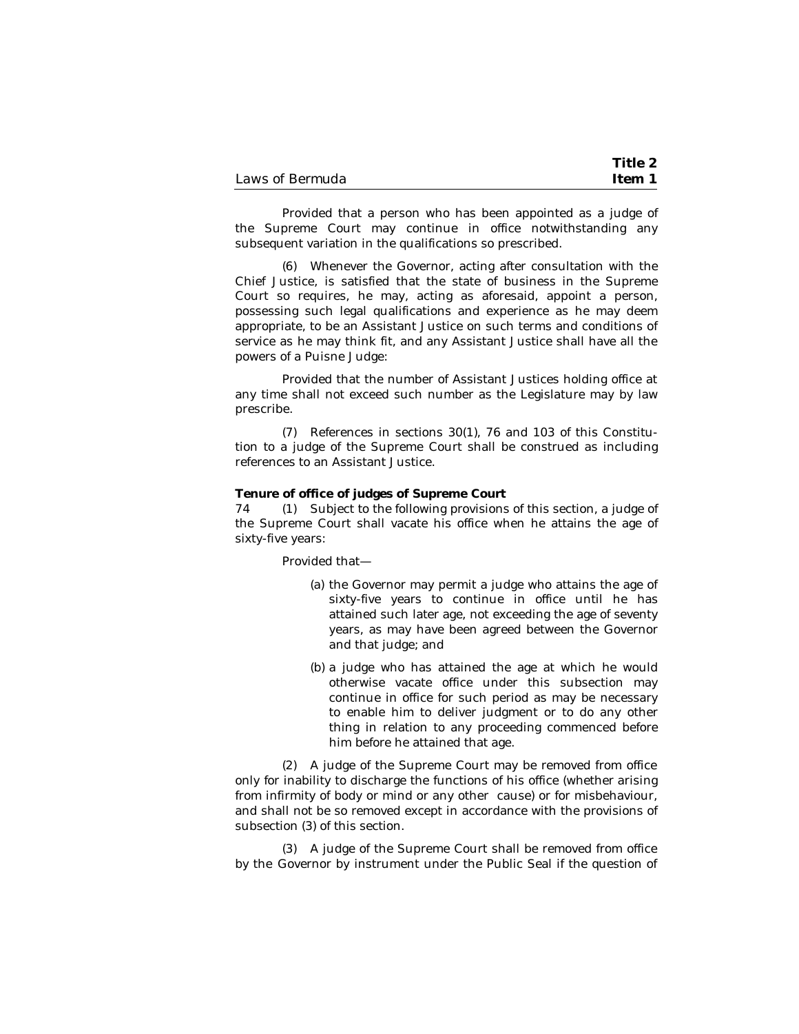Provided that a person who has been appointed as a judge of the Supreme Court may continue in office notwithstanding any subsequent variation in the qualifications so prescribed.

(6) Whenever the Governor, acting after consultation with the Chief Justice, is satisfied that the state of business in the Supreme Court so requires, he may, acting as aforesaid, appoint a person, possessing such legal qualifications and experience as he may deem appropriate, to be an Assistant Justice on such terms and conditions of service as he may think fit, and any Assistant Justice shall have all the powers of a Puisne Judge:

Provided that the number of Assistant Justices holding office at any time shall not exceed such number as the Legislature may by law prescribe.

(7) References in sections 30(1), 76 and 103 of this Constitution to a judge of the Supreme Court shall be construed as including references to an Assistant Justice.

### **Tenure of office of judges of Supreme Court**

74 (1) Subject to the following provisions of this section, a judge of the Supreme Court shall vacate his office when he attains the age of sixty-five years:

Provided that—

- (a) the Governor may permit a judge who attains the age of sixty-five years to continue in office until he has attained such later age, not exceeding the age of seventy years, as may have been agreed between the Governor and that judge; and
- (b) a judge who has attained the age at which he would otherwise vacate office under this subsection may continue in office for such period as may be necessary to enable him to deliver judgment or to do any other thing in relation to any proceeding commenced before him before he attained that age.

(2) A judge of the Supreme Court may be removed from office only for inability to discharge the functions of his office (whether arising from infirmity of body or mind or any other cause) or for misbehaviour, and shall not be so removed except in accordance with the provisions of subsection (3) of this section.

(3) A judge of the Supreme Court shall be removed from office by the Governor by instrument under the Public Seal if the question of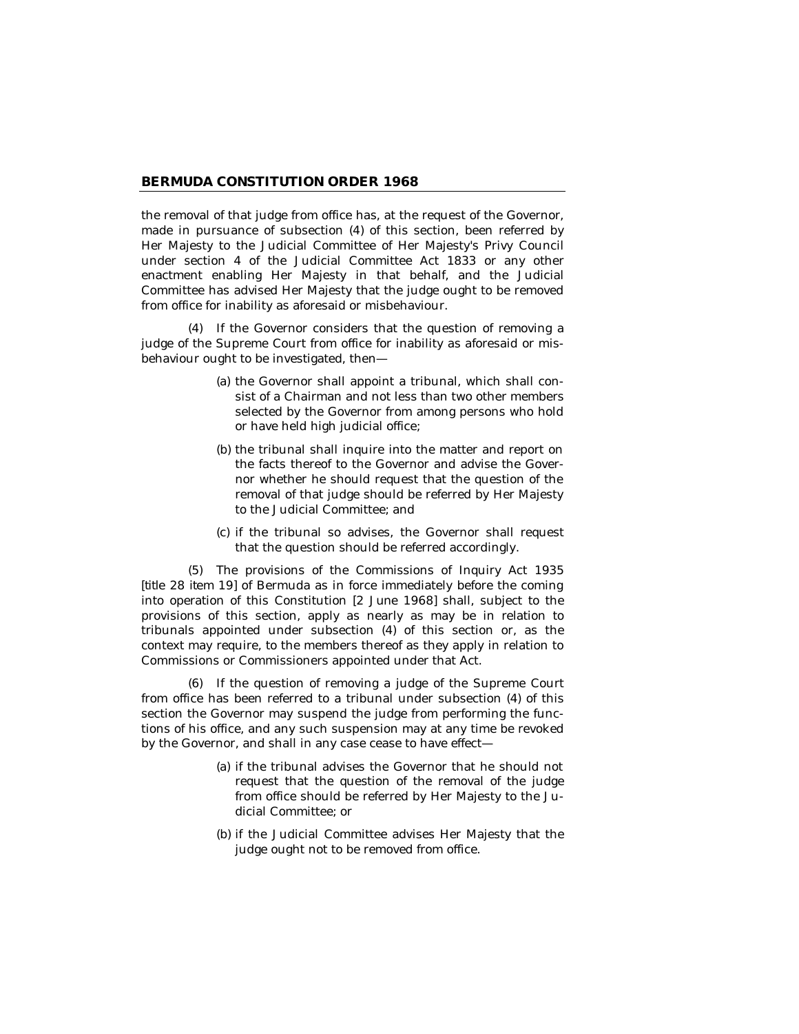the removal of that judge from office has, at the request of the Governor, made in pursuance of subsection (4) of this section, been referred by Her Majesty to the Judicial Committee of Her Majesty's Privy Council under section 4 of the Judicial Committee Act 1833 or any other enactment enabling Her Majesty in that behalf, and the Judicial Committee has advised Her Majesty that the judge ought to be removed from office for inability as aforesaid or misbehaviour.

(4) If the Governor considers that the question of removing a judge of the Supreme Court from office for inability as aforesaid or misbehaviour ought to be investigated, then—

- (a) the Governor shall appoint a tribunal, which shall consist of a Chairman and not less than two other members selected by the Governor from among persons who hold or have held high judicial office;
- (b) the tribunal shall inquire into the matter and report on the facts thereof to the Governor and advise the Governor whether he should request that the question of the removal of that judge should be referred by Her Majesty to the Judicial Committee; and
- (c) if the tribunal so advises, the Governor shall request that the question should be referred accordingly.

(5) The provisions of the Commissions of Inquiry Act 1935 [*title 28 item 19*] of Bermuda as in force immediately before the coming into operation of this Constitution [*2 June 1968*] shall, subject to the provisions of this section, apply as nearly as may be in relation to tribunals appointed under subsection (4) of this section or, as the context may require, to the members thereof as they apply in relation to Commissions or Commissioners appointed under that Act.

(6) If the question of removing a judge of the Supreme Court from office has been referred to a tribunal under subsection (4) of this section the Governor may suspend the judge from performing the functions of his office, and any such suspension may at any time be revoked by the Governor, and shall in any case cease to have effect—

- (a) if the tribunal advises the Governor that he should not request that the question of the removal of the judge from office should be referred by Her Majesty to the Judicial Committee; or
- (b) if the Judicial Committee advises Her Majesty that the judge ought not to be removed from office.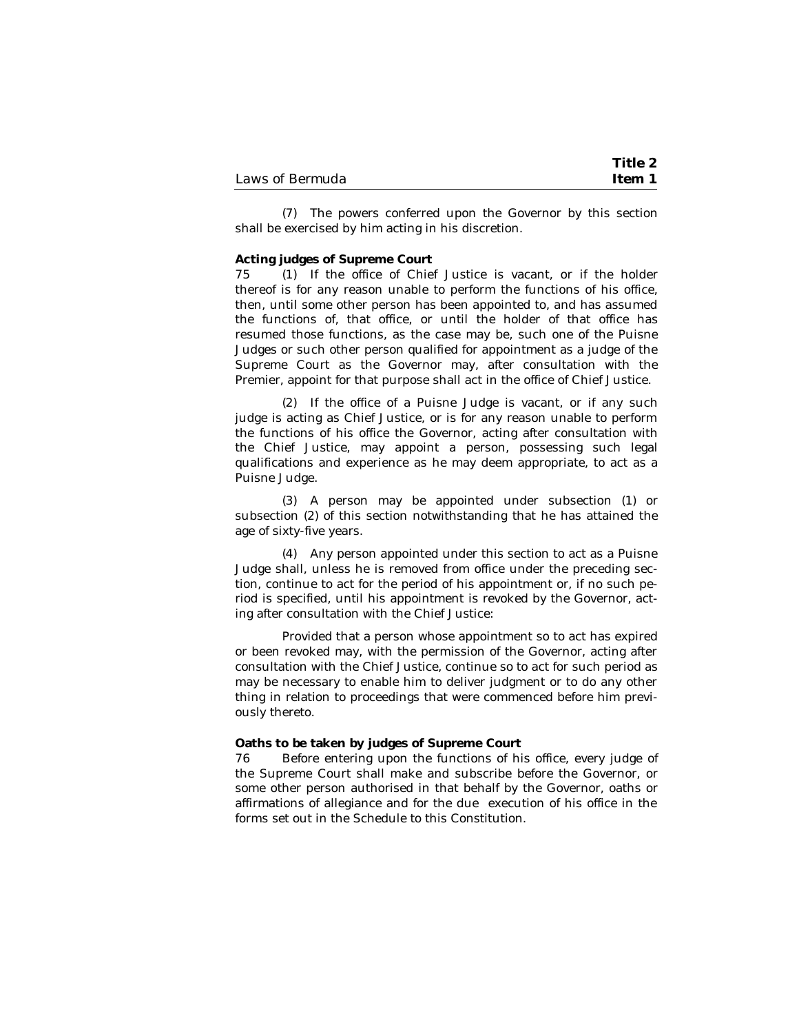(7) The powers conferred upon the Governor by this section shall be exercised by him acting in his discretion.

# **Acting judges of Supreme Court**

75 (1) If the office of Chief Justice is vacant, or if the holder thereof is for any reason unable to perform the functions of his office, then, until some other person has been appointed to, and has assumed the functions of, that office, or until the holder of that office has resumed those functions, as the case may be, such one of the Puisne Judges or such other person qualified for appointment as a judge of the Supreme Court as the Governor may, after consultation with the Premier, appoint for that purpose shall act in the office of Chief Justice.

(2) If the office of a Puisne Judge is vacant, or if any such judge is acting as Chief Justice, or is for any reason unable to perform the functions of his office the Governor, acting after consultation with the Chief Justice, may appoint a person, possessing such legal qualifications and experience as he may deem appropriate, to act as a Puisne Judge.

(3) A person may be appointed under subsection (1) or subsection (2) of this section notwithstanding that he has attained the age of sixty-five years.

(4) Any person appointed under this section to act as a Puisne Judge shall, unless he is removed from office under the preceding section, continue to act for the period of his appointment or, if no such period is specified, until his appointment is revoked by the Governor, acting after consultation with the Chief Justice:

Provided that a person whose appointment so to act has expired or been revoked may, with the permission of the Governor, acting after consultation with the Chief Justice, continue so to act for such period as may be necessary to enable him to deliver judgment or to do any other thing in relation to proceedings that were commenced before him previously thereto.

#### **Oaths to be taken by judges of Supreme Court**

76 Before entering upon the functions of his office, every judge of the Supreme Court shall make and subscribe before the Governor, or some other person authorised in that behalf by the Governor, oaths or affirmations of allegiance and for the due execution of his office in the forms set out in the Schedule to this Constitution.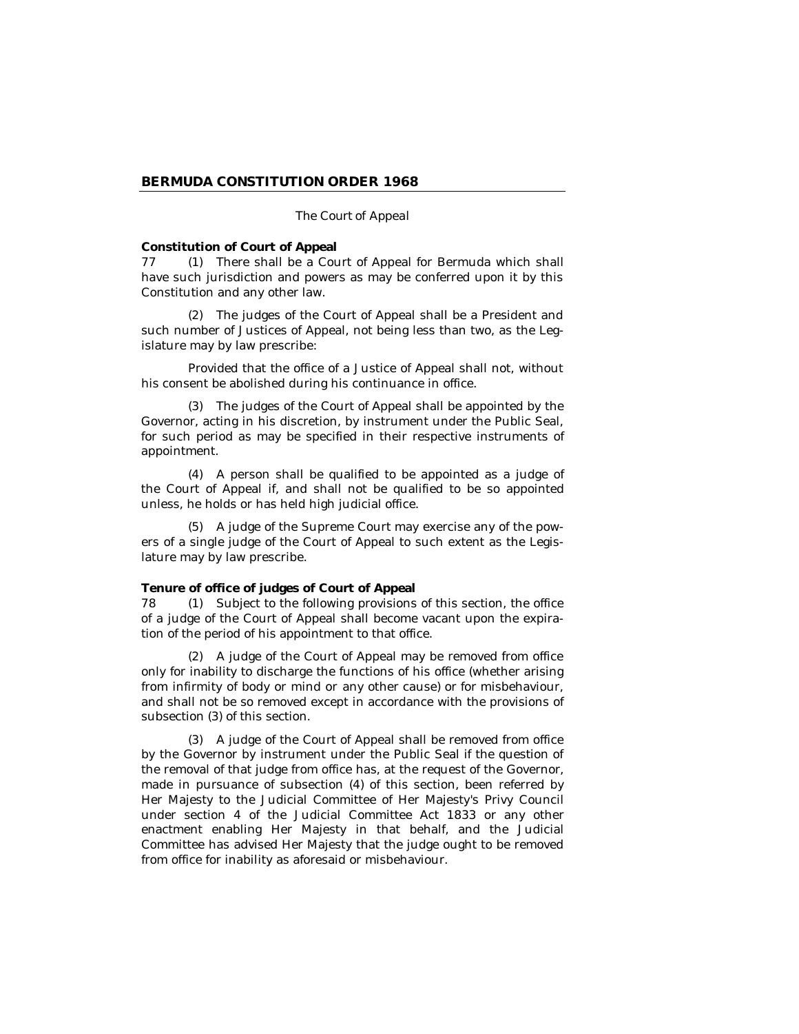### *The Court of Appeal*

#### **Constitution of Court of Appeal**

77 (1) There shall be a Court of Appeal for Bermuda which shall have such jurisdiction and powers as may be conferred upon it by this Constitution and any other law.

(2) The judges of the Court of Appeal shall be a President and such number of Justices of Appeal, not being less than two, as the Legislature may by law prescribe:

Provided that the office of a Justice of Appeal shall not, without his consent be abolished during his continuance in office.

(3) The judges of the Court of Appeal shall be appointed by the Governor, acting in his discretion, by instrument under the Public Seal, for such period as may be specified in their respective instruments of appointment.

(4) A person shall be qualified to be appointed as a judge of the Court of Appeal if, and shall not be qualified to be so appointed unless, he holds or has held high judicial office.

(5) A judge of the Supreme Court may exercise any of the powers of a single judge of the Court of Appeal to such extent as the Legislature may by law prescribe.

### **Tenure of office of judges of Court of Appeal**

78 (1) Subject to the following provisions of this section, the office of a judge of the Court of Appeal shall become vacant upon the expiration of the period of his appointment to that office.

(2) A judge of the Court of Appeal may be removed from office only for inability to discharge the functions of his office (whether arising from infirmity of body or mind or any other cause) or for misbehaviour, and shall not be so removed except in accordance with the provisions of subsection (3) of this section.

(3) A judge of the Court of Appeal shall be removed from office by the Governor by instrument under the Public Seal if the question of the removal of that judge from office has, at the request of the Governor, made in pursuance of subsection (4) of this section, been referred by Her Majesty to the Judicial Committee of Her Majesty's Privy Council under section 4 of the Judicial Committee Act 1833 or any other enactment enabling Her Majesty in that behalf, and the Judicial Committee has advised Her Majesty that the judge ought to be removed from office for inability as aforesaid or misbehaviour.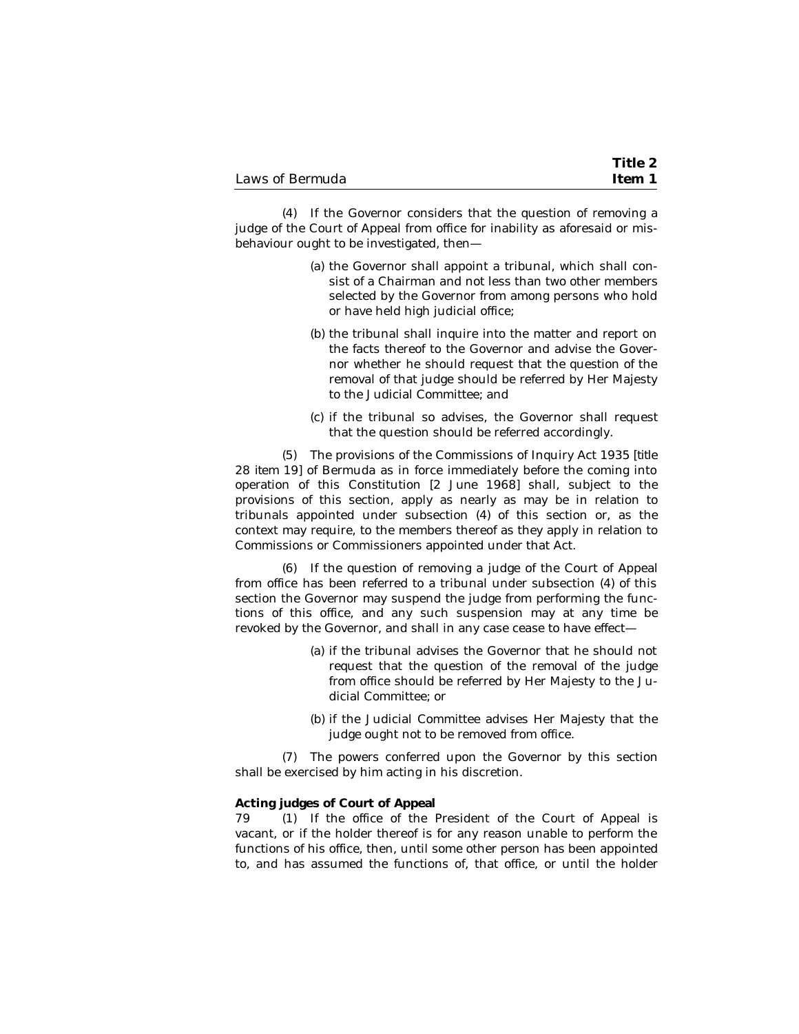**Title 2** 

(4) If the Governor considers that the question of removing a judge of the Court of Appeal from office for inability as aforesaid or misbehaviour ought to be investigated, then—

- (a) the Governor shall appoint a tribunal, which shall consist of a Chairman and not less than two other members selected by the Governor from among persons who hold or have held high judicial office;
- (b) the tribunal shall inquire into the matter and report on the facts thereof to the Governor and advise the Governor whether he should request that the question of the removal of that judge should be referred by Her Majesty to the Judicial Committee; and
- (c) if the tribunal so advises, the Governor shall request that the question should be referred accordingly.

(5) The provisions of the Commissions of Inquiry Act 1935 [*title 28 item 19*] of Bermuda as in force immediately before the coming into operation of this Constitution [*2 June 1968*] shall, subject to the provisions of this section, apply as nearly as may be in relation to tribunals appointed under subsection (4) of this section or, as the context may require, to the members thereof as they apply in relation to Commissions or Commissioners appointed under that Act.

(6) If the question of removing a judge of the Court of Appeal from office has been referred to a tribunal under subsection (4) of this section the Governor may suspend the judge from performing the functions of this office, and any such suspension may at any time be revoked by the Governor, and shall in any case cease to have effect—

- (a) if the tribunal advises the Governor that he should not request that the question of the removal of the judge from office should be referred by Her Majesty to the Judicial Committee; or
- (b) if the Judicial Committee advises Her Majesty that the judge ought not to be removed from office.

(7) The powers conferred upon the Governor by this section shall be exercised by him acting in his discretion.

## **Acting judges of Court of Appeal**

79 (1) If the office of the President of the Court of Appeal is vacant, or if the holder thereof is for any reason unable to perform the functions of his office, then, until some other person has been appointed to, and has assumed the functions of, that office, or until the holder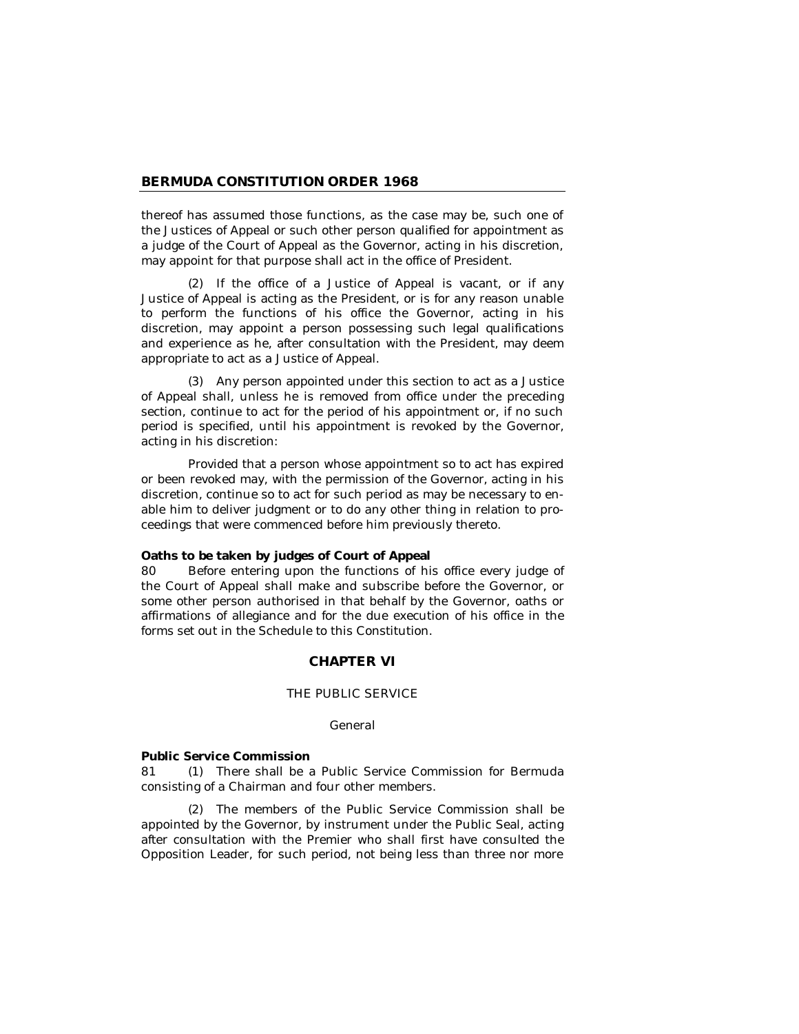thereof has assumed those functions, as the case may be, such one of the Justices of Appeal or such other person qualified for appointment as a judge of the Court of Appeal as the Governor, acting in his discretion, may appoint for that purpose shall act in the office of President.

(2) If the office of a Justice of Appeal is vacant, or if any Justice of Appeal is acting as the President, or is for any reason unable to perform the functions of his office the Governor, acting in his discretion, may appoint a person possessing such legal qualifications and experience as he, after consultation with the President, may deem appropriate to act as a Justice of Appeal.

(3) Any person appointed under this section to act as a Justice of Appeal shall, unless he is removed from office under the preceding section, continue to act for the period of his appointment or, if no such period is specified, until his appointment is revoked by the Governor, acting in his discretion:

Provided that a person whose appointment so to act has expired or been revoked may, with the permission of the Governor, acting in his discretion, continue so to act for such period as may be necessary to enable him to deliver judgment or to do any other thing in relation to proceedings that were commenced before him previously thereto.

### **Oaths to be taken by judges of Court of Appeal**

80 Before entering upon the functions of his office every judge of the Court of Appeal shall make and subscribe before the Governor, or some other person authorised in that behalf by the Governor, oaths or affirmations of allegiance and for the due execution of his office in the forms set out in the Schedule to this Constitution.

# **CHAPTER VI**

## THE PUBLIC SERVICE

### *General*

### **Public Service Commission**

81 (1) There shall be a Public Service Commission for Bermuda consisting of a Chairman and four other members.

(2) The members of the Public Service Commission shall be appointed by the Governor, by instrument under the Public Seal, acting after consultation with the Premier who shall first have consulted the Opposition Leader, for such period, not being less than three nor more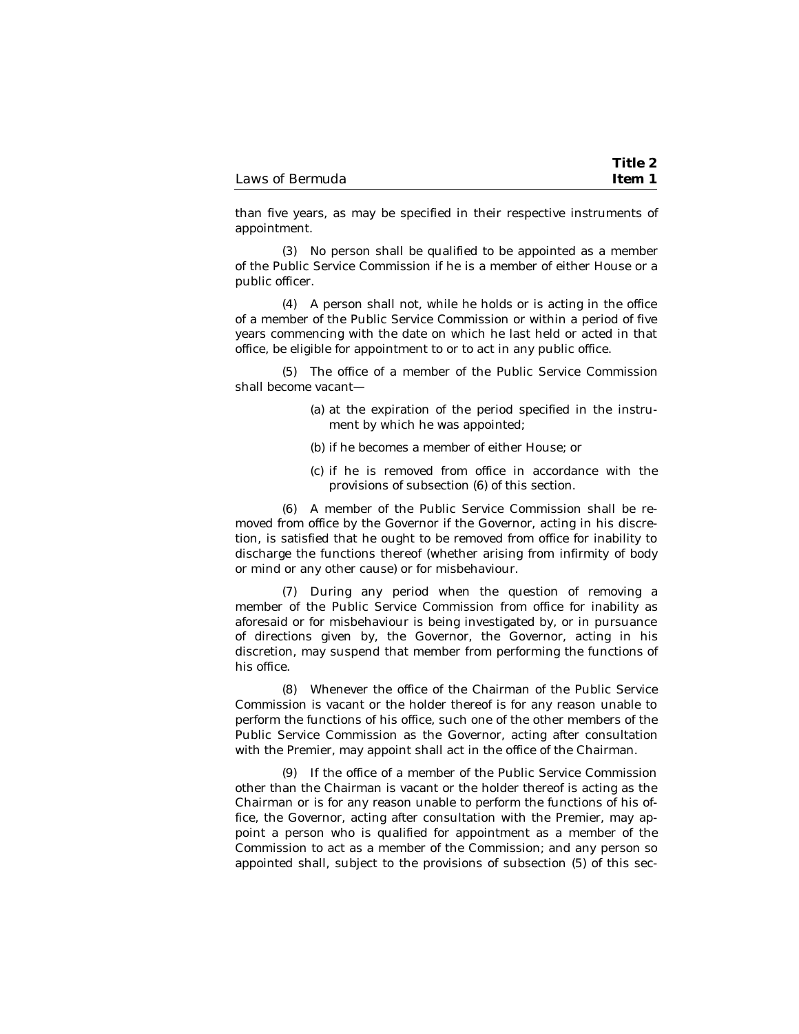than five years, as may be specified in their respective instruments of appointment.

(3) No person shall be qualified to be appointed as a member of the Public Service Commission if he is a member of either House or a public officer.

(4) A person shall not, while he holds or is acting in the office of a member of the Public Service Commission or within a period of five years commencing with the date on which he last held or acted in that office, be eligible for appointment to or to act in any public office.

(5) The office of a member of the Public Service Commission shall become vacant—

- (a) at the expiration of the period specified in the instrument by which he was appointed;
- (b) if he becomes a member of either House; or
- (c) if he is removed from office in accordance with the provisions of subsection (6) of this section.

(6) A member of the Public Service Commission shall be removed from office by the Governor if the Governor, acting in his discretion, is satisfied that he ought to be removed from office for inability to discharge the functions thereof (whether arising from infirmity of body or mind or any other cause) or for misbehaviour.

(7) During any period when the question of removing a member of the Public Service Commission from office for inability as aforesaid or for misbehaviour is being investigated by, or in pursuance of directions given by, the Governor, the Governor, acting in his discretion, may suspend that member from performing the functions of his office.

(8) Whenever the office of the Chairman of the Public Service Commission is vacant or the holder thereof is for any reason unable to perform the functions of his office, such one of the other members of the Public Service Commission as the Governor, acting after consultation with the Premier, may appoint shall act in the office of the Chairman.

(9) If the office of a member of the Public Service Commission other than the Chairman is vacant or the holder thereof is acting as the Chairman or is for any reason unable to perform the functions of his office, the Governor, acting after consultation with the Premier, may appoint a person who is qualified for appointment as a member of the Commission to act as a member of the Commission; and any person so appointed shall, subject to the provisions of subsection (5) of this sec-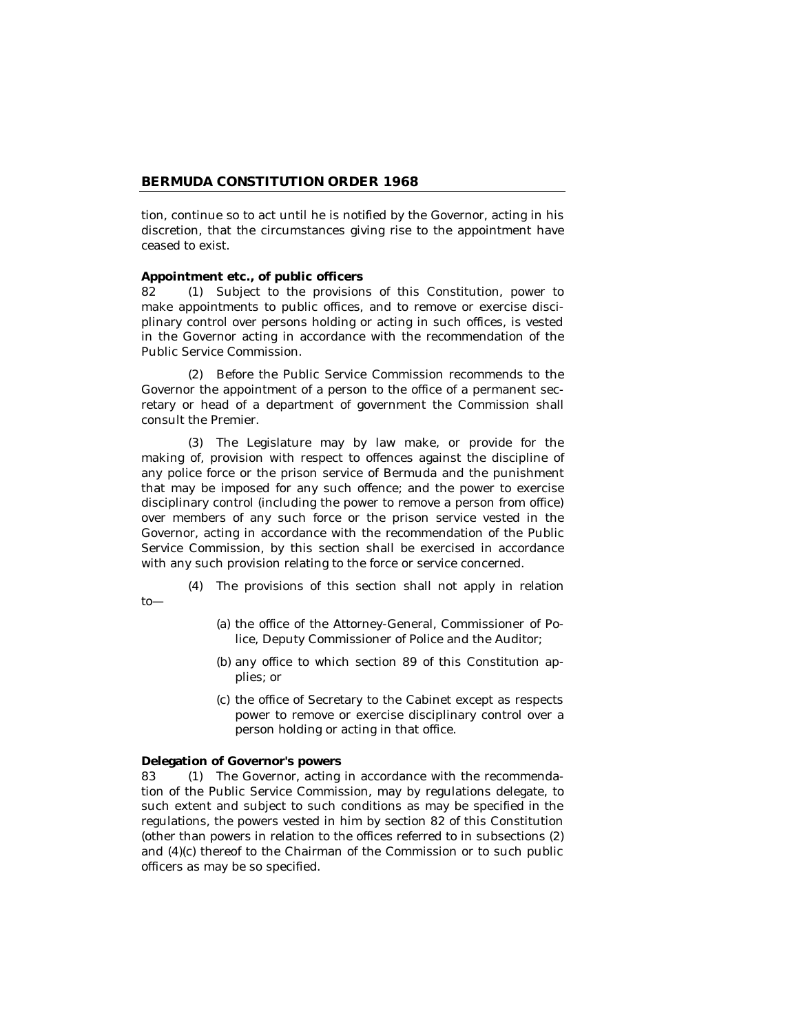tion, continue so to act until he is notified by the Governor, acting in his discretion, that the circumstances giving rise to the appointment have ceased to exist.

### **Appointment etc., of public officers**

82 (1) Subject to the provisions of this Constitution, power to make appointments to public offices, and to remove or exercise disciplinary control over persons holding or acting in such offices, is vested in the Governor acting in accordance with the recommendation of the Public Service Commission.

(2) Before the Public Service Commission recommends to the Governor the appointment of a person to the office of a permanent secretary or head of a department of government the Commission shall consult the Premier.

(3) The Legislature may by law make, or provide for the making of, provision with respect to offences against the discipline of any police force or the prison service of Bermuda and the punishment that may be imposed for any such offence; and the power to exercise disciplinary control (including the power to remove a person from office) over members of any such force or the prison service vested in the Governor, acting in accordance with the recommendation of the Public Service Commission, by this section shall be exercised in accordance with any such provision relating to the force or service concerned.

- (4) The provisions of this section shall not apply in relation
	- (a) the office of the Attorney-General, Commissioner of Police, Deputy Commissioner of Police and the Auditor;
	- (b) any office to which section 89 of this Constitution applies; or
	- (c) the office of Secretary to the Cabinet except as respects power to remove or exercise disciplinary control over a person holding or acting in that office.

### **Delegation of Governor's powers**

to—

83 (1) The Governor, acting in accordance with the recommendation of the Public Service Commission, may by regulations delegate, to such extent and subject to such conditions as may be specified in the regulations, the powers vested in him by section 82 of this Constitution (other than powers in relation to the offices referred to in subsections (2) and (4)(c) thereof to the Chairman of the Commission or to such public officers as may be so specified.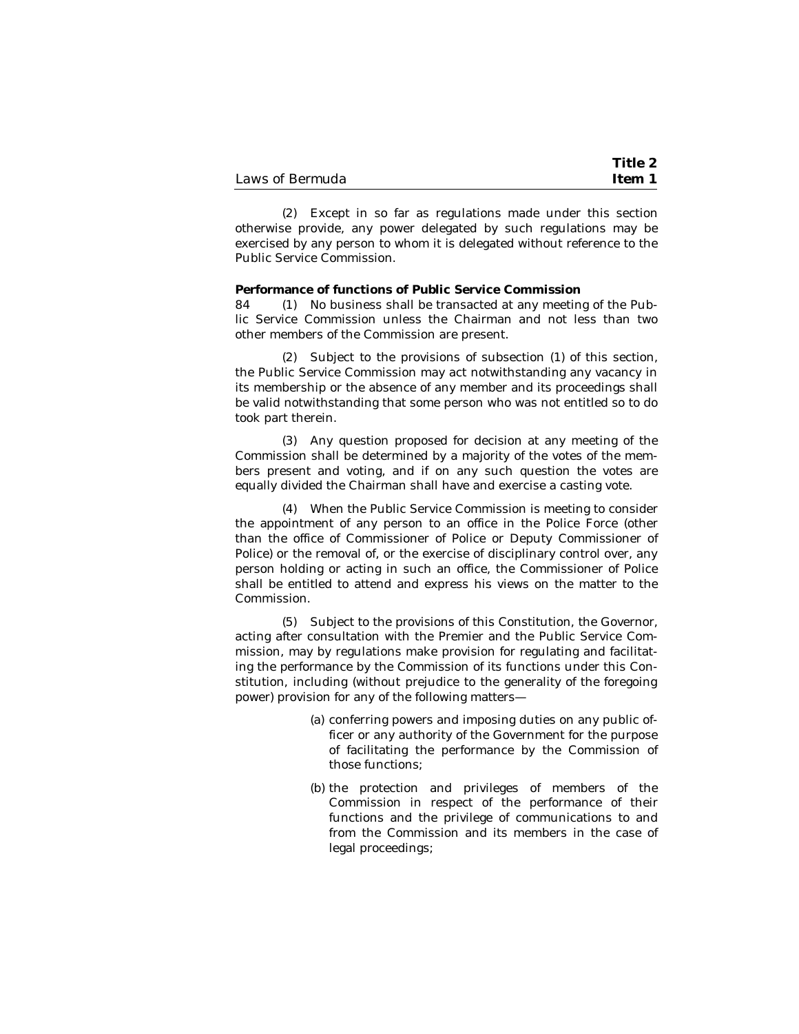**Title 2** 

(2) Except in so far as regulations made under this section otherwise provide, any power delegated by such regulations may be exercised by any person to whom it is delegated without reference to the Public Service Commission.

#### **Performance of functions of Public Service Commission**

84 (1) No business shall be transacted at any meeting of the Public Service Commission unless the Chairman and not less than two other members of the Commission are present.

(2) Subject to the provisions of subsection (1) of this section, the Public Service Commission may act notwithstanding any vacancy in its membership or the absence of any member and its proceedings shall be valid notwithstanding that some person who was not entitled so to do took part therein.

(3) Any question proposed for decision at any meeting of the Commission shall be determined by a majority of the votes of the members present and voting, and if on any such question the votes are equally divided the Chairman shall have and exercise a casting vote.

(4) When the Public Service Commission is meeting to consider the appointment of any person to an office in the Police Force (other than the office of Commissioner of Police or Deputy Commissioner of Police) or the removal of, or the exercise of disciplinary control over, any person holding or acting in such an office, the Commissioner of Police shall be entitled to attend and express his views on the matter to the Commission.

(5) Subject to the provisions of this Constitution, the Governor, acting after consultation with the Premier and the Public Service Commission, may by regulations make provision for regulating and facilitating the performance by the Commission of its functions under this Constitution, including (without prejudice to the generality of the foregoing power) provision for any of the following matters—

- (a) conferring powers and imposing duties on any public officer or any authority of the Government for the purpose of facilitating the performance by the Commission of those functions;
- (b) the protection and privileges of members of the Commission in respect of the performance of their functions and the privilege of communications to and from the Commission and its members in the case of legal proceedings;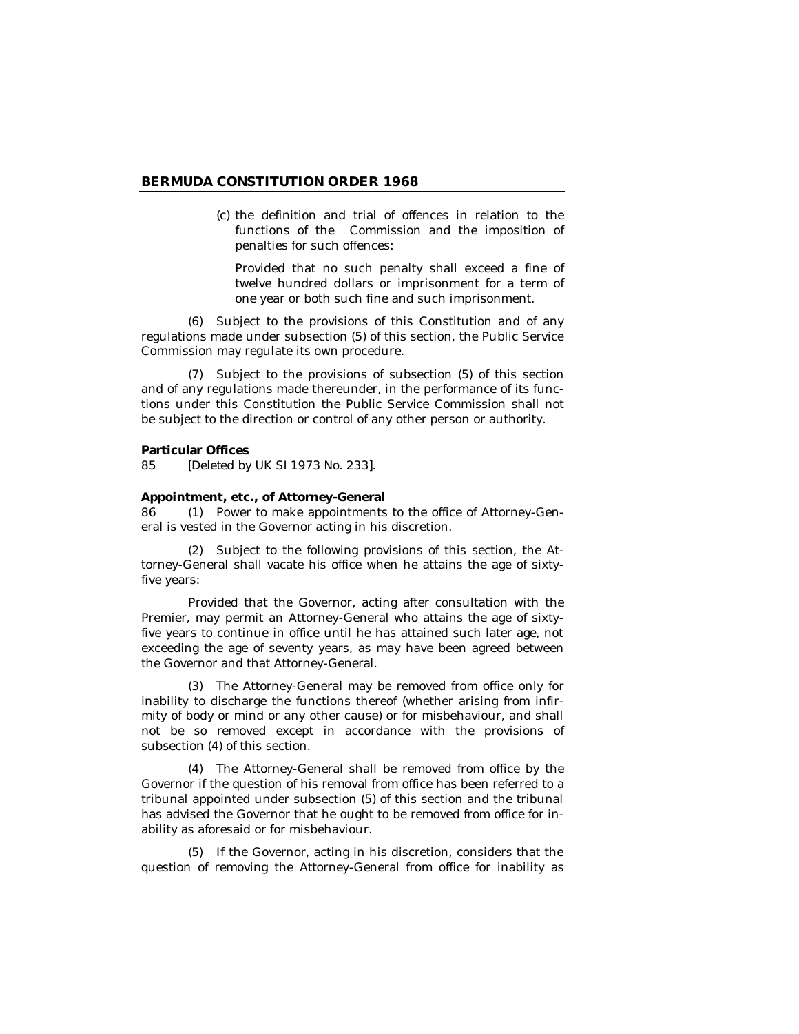(c) the definition and trial of offences in relation to the functions of the Commission and the imposition of penalties for such offences:

Provided that no such penalty shall exceed a fine of twelve hundred dollars or imprisonment for a term of one year or both such fine and such imprisonment.

(6) Subject to the provisions of this Constitution and of any regulations made under subsection (5) of this section, the Public Service Commission may regulate its own procedure.

(7) Subject to the provisions of subsection (5) of this section and of any regulations made thereunder, in the performance of its functions under this Constitution the Public Service Commission shall not be subject to the direction or control of any other person or authority.

#### **Particular Offices**

85 [*Deleted by UK SI 1973 No. 233*].

#### **Appointment, etc., of Attorney-General**

86 (1) Power to make appointments to the office of Attorney-General is vested in the Governor acting in his discretion.

(2) Subject to the following provisions of this section, the Attorney-General shall vacate his office when he attains the age of sixtyfive years:

Provided that the Governor, acting after consultation with the Premier, may permit an Attorney-General who attains the age of sixtyfive years to continue in office until he has attained such later age, not exceeding the age of seventy years, as may have been agreed between the Governor and that Attorney-General.

(3) The Attorney-General may be removed from office only for inability to discharge the functions thereof (whether arising from infirmity of body or mind or any other cause) or for misbehaviour, and shall not be so removed except in accordance with the provisions of subsection (4) of this section.

(4) The Attorney-General shall be removed from office by the Governor if the question of his removal from office has been referred to a tribunal appointed under subsection (5) of this section and the tribunal has advised the Governor that he ought to be removed from office for inability as aforesaid or for misbehaviour.

(5) If the Governor, acting in his discretion, considers that the question of removing the Attorney-General from office for inability as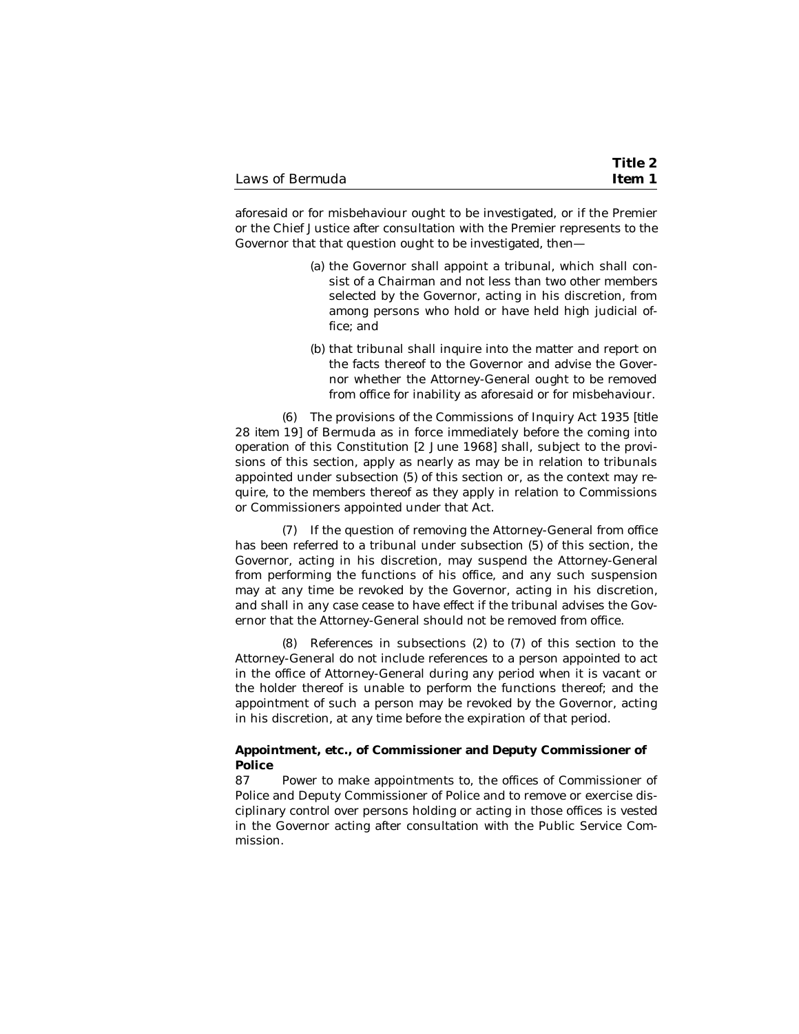aforesaid or for misbehaviour ought to be investigated, or if the Premier or the Chief Justice after consultation with the Premier represents to the Governor that that question ought to be investigated, then—

- (a) the Governor shall appoint a tribunal, which shall consist of a Chairman and not less than two other members selected by the Governor, acting in his discretion, from among persons who hold or have held high judicial office; and
- (b) that tribunal shall inquire into the matter and report on the facts thereof to the Governor and advise the Governor whether the Attorney-General ought to be removed from office for inability as aforesaid or for misbehaviour.

(6) The provisions of the Commissions of Inquiry Act 1935 [*title 28 item 19*] of Bermuda as in force immediately before the coming into operation of this Constitution [*2 June 1968*] shall, subject to the provisions of this section, apply as nearly as may be in relation to tribunals appointed under subsection (5) of this section or, as the context may require, to the members thereof as they apply in relation to Commissions or Commissioners appointed under that Act.

(7) If the question of removing the Attorney-General from office has been referred to a tribunal under subsection (5) of this section, the Governor, acting in his discretion, may suspend the Attorney-General from performing the functions of his office, and any such suspension may at any time be revoked by the Governor, acting in his discretion, and shall in any case cease to have effect if the tribunal advises the Governor that the Attorney-General should not be removed from office.

(8) References in subsections (2) to (7) of this section to the Attorney-General do not include references to a person appointed to act in the office of Attorney-General during any period when it is vacant or the holder thereof is unable to perform the functions thereof; and the appointment of such a person may be revoked by the Governor, acting in his discretion, at any time before the expiration of that period.

## **Appointment, etc., of Commissioner and Deputy Commissioner of Police**

87 Power to make appointments to, the offices of Commissioner of Police and Deputy Commissioner of Police and to remove or exercise disciplinary control over persons holding or acting in those offices is vested in the Governor acting after consultation with the Public Service Commission.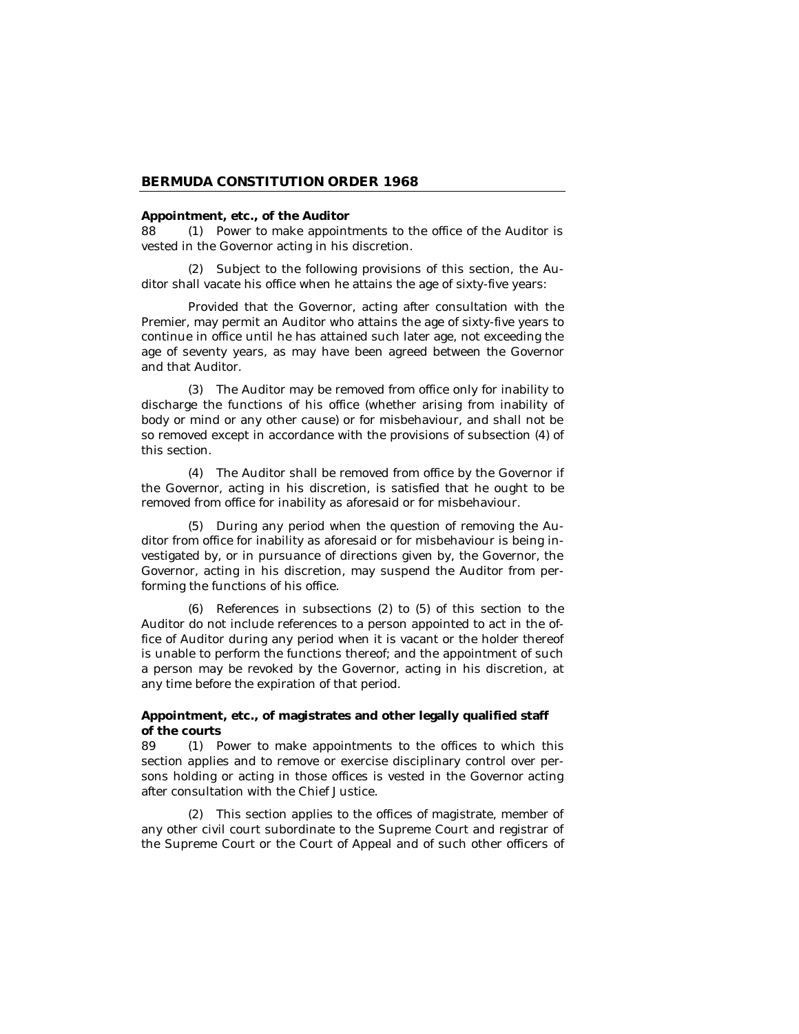#### **Appointment, etc., of the Auditor**

88 (1) Power to make appointments to the office of the Auditor is vested in the Governor acting in his discretion.

(2) Subject to the following provisions of this section, the Auditor shall vacate his office when he attains the age of sixty-five years:

Provided that the Governor, acting after consultation with the Premier, may permit an Auditor who attains the age of sixty-five years to continue in office until he has attained such later age, not exceeding the age of seventy years, as may have been agreed between the Governor and that Auditor.

(3) The Auditor may be removed from office only for inability to discharge the functions of his office (whether arising from inability of body or mind or any other cause) or for misbehaviour, and shall not be so removed except in accordance with the provisions of subsection (4) of this section.

(4) The Auditor shall be removed from office by the Governor if the Governor, acting in his discretion, is satisfied that he ought to be removed from office for inability as aforesaid or for misbehaviour.

(5) During any period when the question of removing the Auditor from office for inability as aforesaid or for misbehaviour is being investigated by, or in pursuance of directions given by, the Governor, the Governor, acting in his discretion, may suspend the Auditor from performing the functions of his office.

(6) References in subsections (2) to (5) of this section to the Auditor do not include references to a person appointed to act in the office of Auditor during any period when it is vacant or the holder thereof is unable to perform the functions thereof; and the appointment of such a person may be revoked by the Governor, acting in his discretion, at any time before the expiration of that period.

### **Appointment, etc., of magistrates and other legally qualified staff of the courts**

89 (1) Power to make appointments to the offices to which this section applies and to remove or exercise disciplinary control over persons holding or acting in those offices is vested in the Governor acting after consultation with the Chief Justice.

(2) This section applies to the offices of magistrate, member of any other civil court subordinate to the Supreme Court and registrar of the Supreme Court or the Court of Appeal and of such other officers of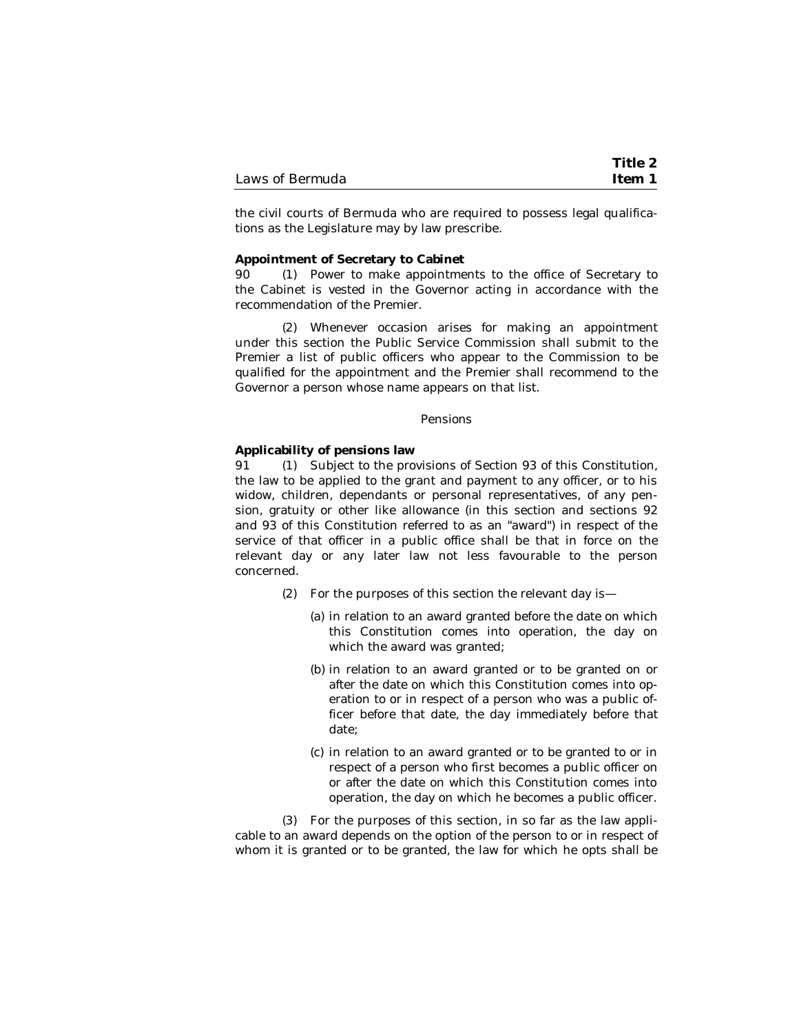the civil courts of Bermuda who are required to possess legal qualifications as the Legislature may by law prescribe.

#### **Appointment of Secretary to Cabinet**

90 (1) Power to make appointments to the office of Secretary to the Cabinet is vested in the Governor acting in accordance with the recommendation of the Premier.

(2) Whenever occasion arises for making an appointment under this section the Public Service Commission shall submit to the Premier a list of public officers who appear to the Commission to be qualified for the appointment and the Premier shall recommend to the Governor a person whose name appears on that list.

*Pensions*

#### **Applicability of pensions law**

91 (1) Subject to the provisions of Section 93 of this Constitution, the law to be applied to the grant and payment to any officer, or to his widow, children, dependants or personal representatives, of any pension, gratuity or other like allowance (in this section and sections 92 and 93 of this Constitution referred to as an "award") in respect of the service of that officer in a public office shall be that in force on the relevant day or any later law not less favourable to the person concerned.

- (2) For the purposes of this section the relevant day is—
	- (a) in relation to an award granted before the date on which this Constitution comes into operation, the day on which the award was granted;
	- (b) in relation to an award granted or to be granted on or after the date on which this Constitution comes into operation to or in respect of a person who was a public officer before that date, the day immediately before that date;
	- (c) in relation to an award granted or to be granted to or in respect of a person who first becomes a public officer on or after the date on which this Constitution comes into operation, the day on which he becomes a public officer.

(3) For the purposes of this section, in so far as the law applicable to an award depends on the option of the person to or in respect of whom it is granted or to be granted, the law for which he opts shall be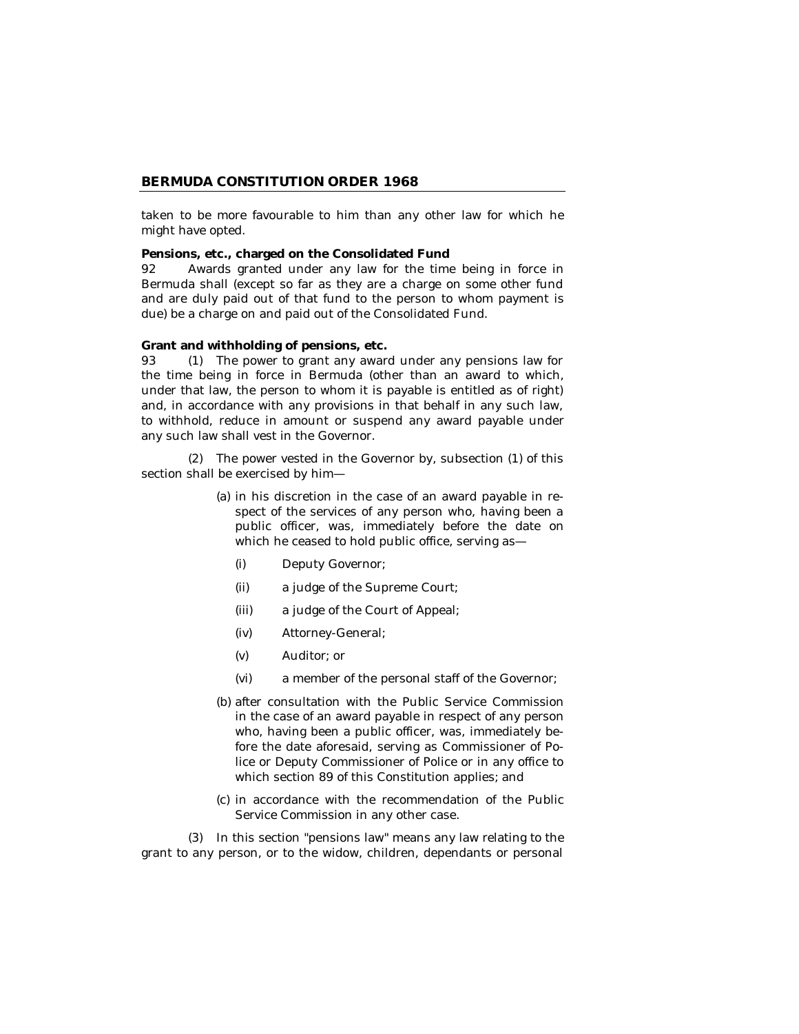taken to be more favourable to him than any other law for which he might have opted.

#### **Pensions, etc., charged on the Consolidated Fund**

92 Awards granted under any law for the time being in force in Bermuda shall (except so far as they are a charge on some other fund and are duly paid out of that fund to the person to whom payment is due) be a charge on and paid out of the Consolidated Fund.

# **Grant and withholding of pensions, etc.**

93 (1) The power to grant any award under any pensions law for the time being in force in Bermuda (other than an award to which, under that law, the person to whom it is payable is entitled as of right) and, in accordance with any provisions in that behalf in any such law, to withhold, reduce in amount or suspend any award payable under any such law shall vest in the Governor.

(2) The power vested in the Governor by, subsection (1) of this section shall be exercised by him—

- (a) in his discretion in the case of an award payable in respect of the services of any person who, having been a public officer, was, immediately before the date on which he ceased to hold public office, serving as—
	- (i) Deputy Governor;
	- (ii) a judge of the Supreme Court;
	- (iii) a judge of the Court of Appeal;
	- (iv) Attorney-General;
	- (v) Auditor; or
	- (vi) a member of the personal staff of the Governor;
- (b) after consultation with the Public Service Commission in the case of an award payable in respect of any person who, having been a public officer, was, immediately before the date aforesaid, serving as Commissioner of Police or Deputy Commissioner of Police or in any office to which section 89 of this Constitution applies; and
- (c) in accordance with the recommendation of the Public Service Commission in any other case.

(3) In this section "pensions law" means any law relating to the grant to any person, or to the widow, children, dependants or personal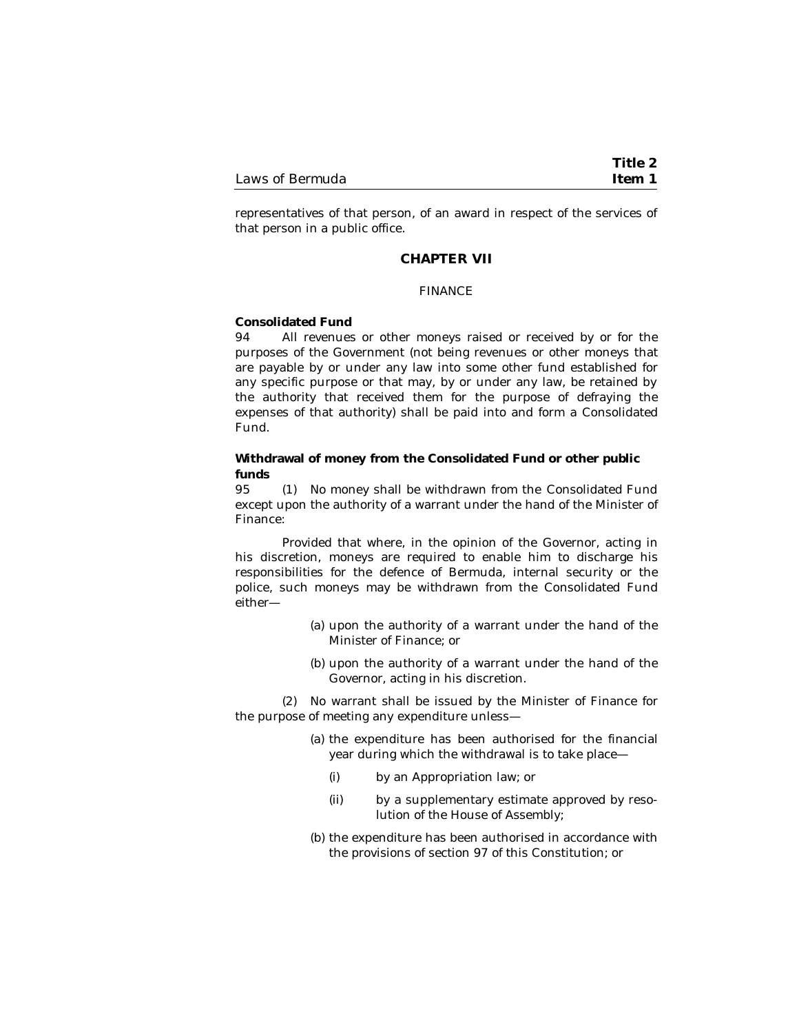representatives of that person, of an award in respect of the services of that person in a public office.

## **CHAPTER VII**

### FINANCE

### **Consolidated Fund**

94 All revenues or other moneys raised or received by or for the purposes of the Government (not being revenues or other moneys that are payable by or under any law into some other fund established for any specific purpose or that may, by or under any law, be retained by the authority that received them for the purpose of defraying the expenses of that authority) shall be paid into and form a Consolidated Fund.

## **Withdrawal of money from the Consolidated Fund or other public funds**

95 (1) No money shall be withdrawn from the Consolidated Fund except upon the authority of a warrant under the hand of the Minister of Finance:

Provided that where, in the opinion of the Governor, acting in his discretion, moneys are required to enable him to discharge his responsibilities for the defence of Bermuda, internal security or the police, such moneys may be withdrawn from the Consolidated Fund either—

- (a) upon the authority of a warrant under the hand of the Minister of Finance; or
- (b) upon the authority of a warrant under the hand of the Governor, acting in his discretion.

(2) No warrant shall be issued by the Minister of Finance for the purpose of meeting any expenditure unless—

- (a) the expenditure has been authorised for the financial year during which the withdrawal is to take place—
	- (i) by an Appropriation law; or
	- (ii) by a supplementary estimate approved by resolution of the House of Assembly;
- (b) the expenditure has been authorised in accordance with the provisions of section 97 of this Constitution; or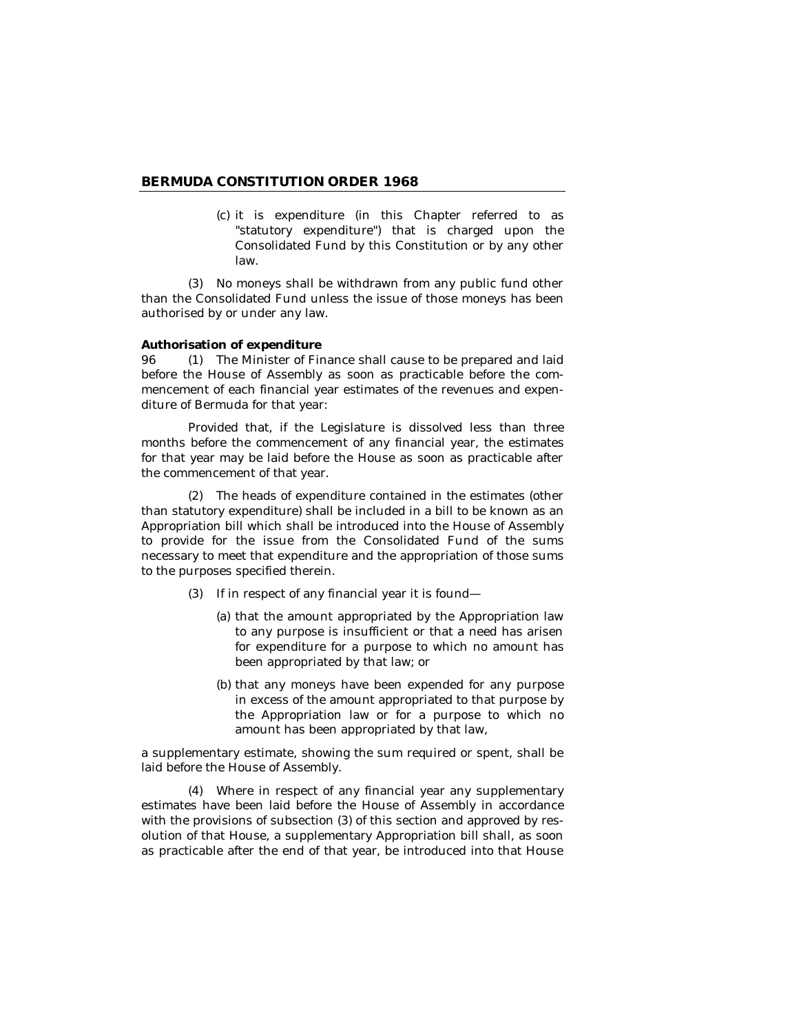(c) it is expenditure (in this Chapter referred to as "statutory expenditure") that is charged upon the Consolidated Fund by this Constitution or by any other law.

(3) No moneys shall be withdrawn from any public fund other than the Consolidated Fund unless the issue of those moneys has been authorised by or under any law.

#### **Authorisation of expenditure**

96 (1) The Minister of Finance shall cause to be prepared and laid before the House of Assembly as soon as practicable before the commencement of each financial year estimates of the revenues and expenditure of Bermuda for that year:

Provided that, if the Legislature is dissolved less than three months before the commencement of any financial year, the estimates for that year may be laid before the House as soon as practicable after the commencement of that year.

(2) The heads of expenditure contained in the estimates (other than statutory expenditure) shall be included in a bill to be known as an Appropriation bill which shall be introduced into the House of Assembly to provide for the issue from the Consolidated Fund of the sums necessary to meet that expenditure and the appropriation of those sums to the purposes specified therein.

- (3) If in respect of any financial year it is found—
	- (a) that the amount appropriated by the Appropriation law to any purpose is insufficient or that a need has arisen for expenditure for a purpose to which no amount has been appropriated by that law; or
	- (b) that any moneys have been expended for any purpose in excess of the amount appropriated to that purpose by the Appropriation law or for a purpose to which no amount has been appropriated by that law,

a supplementary estimate, showing the sum required or spent, shall be laid before the House of Assembly.

(4) Where in respect of any financial year any supplementary estimates have been laid before the House of Assembly in accordance with the provisions of subsection (3) of this section and approved by resolution of that House, a supplementary Appropriation bill shall, as soon as practicable after the end of that year, be introduced into that House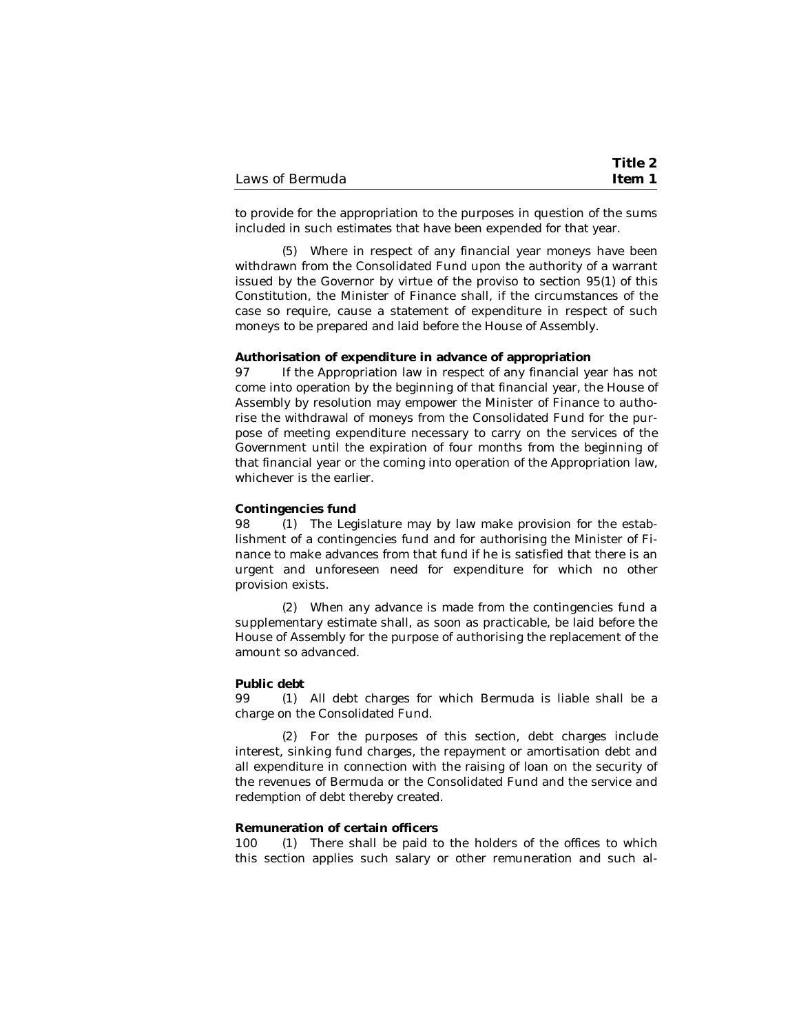|                 | ***** |
|-----------------|-------|
| Laws of Bermuda | Item  |

**Title 2** 

to provide for the appropriation to the purposes in question of the sums included in such estimates that have been expended for that year.

(5) Where in respect of any financial year moneys have been withdrawn from the Consolidated Fund upon the authority of a warrant issued by the Governor by virtue of the proviso to section 95(1) of this Constitution, the Minister of Finance shall, if the circumstances of the case so require, cause a statement of expenditure in respect of such moneys to be prepared and laid before the House of Assembly.

## **Authorisation of expenditure in advance of appropriation**

97 If the Appropriation law in respect of any financial year has not come into operation by the beginning of that financial year, the House of Assembly by resolution may empower the Minister of Finance to authorise the withdrawal of moneys from the Consolidated Fund for the purpose of meeting expenditure necessary to carry on the services of the Government until the expiration of four months from the beginning of that financial year or the coming into operation of the Appropriation law, whichever is the earlier.

#### **Contingencies fund**

98 (1) The Legislature may by law make provision for the establishment of a contingencies fund and for authorising the Minister of Finance to make advances from that fund if he is satisfied that there is an urgent and unforeseen need for expenditure for which no other provision exists.

(2) When any advance is made from the contingencies fund a supplementary estimate shall, as soon as practicable, be laid before the House of Assembly for the purpose of authorising the replacement of the amount so advanced.

#### **Public debt**

99 (1) All debt charges for which Bermuda is liable shall be a charge on the Consolidated Fund.

(2) For the purposes of this section, debt charges include interest, sinking fund charges, the repayment or amortisation debt and all expenditure in connection with the raising of loan on the security of the revenues of Bermuda or the Consolidated Fund and the service and redemption of debt thereby created.

## **Remuneration of certain officers**

100 (1) There shall be paid to the holders of the offices to which this section applies such salary or other remuneration and such al-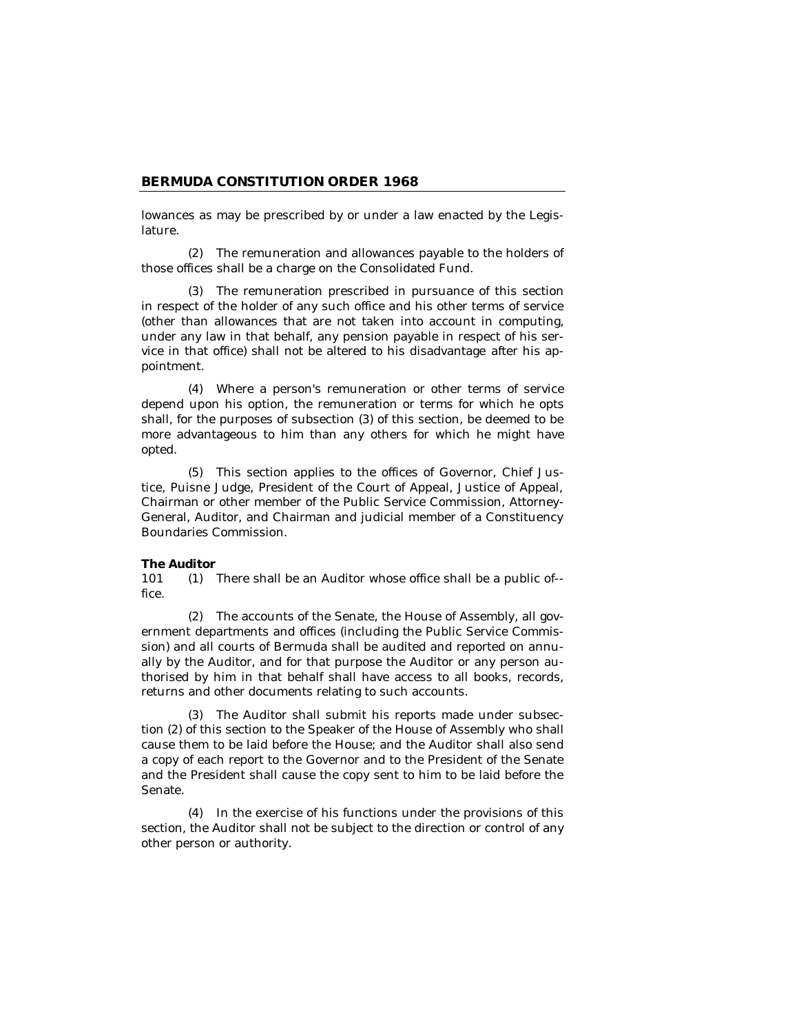lowances as may be prescribed by or under a law enacted by the Legislature.

(2) The remuneration and allowances payable to the holders of those offices shall be a charge on the Consolidated Fund.

(3) The remuneration prescribed in pursuance of this section in respect of the holder of any such office and his other terms of service (other than allowances that are not taken into account in computing, under any law in that behalf, any pension payable in respect of his service in that office) shall not be altered to his disadvantage after his appointment.

(4) Where a person's remuneration or other terms of service depend upon his option, the remuneration or terms for which he opts shall, for the purposes of subsection (3) of this section, be deemed to be more advantageous to him than any others for which he might have opted.

(5) This section applies to the offices of Governor, Chief Justice, Puisne Judge, President of the Court of Appeal, Justice of Appeal, Chairman or other member of the Public Service Commission, Attorney-General, Auditor, and Chairman and judicial member of a Constituency Boundaries Commission.

#### **The Auditor**

101 (1) There shall be an Auditor whose office shall be a public of- fice.

(2) The accounts of the Senate, the House of Assembly, all government departments and offices (including the Public Service Commission) and all courts of Bermuda shall be audited and reported on annually by the Auditor, and for that purpose the Auditor or any person authorised by him in that behalf shall have access to all books, records, returns and other documents relating to such accounts.

(3) The Auditor shall submit his reports made under subsection (2) of this section to the Speaker of the House of Assembly who shall cause them to be laid before the House; and the Auditor shall also send a copy of each report to the Governor and to the President of the Senate and the President shall cause the copy sent to him to be laid before the Senate.

(4) In the exercise of his functions under the provisions of this section, the Auditor shall not be subject to the direction or control of any other person or authority.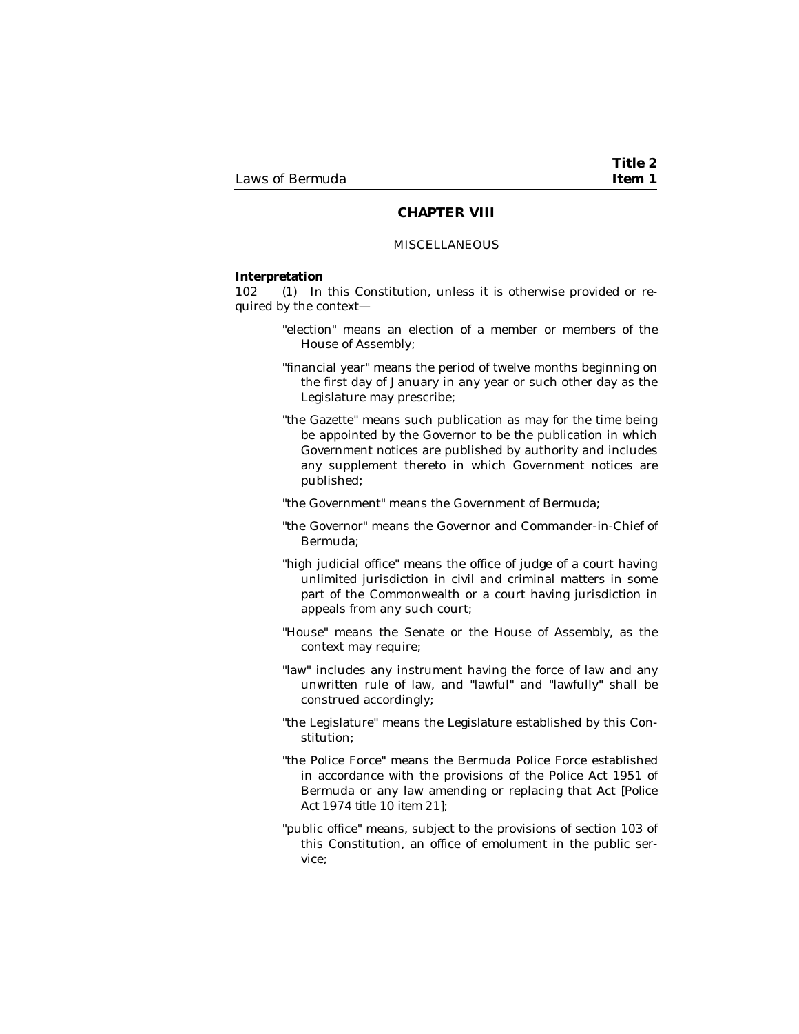## **CHAPTER VIII**

### **MISCELLANEOUS**

#### **Interpretation**

102 (1) In this Constitution, unless it is otherwise provided or required by the context—

- "election" means an election of a member or members of the House of Assembly;
- "financial year" means the period of twelve months beginning on the first day of January in any year or such other day as the Legislature may prescribe;
- "the Gazette" means such publication as may for the time being be appointed by the Governor to be the publication in which Government notices are published by authority and includes any supplement thereto in which Government notices are published;
- "the Government" means the Government of Bermuda;
- "the Governor" means the Governor and Commander-in-Chief of Bermuda;
- "high judicial office" means the office of judge of a court having unlimited jurisdiction in civil and criminal matters in some part of the Commonwealth or a court having jurisdiction in appeals from any such court;
- "House" means the Senate or the House of Assembly, as the context may require;
- "law" includes any instrument having the force of law and any unwritten rule of law, and "lawful" and "lawfully" shall be construed accordingly;
- "the Legislature" means the Legislature established by this Constitution;
- "the Police Force" means the Bermuda Police Force established in accordance with the provisions of the Police Act 1951 of Bermuda or any law amending or replacing that Act [*Police Act 1974 title 10 item 21*];
- "public office" means, subject to the provisions of section 103 of this Constitution, an office of emolument in the public service;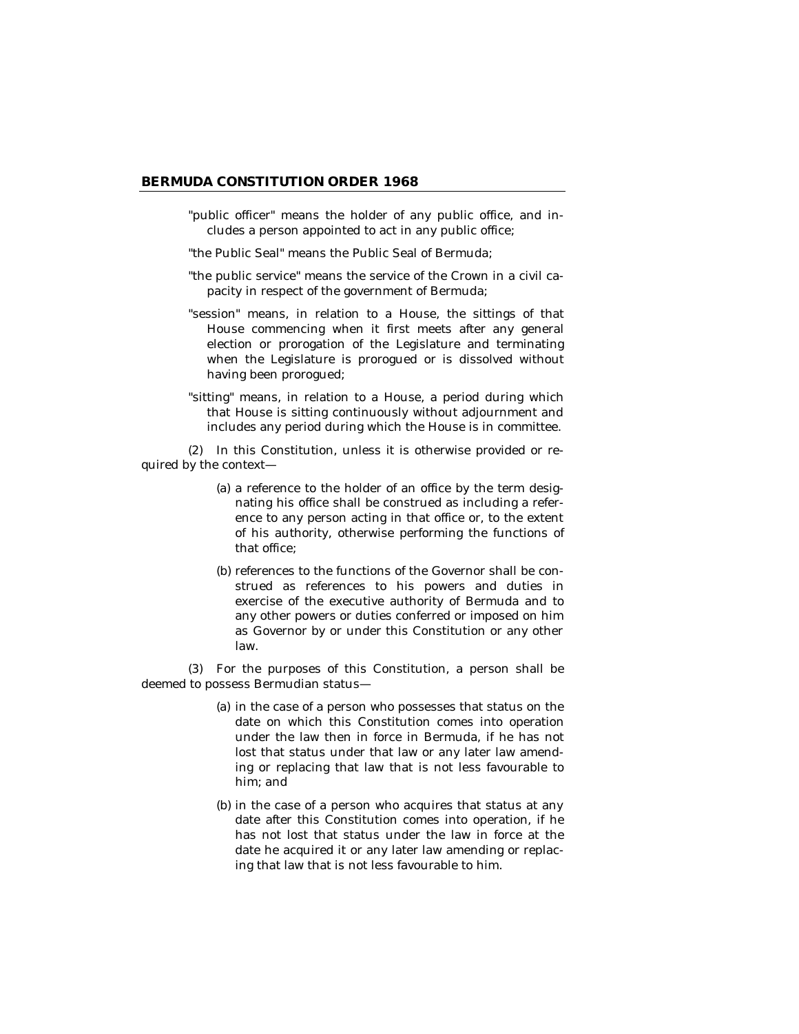"public officer" means the holder of any public office, and includes a person appointed to act in any public office;

"the Public Seal" means the Public Seal of Bermuda;

- "the public service" means the service of the Crown in a civil capacity in respect of the government of Bermuda;
- "session" means, in relation to a House, the sittings of that House commencing when it first meets after any general election or prorogation of the Legislature and terminating when the Legislature is prorogued or is dissolved without having been prorogued;
- "sitting" means, in relation to a House, a period during which that House is sitting continuously without adjournment and includes any period during which the House is in committee.

(2) In this Constitution, unless it is otherwise provided or required by the context—

- (a) a reference to the holder of an office by the term designating his office shall be construed as including a reference to any person acting in that office or, to the extent of his authority, otherwise performing the functions of that office;
- (b) references to the functions of the Governor shall be construed as references to his powers and duties in exercise of the executive authority of Bermuda and to any other powers or duties conferred or imposed on him as Governor by or under this Constitution or any other law.

(3) For the purposes of this Constitution, a person shall be deemed to possess Bermudian status—

- (a) in the case of a person who possesses that status on the date on which this Constitution comes into operation under the law then in force in Bermuda, if he has not lost that status under that law or any later law amending or replacing that law that is not less favourable to him; and
- (b) in the case of a person who acquires that status at any date after this Constitution comes into operation, if he has not lost that status under the law in force at the date he acquired it or any later law amending or replacing that law that is not less favourable to him.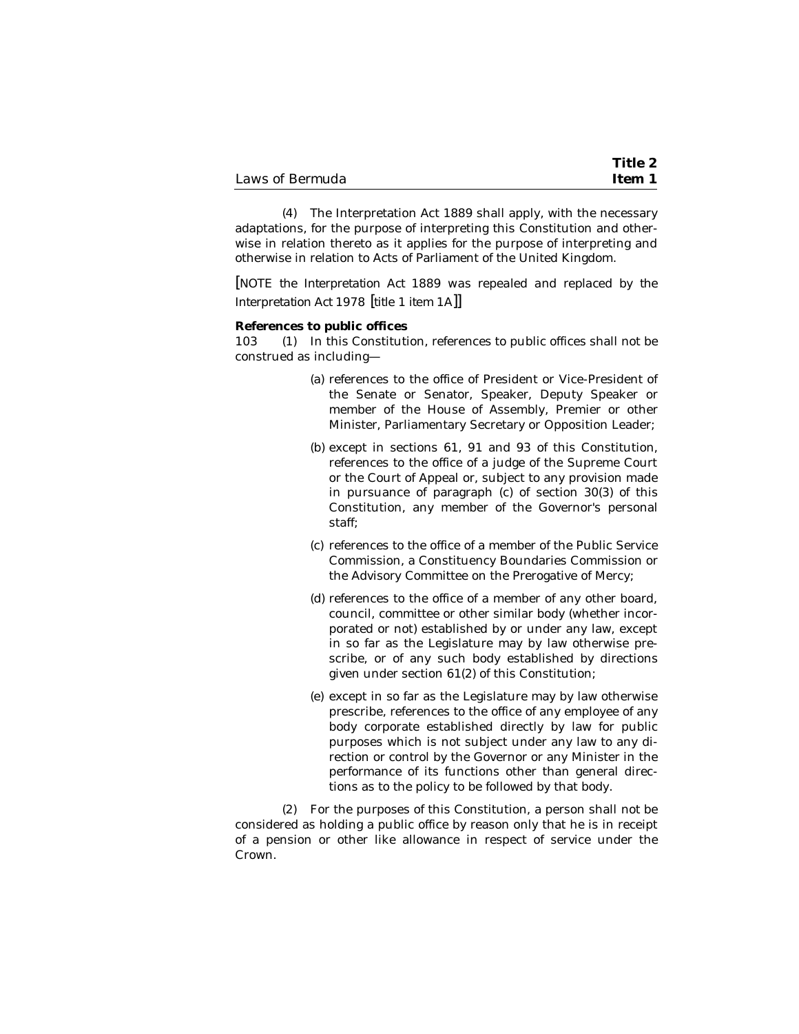(4) The Interpretation Act 1889 shall apply, with the necessary adaptations, for the purpose of interpreting this Constitution and otherwise in relation thereto as it applies for the purpose of interpreting and otherwise in relation to Acts of Parliament of the United Kingdom.

[*NOTE the Interpretation Act 1889 was repealed and replaced by the Interpretation Act 1978 [title 1 item 1A]*]

### **References to public offices**

103 (1) In this Constitution, references to public offices shall not be construed as including—

- (a) references to the office of President or Vice-President of the Senate or Senator, Speaker, Deputy Speaker or member of the House of Assembly, Premier or other Minister, Parliamentary Secretary or Opposition Leader;
- (b) except in sections 61, 91 and 93 of this Constitution, references to the office of a judge of the Supreme Court or the Court of Appeal or, subject to any provision made in pursuance of paragraph (c) of section 30(3) of this Constitution, any member of the Governor's personal staff;
- (c) references to the office of a member of the Public Service Commission, a Constituency Boundaries Commission or the Advisory Committee on the Prerogative of Mercy;
- (d) references to the office of a member of any other board, council, committee or other similar body (whether incorporated or not) established by or under any law, except in so far as the Legislature may by law otherwise prescribe, or of any such body established by directions given under section 61(2) of this Constitution;
- (e) except in so far as the Legislature may by law otherwise prescribe, references to the office of any employee of any body corporate established directly by law for public purposes which is not subject under any law to any direction or control by the Governor or any Minister in the performance of its functions other than general directions as to the policy to be followed by that body.

(2) For the purposes of this Constitution, a person shall not be considered as holding a public office by reason only that he is in receipt of a pension or other like allowance in respect of service under the Crown.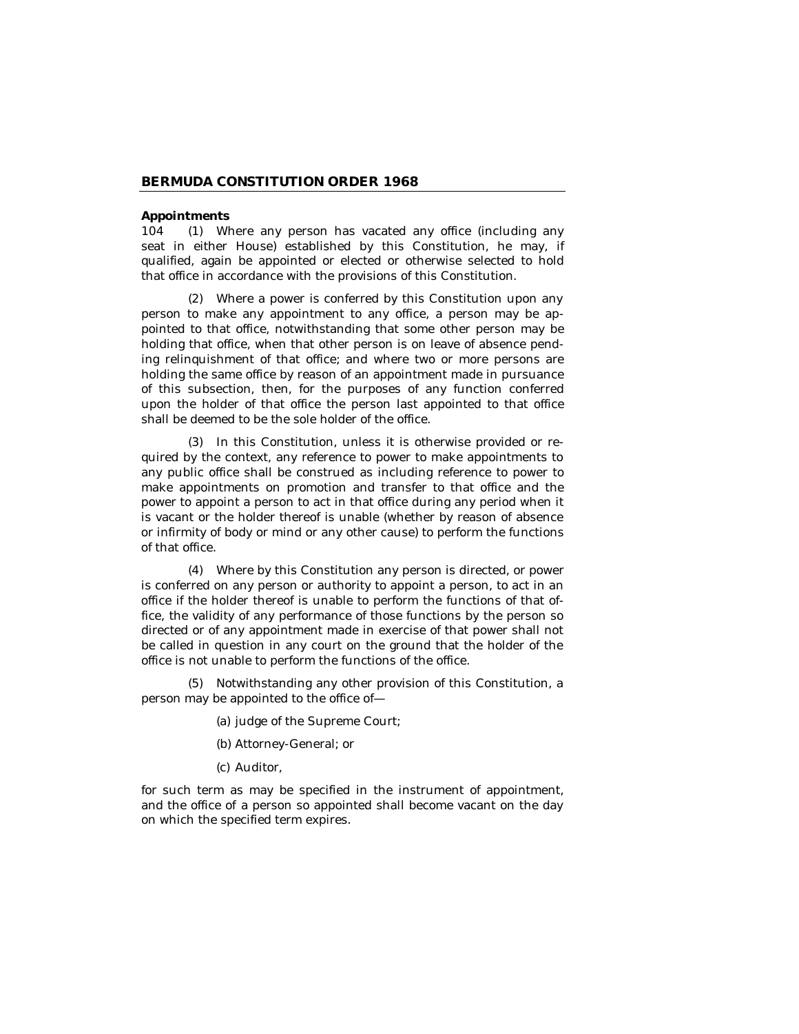#### **Appointments**

104 (1) Where any person has vacated any office (including any seat in either House) established by this Constitution, he may, if qualified, again be appointed or elected or otherwise selected to hold that office in accordance with the provisions of this Constitution.

(2) Where a power is conferred by this Constitution upon any person to make any appointment to any office, a person may be appointed to that office, notwithstanding that some other person may be holding that office, when that other person is on leave of absence pending relinquishment of that office; and where two or more persons are holding the same office by reason of an appointment made in pursuance of this subsection, then, for the purposes of any function conferred upon the holder of that office the person last appointed to that office shall be deemed to be the sole holder of the office.

(3) In this Constitution, unless it is otherwise provided or required by the context, any reference to power to make appointments to any public office shall be construed as including reference to power to make appointments on promotion and transfer to that office and the power to appoint a person to act in that office during any period when it is vacant or the holder thereof is unable (whether by reason of absence or infirmity of body or mind or any other cause) to perform the functions of that office.

(4) Where by this Constitution any person is directed, or power is conferred on any person or authority to appoint a person, to act in an office if the holder thereof is unable to perform the functions of that office, the validity of any performance of those functions by the person so directed or of any appointment made in exercise of that power shall not be called in question in any court on the ground that the holder of the office is not unable to perform the functions of the office.

(5) Notwithstanding any other provision of this Constitution, a person may be appointed to the office of—

- (a) judge of the Supreme Court;
- (b) Attorney-General; or
- (c) Auditor,

for such term as may be specified in the instrument of appointment, and the office of a person so appointed shall become vacant on the day on which the specified term expires.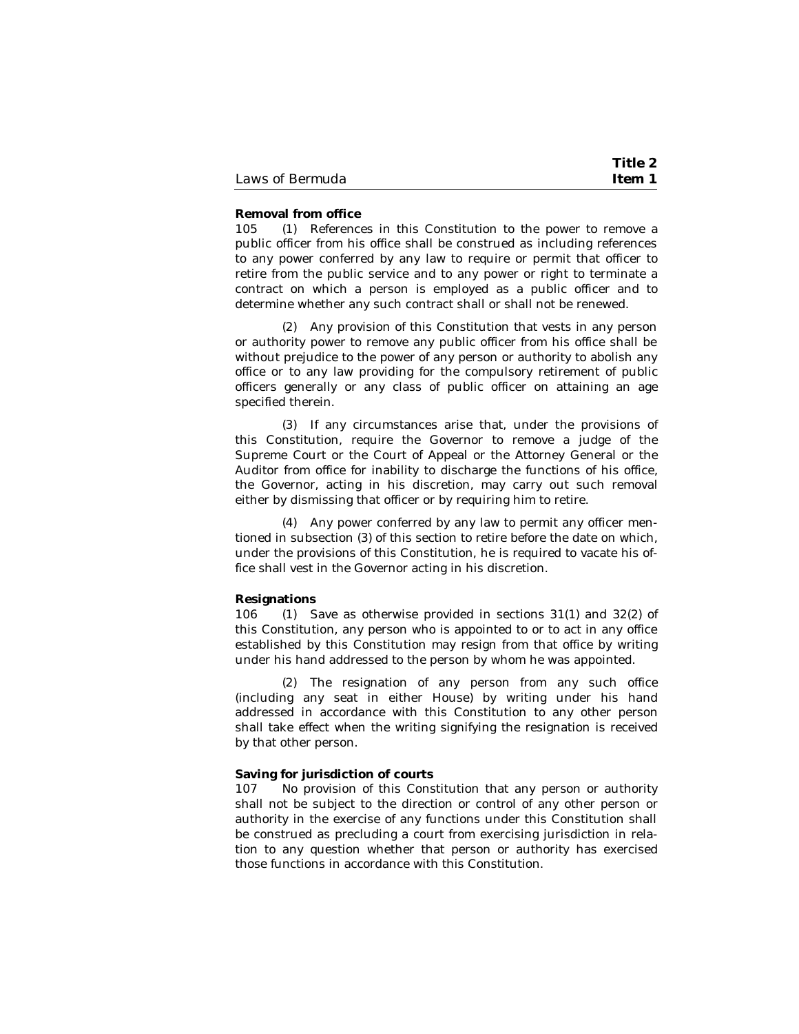| Laws of Bermuda<br>Item 1 |  |
|---------------------------|--|
|---------------------------|--|

#### **Removal from office**

105 (1) References in this Constitution to the power to remove a public officer from his office shall be construed as including references to any power conferred by any law to require or permit that officer to retire from the public service and to any power or right to terminate a contract on which a person is employed as a public officer and to determine whether any such contract shall or shall not be renewed.

(2) Any provision of this Constitution that vests in any person or authority power to remove any public officer from his office shall be without prejudice to the power of any person or authority to abolish any office or to any law providing for the compulsory retirement of public officers generally or any class of public officer on attaining an age specified therein.

(3) If any circumstances arise that, under the provisions of this Constitution, require the Governor to remove a judge of the Supreme Court or the Court of Appeal or the Attorney General or the Auditor from office for inability to discharge the functions of his office, the Governor, acting in his discretion, may carry out such removal either by dismissing that officer or by requiring him to retire.

(4) Any power conferred by any law to permit any officer mentioned in subsection (3) of this section to retire before the date on which, under the provisions of this Constitution, he is required to vacate his office shall vest in the Governor acting in his discretion.

#### **Resignations**

106 (1) Save as otherwise provided in sections 31(1) and 32(2) of this Constitution, any person who is appointed to or to act in any office established by this Constitution may resign from that office by writing under his hand addressed to the person by whom he was appointed.

(2) The resignation of any person from any such office (including any seat in either House) by writing under his hand addressed in accordance with this Constitution to any other person shall take effect when the writing signifying the resignation is received by that other person.

## **Saving for jurisdiction of courts**

107 No provision of this Constitution that any person or authority shall not be subject to the direction or control of any other person or authority in the exercise of any functions under this Constitution shall be construed as precluding a court from exercising jurisdiction in relation to any question whether that person or authority has exercised those functions in accordance with this Constitution.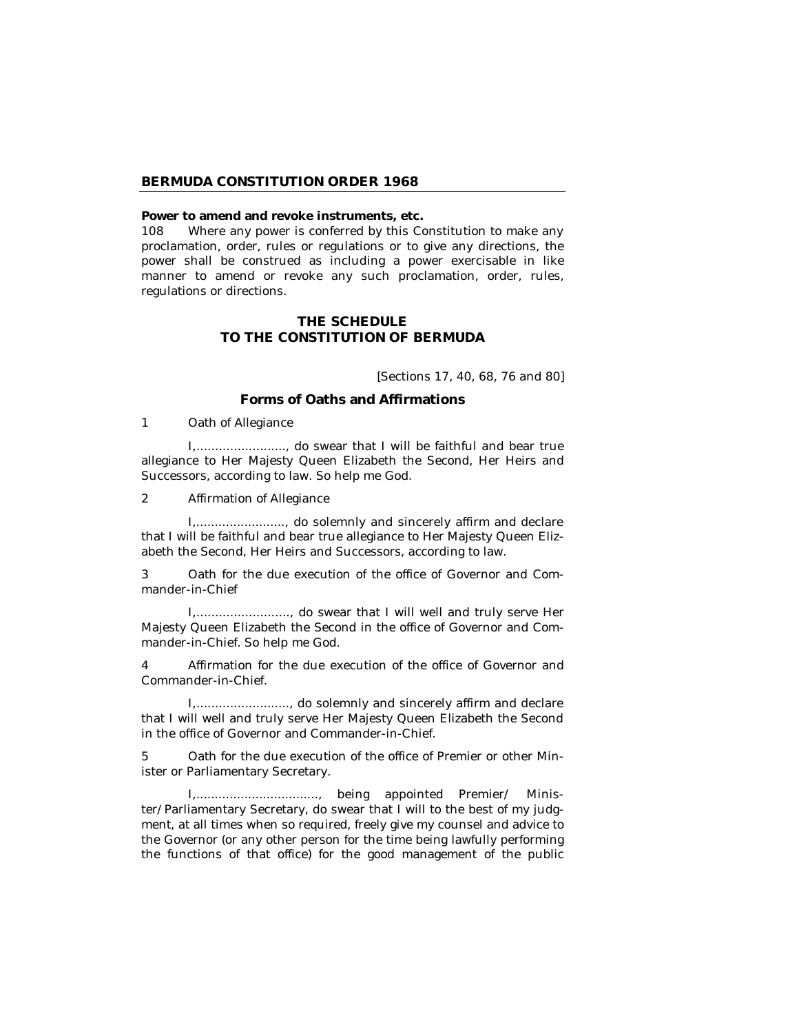#### **Power to amend and revoke instruments, etc.**

108 Where any power is conferred by this Constitution to make any proclamation, order, rules or regulations or to give any directions, the power shall be construed as including a power exercisable in like manner to amend or revoke any such proclamation, order, rules, regulations or directions.

# **THE SCHEDULE TO THE CONSTITUTION OF BERMUDA**

[Sections 17, 40, 68, 76 and 80]

### **Forms of Oaths and Affirmations**

1 Oath of Allegiance

I,........................, do swear that I will be faithful and bear true allegiance to Her Majesty Queen Elizabeth the Second, Her Heirs and Successors, according to law. So help me God.

2 Affirmation of Allegiance

I,........................, do solemnly and sincerely affirm and declare that I will be faithful and bear true allegiance to Her Majesty Queen Elizabeth the Second, Her Heirs and Successors, according to law.

3 Oath for the due execution of the office of Governor and Commander-in-Chief

I,........................., do swear that I will well and truly serve Her Majesty Queen Elizabeth the Second in the office of Governor and Commander-in-Chief. So help me God.

4 Affirmation for the due execution of the office of Governor and Commander-in-Chief.

I,........................., do solemnly and sincerely affirm and declare that I will well and truly serve Her Majesty Queen Elizabeth the Second in the office of Governor and Commander-in-Chief.

5 Oath for the due execution of the office of Premier or other Minister or Parliamentary Secretary.

I,................................., being appointed Premier/ Minister/Parliamentary Secretary, do swear that I will to the best of my judgment, at all times when so required, freely give my counsel and advice to the Governor (or any other person for the time being lawfully performing the functions of that office) for the good management of the public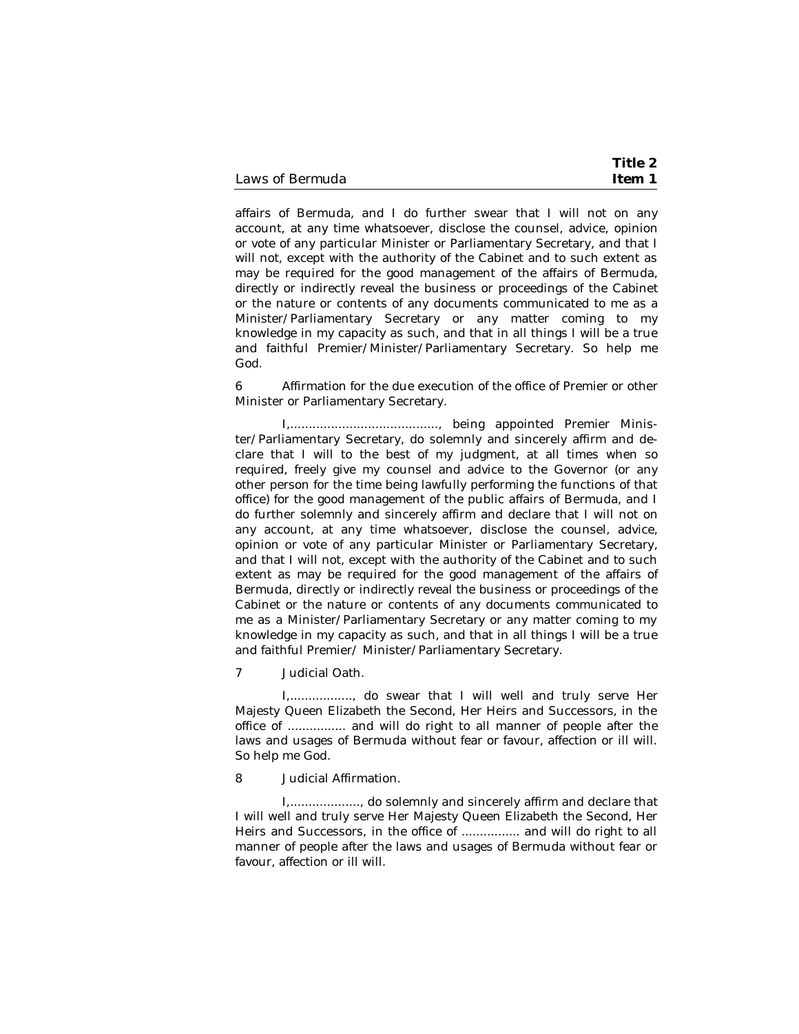|                 | <b>Title 2</b> |
|-----------------|----------------|
| Laws of Bermuda | Item 1         |

affairs of Bermuda, and I do further swear that I will not on any account, at any time whatsoever, disclose the counsel, advice, opinion or vote of any particular Minister or Parliamentary Secretary, and that I will not, except with the authority of the Cabinet and to such extent as may be required for the good management of the affairs of Bermuda, directly or indirectly reveal the business or proceedings of the Cabinet or the nature or contents of any documents communicated to me as a Minister/Parliamentary Secretary or any matter coming to my knowledge in my capacity as such, and that in all things I will be a true and faithful Premier/Minister/Parliamentary Secretary. So help me God.

6 Affirmation for the due execution of the office of Premier or other Minister or Parliamentary Secretary.

I,........................................, being appointed Premier Minister/Parliamentary Secretary, do solemnly and sincerely affirm and declare that I will to the best of my judgment, at all times when so required, freely give my counsel and advice to the Governor (or any other person for the time being lawfully performing the functions of that office) for the good management of the public affairs of Bermuda, and I do further solemnly and sincerely affirm and declare that I will not on any account, at any time whatsoever, disclose the counsel, advice, opinion or vote of any particular Minister or Parliamentary Secretary, and that I will not, except with the authority of the Cabinet and to such extent as may be required for the good management of the affairs of Bermuda, directly or indirectly reveal the business or proceedings of the Cabinet or the nature or contents of any documents communicated to me as a Minister/Parliamentary Secretary or any matter coming to my knowledge in my capacity as such, and that in all things I will be a true and faithful Premier/ Minister/Parliamentary Secretary.

7 Judicial Oath.

I,................., do swear that I will well and truly serve Her Majesty Queen Elizabeth the Second, Her Heirs and Successors, in the office of ................ and will do right to all manner of people after the laws and usages of Bermuda without fear or favour, affection or ill will. So help me God.

#### 8 Judicial Affirmation.

I,..................., do solemnly and sincerely affirm and declare that I will well and truly serve Her Majesty Queen Elizabeth the Second, Her Heirs and Successors, in the office of ................ and will do right to all manner of people after the laws and usages of Bermuda without fear or favour, affection or ill will.